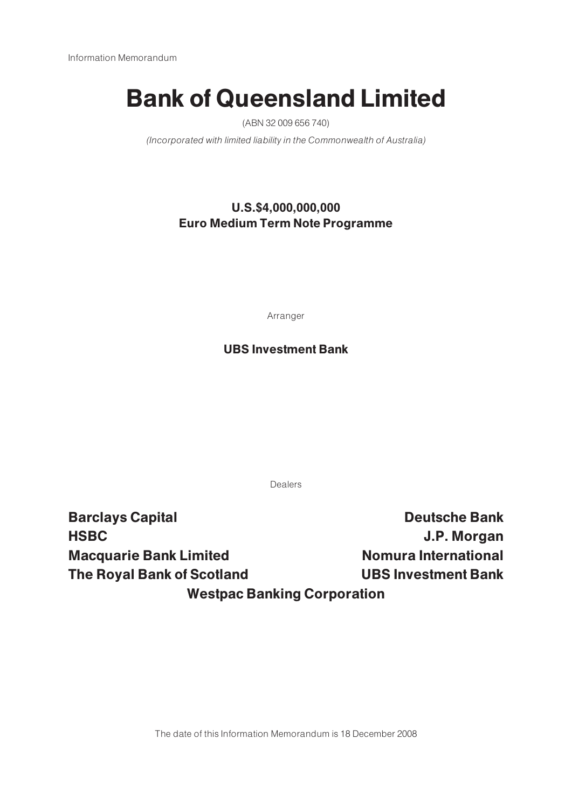# Bank of Queensland Limited

(ABN 32 009 656 740)

(Incorporated with limited liability in the Commonwealth of Australia)

## U.S.\$4,000,000,000 Euro Medium Term Note Programme

Arranger

## UBS Investment Bank

Dealers

Barclays Capital **Bank** Deutsche Bank HSBC J.P. Morgan Macquarie Bank Limited Nomura International The Royal Bank of Scotland UBS Investment Bank Westpac Banking Corporation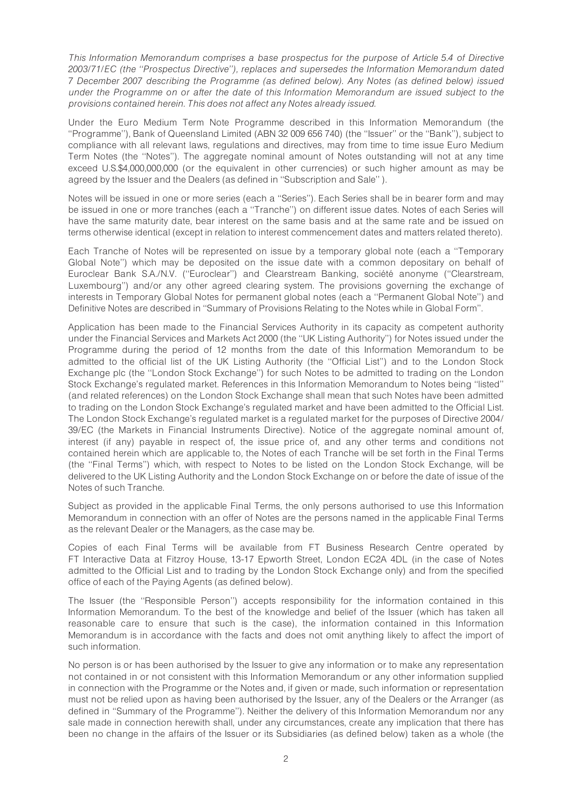This Information Memorandum comprises a base prospectus for the purpose of Article 5.4 of Directive 2003/71/EC (the ''Prospectus Directive''), replaces and supersedes the Information Memorandum dated 7 December 2007 describing the Programme (as defined below). Any Notes (as defined below) issued under the Programme on or after the date of this Information Memorandum are issued subject to the provisions contained herein. This does not affect any Notes already issued.

Under the Euro Medium Term Note Programme described in this Information Memorandum (the ''Programme''), Bank of Queensland Limited (ABN 32 009 656 740) (the ''Issuer'' or the ''Bank''), subject to compliance with all relevant laws, regulations and directives, may from time to time issue Euro Medium Term Notes (the ''Notes''). The aggregate nominal amount of Notes outstanding will not at any time exceed U.S.\$4,000,000,000 (or the equivalent in other currencies) or such higher amount as may be agreed by the Issuer and the Dealers (as defined in ''Subscription and Sale'' ).

Notes will be issued in one or more series (each a ''Series''). Each Series shall be in bearer form and may be issued in one or more tranches (each a ''Tranche'') on different issue dates. Notes of each Series will have the same maturity date, bear interest on the same basis and at the same rate and be issued on terms otherwise identical (except in relation to interest commencement dates and matters related thereto).

Each Tranche of Notes will be represented on issue by a temporary global note (each a ''Temporary Global Note'') which may be deposited on the issue date with a common depositary on behalf of Euroclear Bank S.A./N.V. ("Euroclear") and Clearstream Banking, société anonyme ("Clearstream, Luxembourg'') and/or any other agreed clearing system. The provisions governing the exchange of interests in Temporary Global Notes for permanent global notes (each a ''Permanent Global Note'') and Definitive Notes are described in ''Summary of Provisions Relating to the Notes while in Global Form''.

Application has been made to the Financial Services Authority in its capacity as competent authority under the Financial Services and Markets Act 2000 (the ''UK Listing Authority'') for Notes issued under the Programme during the period of 12 months from the date of this Information Memorandum to be admitted to the official list of the UK Listing Authority (the ''Official List'') and to the London Stock Exchange plc (the ''London Stock Exchange'') for such Notes to be admitted to trading on the London Stock Exchange's regulated market. References in this Information Memorandum to Notes being ''listed'' (and related references) on the London Stock Exchange shall mean that such Notes have been admitted to trading on the London Stock Exchange's regulated market and have been admitted to the Official List. The London Stock Exchange's regulated market is a regulated market for the purposes of Directive 2004/ 39/EC (the Markets in Financial Instruments Directive). Notice of the aggregate nominal amount of, interest (if any) payable in respect of, the issue price of, and any other terms and conditions not contained herein which are applicable to, the Notes of each Tranche will be set forth in the Final Terms (the ''Final Terms'') which, with respect to Notes to be listed on the London Stock Exchange, will be delivered to the UK Listing Authority and the London Stock Exchange on or before the date of issue of the Notes of such Tranche.

Subject as provided in the applicable Final Terms, the only persons authorised to use this Information Memorandum in connection with an offer of Notes are the persons named in the applicable Final Terms as the relevant Dealer or the Managers, as the case may be.

Copies of each Final Terms will be available from FT Business Research Centre operated by FT Interactive Data at Fitzroy House, 13-17 Epworth Street, London EC2A 4DL (in the case of Notes admitted to the Official List and to trading by the London Stock Exchange only) and from the specified office of each of the Paying Agents (as defined below).

The Issuer (the ''Responsible Person'') accepts responsibility for the information contained in this Information Memorandum. To the best of the knowledge and belief of the Issuer (which has taken all reasonable care to ensure that such is the case), the information contained in this Information Memorandum is in accordance with the facts and does not omit anything likely to affect the import of such information.

No person is or has been authorised by the Issuer to give any information or to make any representation not contained in or not consistent with this Information Memorandum or any other information supplied in connection with the Programme or the Notes and, if given or made, such information or representation must not be relied upon as having been authorised by the Issuer, any of the Dealers or the Arranger (as defined in ''Summary of the Programme''). Neither the delivery of this Information Memorandum nor any sale made in connection herewith shall, under any circumstances, create any implication that there has been no change in the affairs of the Issuer or its Subsidiaries (as defined below) taken as a whole (the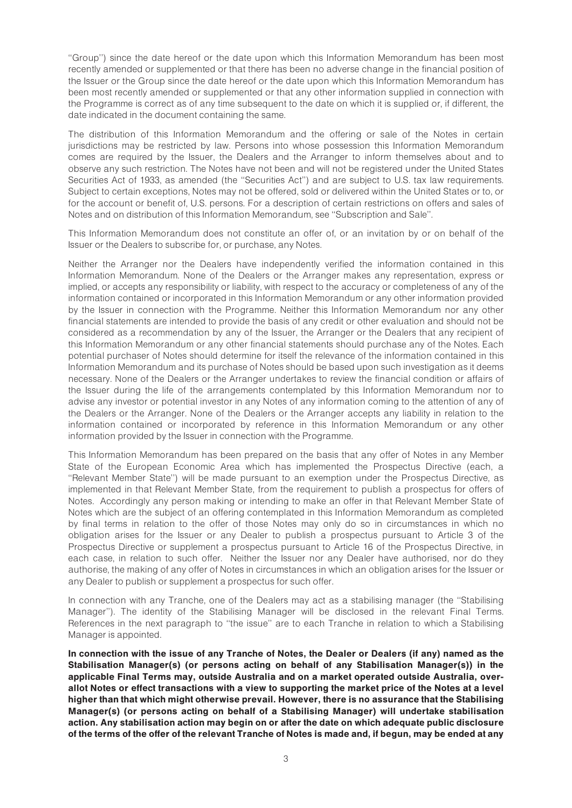''Group'') since the date hereof or the date upon which this Information Memorandum has been most recently amended or supplemented or that there has been no adverse change in the financial position of the Issuer or the Group since the date hereof or the date upon which this Information Memorandum has been most recently amended or supplemented or that any other information supplied in connection with the Programme is correct as of any time subsequent to the date on which it is supplied or, if different, the date indicated in the document containing the same.

The distribution of this Information Memorandum and the offering or sale of the Notes in certain jurisdictions may be restricted by law. Persons into whose possession this Information Memorandum comes are required by the Issuer, the Dealers and the Arranger to inform themselves about and to observe any such restriction. The Notes have not been and will not be registered under the United States Securities Act of 1933, as amended (the ''Securities Act'') and are subject to U.S. tax law requirements. Subject to certain exceptions, Notes may not be offered, sold or delivered within the United States or to, or for the account or benefit of, U.S. persons. For a description of certain restrictions on offers and sales of Notes and on distribution of this Information Memorandum, see ''Subscription and Sale''.

This Information Memorandum does not constitute an offer of, or an invitation by or on behalf of the Issuer or the Dealers to subscribe for, or purchase, any Notes.

Neither the Arranger nor the Dealers have independently verified the information contained in this Information Memorandum. None of the Dealers or the Arranger makes any representation, express or implied, or accepts any responsibility or liability, with respect to the accuracy or completeness of any of the information contained or incorporated in this Information Memorandum or any other information provided by the Issuer in connection with the Programme. Neither this Information Memorandum nor any other financial statements are intended to provide the basis of any credit or other evaluation and should not be considered as a recommendation by any of the Issuer, the Arranger or the Dealers that any recipient of this Information Memorandum or any other financial statements should purchase any of the Notes. Each potential purchaser of Notes should determine for itself the relevance of the information contained in this Information Memorandum and its purchase of Notes should be based upon such investigation as it deems necessary. None of the Dealers or the Arranger undertakes to review the financial condition or affairs of the Issuer during the life of the arrangements contemplated by this Information Memorandum nor to advise any investor or potential investor in any Notes of any information coming to the attention of any of the Dealers or the Arranger. None of the Dealers or the Arranger accepts any liability in relation to the information contained or incorporated by reference in this Information Memorandum or any other information provided by the Issuer in connection with the Programme.

This Information Memorandum has been prepared on the basis that any offer of Notes in any Member State of the European Economic Area which has implemented the Prospectus Directive (each, a ''Relevant Member State'') will be made pursuant to an exemption under the Prospectus Directive, as implemented in that Relevant Member State, from the requirement to publish a prospectus for offers of Notes. Accordingly any person making or intending to make an offer in that Relevant Member State of Notes which are the subject of an offering contemplated in this Information Memorandum as completed by final terms in relation to the offer of those Notes may only do so in circumstances in which no obligation arises for the Issuer or any Dealer to publish a prospectus pursuant to Article 3 of the Prospectus Directive or supplement a prospectus pursuant to Article 16 of the Prospectus Directive, in each case, in relation to such offer. Neither the Issuer nor any Dealer have authorised, nor do they authorise, the making of any offer of Notes in circumstances in which an obligation arises for the Issuer or any Dealer to publish or supplement a prospectus for such offer.

In connection with any Tranche, one of the Dealers may act as a stabilising manager (the ''Stabilising Manager''). The identity of the Stabilising Manager will be disclosed in the relevant Final Terms. References in the next paragraph to ''the issue'' are to each Tranche in relation to which a Stabilising Manager is appointed.

In connection with the issue of any Tranche of Notes, the Dealer or Dealers (if any) named as the Stabilisation Manager(s) (or persons acting on behalf of any Stabilisation Manager(s)) in the applicable Final Terms may, outside Australia and on a market operated outside Australia, overallot Notes or effect transactions with a view to supporting the market price of the Notes at a level higher than that which might otherwise prevail. However, there is no assurance that the Stabilising Manager(s) (or persons acting on behalf of a Stabilising Manager) will undertake stabilisation action. Any stabilisation action may begin on or after the date on which adequate public disclosure of the terms of the offer of the relevant Tranche of Notes is made and, if begun, may be ended at any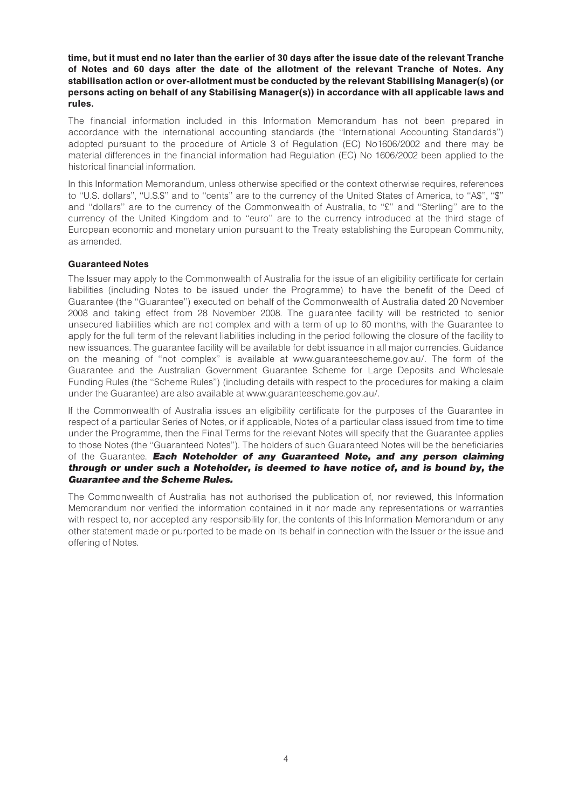time, but it must end no later than the earlier of 30 days after the issue date of the relevant Tranche of Notes and 60 days after the date of the allotment of the relevant Tranche of Notes. Any stabilisation action or over-allotment must be conducted by the relevant Stabilising Manager(s) (or persons acting on behalf of any Stabilising Manager(s)) in accordance with all applicable laws and rules.

The financial information included in this Information Memorandum has not been prepared in accordance with the international accounting standards (the ''International Accounting Standards'') adopted pursuant to the procedure of Article 3 of Regulation (EC) No1606/2002 and there may be material differences in the financial information had Regulation (EC) No 1606/2002 been applied to the historical financial information.

In this Information Memorandum, unless otherwise specified or the context otherwise requires, references to "U.S. dollars", "U.S.\$" and to "cents" are to the currency of the United States of America, to "A\$", "\$" and "dollars" are to the currency of the Commonwealth of Australia, to "£" and "Sterling" are to the currency of the United Kingdom and to ''euro'' are to the currency introduced at the third stage of European economic and monetary union pursuant to the Treaty establishing the European Community, as amended.

## Guaranteed Notes

The Issuer may apply to the Commonwealth of Australia for the issue of an eligibility certificate for certain liabilities (including Notes to be issued under the Programme) to have the benefit of the Deed of Guarantee (the ''Guarantee'') executed on behalf of the Commonwealth of Australia dated 20 November 2008 and taking effect from 28 November 2008. The guarantee facility will be restricted to senior unsecured liabilities which are not complex and with a term of up to 60 months, with the Guarantee to apply for the full term of the relevant liabilities including in the period following the closure of the facility to new issuances. The guarantee facility will be available for debt issuance in all major currencies. Guidance on the meaning of ''not complex'' is available at www.guaranteescheme.gov.au/. The form of the Guarantee and the Australian Government Guarantee Scheme for Large Deposits and Wholesale Funding Rules (the ''Scheme Rules'') (including details with respect to the procedures for making a claim under the Guarantee) are also available at www.guaranteescheme.gov.au/.

If the Commonwealth of Australia issues an eligibility certificate for the purposes of the Guarantee in respect of a particular Series of Notes, or if applicable, Notes of a particular class issued from time to time under the Programme, then the Final Terms for the relevant Notes will specify that the Guarantee applies to those Notes (the ''Guaranteed Notes''). The holders of such Guaranteed Notes will be the beneficiaries of the Guarantee. Each Noteholder of any Guaranteed Note, and any person claiming through or under such a Noteholder, is deemed to have notice of, and is bound by, the Guarantee and the Scheme Rules.

The Commonwealth of Australia has not authorised the publication of, nor reviewed, this Information Memorandum nor verified the information contained in it nor made any representations or warranties with respect to, nor accepted any responsibility for, the contents of this Information Memorandum or any other statement made or purported to be made on its behalf in connection with the Issuer or the issue and offering of Notes.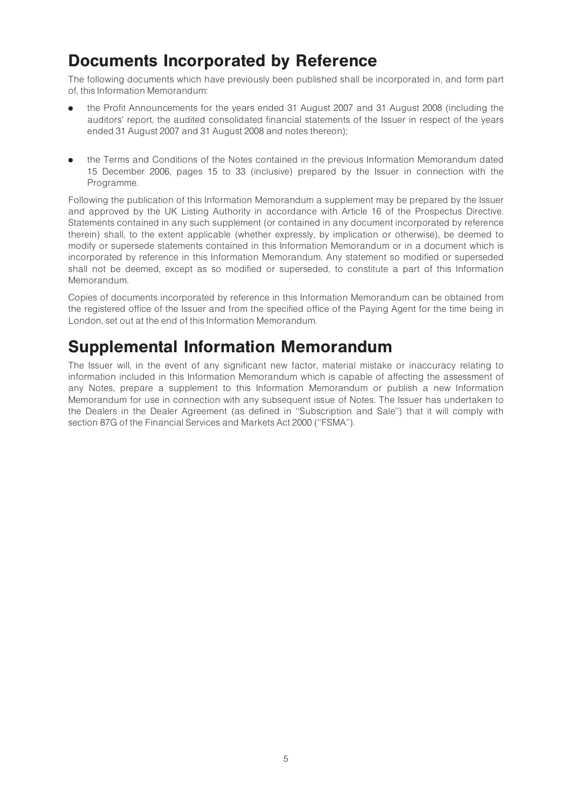## Documents Incorporated by Reference

The following documents which have previously been published shall be incorporated in, and form part of, this Information Memorandum:

- . the Profit Announcements for the years ended 31 August 2007 and 31 August 2008 (including the auditors' report, the audited consolidated financial statements of the Issuer in respect of the years ended 31 August 2007 and 31 August 2008 and notes thereon);
- . the Terms and Conditions of the Notes contained in the previous Information Memorandum dated 15 December 2006, pages 15 to 33 (inclusive) prepared by the Issuer in connection with the Programme.

Following the publication of this Information Memorandum a supplement may be prepared by the Issuer and approved by the UK Listing Authority in accordance with Article 16 of the Prospectus Directive. Statements contained in any such supplement (or contained in any document incorporated by reference therein) shall, to the extent applicable (whether expressly, by implication or otherwise), be deemed to modify or supersede statements contained in this Information Memorandum or in a document which is incorporated by reference in this Information Memorandum. Any statement so modified or superseded shall not be deemed, except as so modified or superseded, to constitute a part of this Information Memorandum.

Copies of documents incorporated by reference in this Information Memorandum can be obtained from the registered office of the Issuer and from the specified office of the Paying Agent for the time being in London, set out at the end of this Information Memorandum.

## Supplemental Information Memorandum

The Issuer will, in the event of any significant new factor, material mistake or inaccuracy relating to information included in this Information Memorandum which is capable of affecting the assessment of any Notes, prepare a supplement to this Information Memorandum or publish a new Information Memorandum for use in connection with any subsequent issue of Notes. The Issuer has undertaken to the Dealers in the Dealer Agreement (as defined in ''Subscription and Sale'') that it will comply with section 87G of the Financial Services and Markets Act 2000 (''FSMA'').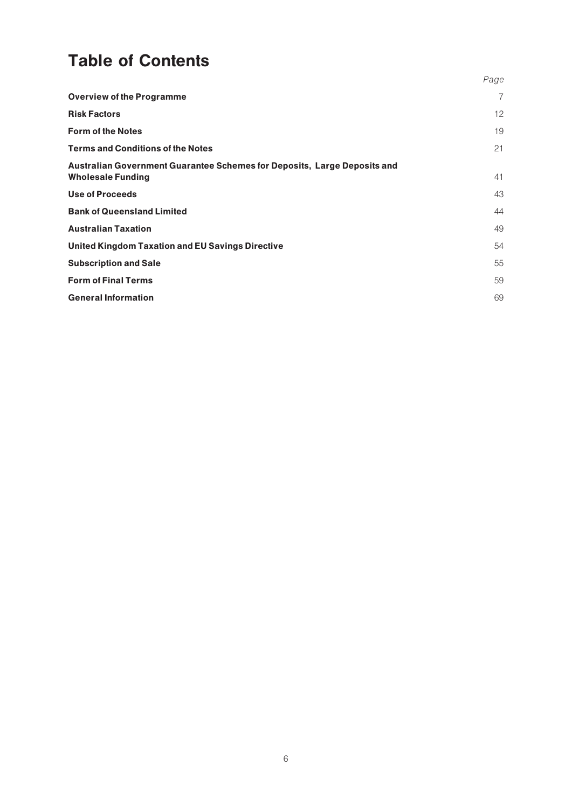## Table of Contents

|                                                                                                      | Page |
|------------------------------------------------------------------------------------------------------|------|
| <b>Overview of the Programme</b>                                                                     | 7    |
| <b>Risk Factors</b>                                                                                  | 12   |
| <b>Form of the Notes</b>                                                                             | 19   |
| <b>Terms and Conditions of the Notes</b>                                                             | 21   |
| Australian Government Guarantee Schemes for Deposits, Large Deposits and<br><b>Wholesale Funding</b> | 41   |
| <b>Use of Proceeds</b>                                                                               | 43   |
| <b>Bank of Queensland Limited</b>                                                                    | 44   |
| <b>Australian Taxation</b>                                                                           | 49   |
| <b>United Kingdom Taxation and EU Savings Directive</b>                                              | 54   |
| <b>Subscription and Sale</b>                                                                         | 55   |
| <b>Form of Final Terms</b>                                                                           | 59   |
| <b>General Information</b>                                                                           | 69   |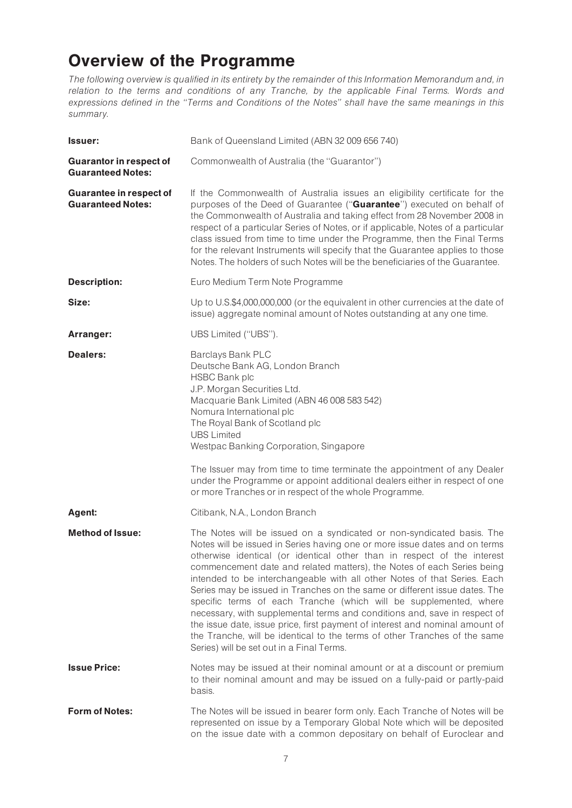## Overview of the Programme

The following overview is qualified in its entirety by the remainder of this Information Memorandum and, in relation to the terms and conditions of any Tranche, by the applicable Final Terms. Words and expressions defined in the ''Terms and Conditions of the Notes'' shall have the same meanings in this summary.

| lssuer:                                                    | Bank of Queensland Limited (ABN 32 009 656 740)                                                                                                                                                                                                                                                                                                                                                                                                                                                                                                                                                                                                                                                                                                                                                                                |
|------------------------------------------------------------|--------------------------------------------------------------------------------------------------------------------------------------------------------------------------------------------------------------------------------------------------------------------------------------------------------------------------------------------------------------------------------------------------------------------------------------------------------------------------------------------------------------------------------------------------------------------------------------------------------------------------------------------------------------------------------------------------------------------------------------------------------------------------------------------------------------------------------|
| <b>Guarantor in respect of</b><br><b>Guaranteed Notes:</b> | Commonwealth of Australia (the "Guarantor")                                                                                                                                                                                                                                                                                                                                                                                                                                                                                                                                                                                                                                                                                                                                                                                    |
| <b>Guarantee in respect of</b><br><b>Guaranteed Notes:</b> | If the Commonwealth of Australia issues an eligibility certificate for the<br>purposes of the Deed of Guarantee ("Guarantee") executed on behalf of<br>the Commonwealth of Australia and taking effect from 28 November 2008 in<br>respect of a particular Series of Notes, or if applicable, Notes of a particular<br>class issued from time to time under the Programme, then the Final Terms<br>for the relevant Instruments will specify that the Guarantee applies to those<br>Notes. The holders of such Notes will be the beneficiaries of the Guarantee.                                                                                                                                                                                                                                                               |
| <b>Description:</b>                                        | Euro Medium Term Note Programme                                                                                                                                                                                                                                                                                                                                                                                                                                                                                                                                                                                                                                                                                                                                                                                                |
| Size:                                                      | Up to U.S.\$4,000,000,000 (or the equivalent in other currencies at the date of<br>issue) aggregate nominal amount of Notes outstanding at any one time.                                                                                                                                                                                                                                                                                                                                                                                                                                                                                                                                                                                                                                                                       |
| Arranger:                                                  | UBS Limited ("UBS").                                                                                                                                                                                                                                                                                                                                                                                                                                                                                                                                                                                                                                                                                                                                                                                                           |
| <b>Dealers:</b>                                            | Barclays Bank PLC<br>Deutsche Bank AG, London Branch<br><b>HSBC Bank plc</b><br>J.P. Morgan Securities Ltd.<br>Macquarie Bank Limited (ABN 46 008 583 542)<br>Nomura International plc<br>The Royal Bank of Scotland plc<br><b>UBS Limited</b><br>Westpac Banking Corporation, Singapore<br>The Issuer may from time to time terminate the appointment of any Dealer<br>under the Programme or appoint additional dealers either in respect of one<br>or more Tranches or in respect of the whole Programme.                                                                                                                                                                                                                                                                                                                   |
| Agent:                                                     | Citibank, N.A., London Branch                                                                                                                                                                                                                                                                                                                                                                                                                                                                                                                                                                                                                                                                                                                                                                                                  |
| <b>Method of Issue:</b>                                    | The Notes will be issued on a syndicated or non-syndicated basis. The<br>Notes will be issued in Series having one or more issue dates and on terms<br>otherwise identical (or identical other than in respect of the interest<br>commencement date and related matters), the Notes of each Series being<br>intended to be interchangeable with all other Notes of that Series. Each<br>Series may be issued in Tranches on the same or different issue dates. The<br>specific terms of each Tranche (which will be supplemented, where<br>necessary, with supplemental terms and conditions and, save in respect of<br>the issue date, issue price, first payment of interest and nominal amount of<br>the Tranche, will be identical to the terms of other Tranches of the same<br>Series) will be set out in a Final Terms. |
| <b>Issue Price:</b>                                        | Notes may be issued at their nominal amount or at a discount or premium<br>to their nominal amount and may be issued on a fully-paid or partly-paid<br>basis.                                                                                                                                                                                                                                                                                                                                                                                                                                                                                                                                                                                                                                                                  |
| <b>Form of Notes:</b>                                      | The Notes will be issued in bearer form only. Each Tranche of Notes will be<br>represented on issue by a Temporary Global Note which will be deposited<br>on the issue date with a common depositary on behalf of Euroclear and                                                                                                                                                                                                                                                                                                                                                                                                                                                                                                                                                                                                |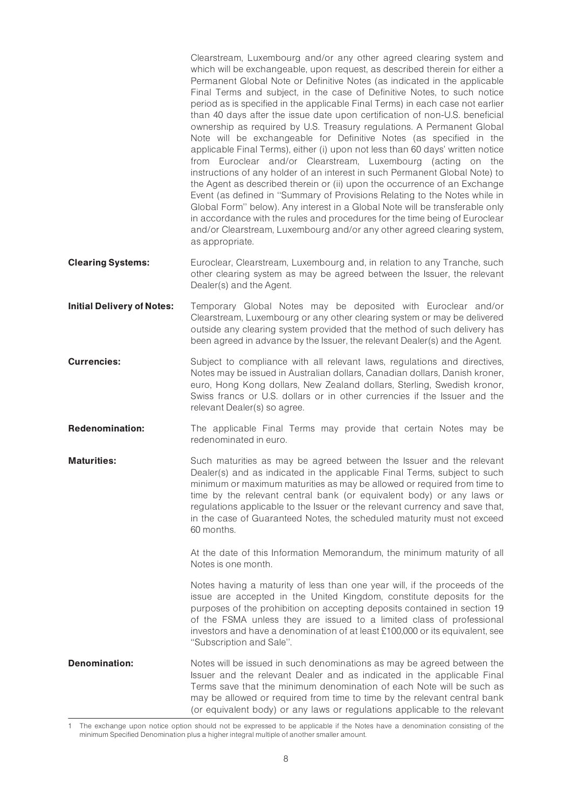Clearstream, Luxembourg and/or any other agreed clearing system and which will be exchangeable, upon request, as described therein for either a Permanent Global Note or Definitive Notes (as indicated in the applicable Final Terms and subject, in the case of Definitive Notes, to such notice period as is specified in the applicable Final Terms) in each case not earlier than 40 days after the issue date upon certification of non-U.S. beneficial ownership as required by U.S. Treasury regulations. A Permanent Global Note will be exchangeable for Definitive Notes (as specified in the applicable Final Terms), either (i) upon not less than 60 days' written notice from Euroclear and/or Clearstream, Luxembourg (acting on the instructions of any holder of an interest in such Permanent Global Note) to the Agent as described therein or (ii) upon the occurrence of an Exchange Event (as defined in ''Summary of Provisions Relating to the Notes while in Global Form'' below). Any interest in a Global Note will be transferable only in accordance with the rules and procedures for the time being of Euroclear and/or Clearstream, Luxembourg and/or any other agreed clearing system, as appropriate.

- **Clearing Systems:** Euroclear, Clearstream, Luxembourg and, in relation to any Tranche, such other clearing system as may be agreed between the Issuer, the relevant Dealer(s) and the Agent.
- **Initial Delivery of Notes:** Temporary Global Notes may be deposited with Euroclear and/or Clearstream, Luxembourg or any other clearing system or may be delivered outside any clearing system provided that the method of such delivery has been agreed in advance by the Issuer, the relevant Dealer(s) and the Agent.
- **Currencies:** Subject to compliance with all relevant laws, regulations and directives, Notes may be issued in Australian dollars, Canadian dollars, Danish kroner, euro, Hong Kong dollars, New Zealand dollars, Sterling, Swedish kronor, Swiss francs or U.S. dollars or in other currencies if the Issuer and the relevant Dealer(s) so agree.
- **Redenomination:** The applicable Final Terms may provide that certain Notes may be redenominated in euro.
- **Maturities:** Such maturities as may be agreed between the Issuer and the relevant Dealer(s) and as indicated in the applicable Final Terms, subject to such minimum or maximum maturities as may be allowed or required from time to time by the relevant central bank (or equivalent body) or any laws or regulations applicable to the Issuer or the relevant currency and save that, in the case of Guaranteed Notes, the scheduled maturity must not exceed 60 months.

At the date of this Information Memorandum, the minimum maturity of all Notes is one month.

Notes having a maturity of less than one year will, if the proceeds of the issue are accepted in the United Kingdom, constitute deposits for the purposes of the prohibition on accepting deposits contained in section 19 of the FSMA unless they are issued to a limited class of professional investors and have a denomination of at least £100,000 or its equivalent, see ''Subscription and Sale''.

**Denomination:** Notes will be issued in such denominations as may be agreed between the Issuer and the relevant Dealer and as indicated in the applicable Final Terms save that the minimum denomination of each Note will be such as may be allowed or required from time to time by the relevant central bank (or equivalent body) or any laws or regulations applicable to the relevant

<sup>1</sup> The exchange upon notice option should not be expressed to be applicable if the Notes have a denomination consisting of the minimum Specified Denomination plus a higher integral multiple of another smaller amount.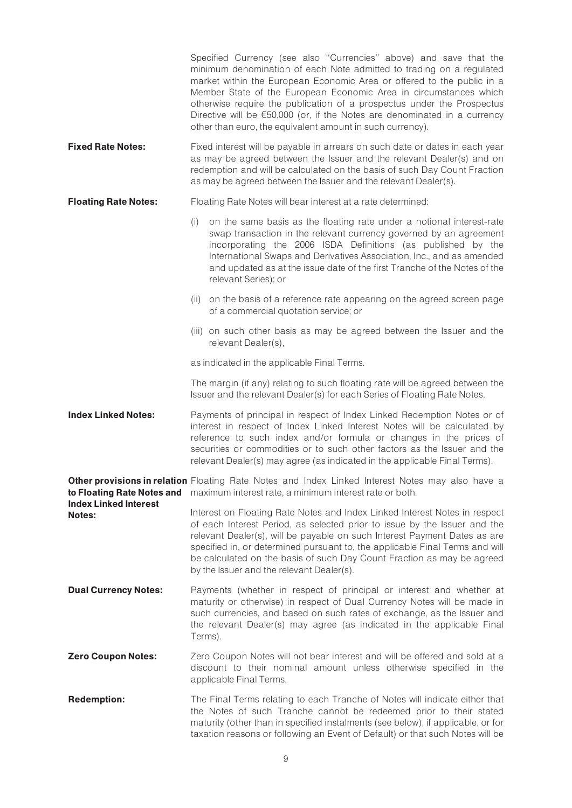|                                                                      |                                             | Specified Currency (see also "Currencies" above) and save that the<br>minimum denomination of each Note admitted to trading on a regulated<br>market within the European Economic Area or offered to the public in a<br>Member State of the European Economic Area in circumstances which<br>otherwise require the publication of a prospectus under the Prospectus<br>Directive will be $€50,000$ (or, if the Notes are denominated in a currency<br>other than euro, the equivalent amount in such currency). |  |  |
|----------------------------------------------------------------------|---------------------------------------------|-----------------------------------------------------------------------------------------------------------------------------------------------------------------------------------------------------------------------------------------------------------------------------------------------------------------------------------------------------------------------------------------------------------------------------------------------------------------------------------------------------------------|--|--|
| <b>Fixed Rate Notes:</b>                                             |                                             | Fixed interest will be payable in arrears on such date or dates in each year<br>as may be agreed between the Issuer and the relevant Dealer(s) and on<br>redemption and will be calculated on the basis of such Day Count Fraction<br>as may be agreed between the Issuer and the relevant Dealer(s).                                                                                                                                                                                                           |  |  |
| <b>Floating Rate Notes:</b>                                          |                                             | Floating Rate Notes will bear interest at a rate determined:                                                                                                                                                                                                                                                                                                                                                                                                                                                    |  |  |
|                                                                      | (i)                                         | on the same basis as the floating rate under a notional interest-rate<br>swap transaction in the relevant currency governed by an agreement<br>incorporating the 2006 ISDA Definitions (as published by the<br>International Swaps and Derivatives Association, Inc., and as amended<br>and updated as at the issue date of the first Tranche of the Notes of the<br>relevant Series); or                                                                                                                       |  |  |
|                                                                      | (ii)                                        | on the basis of a reference rate appearing on the agreed screen page<br>of a commercial quotation service; or                                                                                                                                                                                                                                                                                                                                                                                                   |  |  |
|                                                                      |                                             | (iii) on such other basis as may be agreed between the Issuer and the<br>relevant Dealer(s),                                                                                                                                                                                                                                                                                                                                                                                                                    |  |  |
|                                                                      | as indicated in the applicable Final Terms. |                                                                                                                                                                                                                                                                                                                                                                                                                                                                                                                 |  |  |
|                                                                      |                                             | The margin (if any) relating to such floating rate will be agreed between the<br>Issuer and the relevant Dealer(s) for each Series of Floating Rate Notes.                                                                                                                                                                                                                                                                                                                                                      |  |  |
| <b>Index Linked Notes:</b>                                           |                                             | Payments of principal in respect of Index Linked Redemption Notes or of<br>interest in respect of Index Linked Interest Notes will be calculated by<br>reference to such index and/or formula or changes in the prices of<br>securities or commodities or to such other factors as the Issuer and the<br>relevant Dealer(s) may agree (as indicated in the applicable Final Terms).                                                                                                                             |  |  |
| to Floating Rate Notes and<br><b>Index Linked Interest</b><br>Notes: |                                             | Other provisions in relation Floating Rate Notes and Index Linked Interest Notes may also have a<br>maximum interest rate, a minimum interest rate or both.                                                                                                                                                                                                                                                                                                                                                     |  |  |
|                                                                      |                                             | Interest on Floating Rate Notes and Index Linked Interest Notes in respect<br>of each Interest Period, as selected prior to issue by the Issuer and the<br>relevant Dealer(s), will be payable on such Interest Payment Dates as are<br>specified in, or determined pursuant to, the applicable Final Terms and will<br>be calculated on the basis of such Day Count Fraction as may be agreed<br>by the Issuer and the relevant Dealer(s).                                                                     |  |  |
| <b>Dual Currency Notes:</b>                                          |                                             | Payments (whether in respect of principal or interest and whether at<br>maturity or otherwise) in respect of Dual Currency Notes will be made in<br>such currencies, and based on such rates of exchange, as the Issuer and<br>the relevant Dealer(s) may agree (as indicated in the applicable Final<br>Terms).                                                                                                                                                                                                |  |  |
| <b>Zero Coupon Notes:</b>                                            |                                             | Zero Coupon Notes will not bear interest and will be offered and sold at a<br>discount to their nominal amount unless otherwise specified in the<br>applicable Final Terms.                                                                                                                                                                                                                                                                                                                                     |  |  |
| <b>Redemption:</b>                                                   |                                             | The Final Terms relating to each Tranche of Notes will indicate either that<br>the Notes of such Tranche cannot be redeemed prior to their stated<br>maturity (other than in specified instalments (see below), if applicable, or for<br>taxation reasons or following an Event of Default) or that such Notes will be                                                                                                                                                                                          |  |  |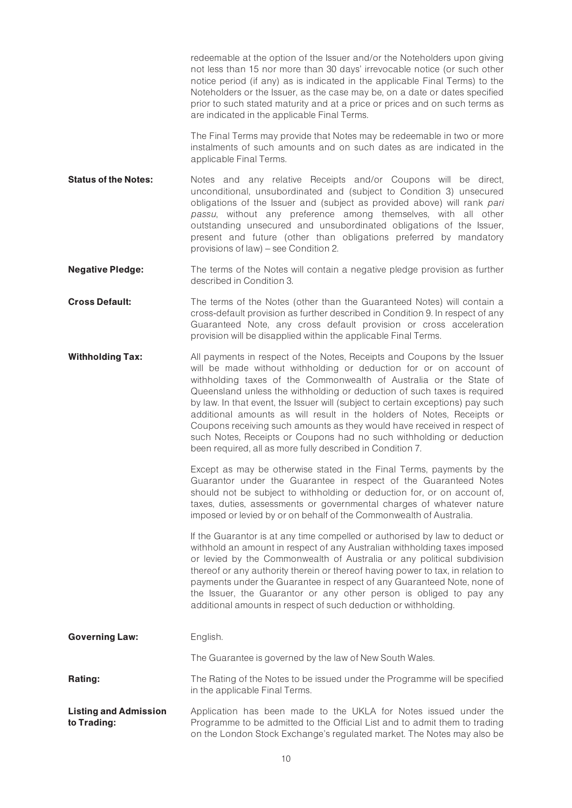redeemable at the option of the Issuer and/or the Noteholders upon giving not less than 15 nor more than 30 days' irrevocable notice (or such other notice period (if any) as is indicated in the applicable Final Terms) to the Noteholders or the Issuer, as the case may be, on a date or dates specified prior to such stated maturity and at a price or prices and on such terms as are indicated in the applicable Final Terms.

The Final Terms may provide that Notes may be redeemable in two or more instalments of such amounts and on such dates as are indicated in the applicable Final Terms.

- **Status of the Notes:** Notes and any relative Receipts and/or Coupons will be direct, unconditional, unsubordinated and (subject to Condition 3) unsecured obligations of the Issuer and (subject as provided above) will rank pari passu, without any preference among themselves, with all other outstanding unsecured and unsubordinated obligations of the Issuer, present and future (other than obligations preferred by mandatory provisions of law) – see Condition 2.
- **Negative Pledge:** The terms of the Notes will contain a negative pledge provision as further described in Condition 3.
- **Cross Default:** The terms of the Notes (other than the Guaranteed Notes) will contain a cross-default provision as further described in Condition 9. In respect of any Guaranteed Note, any cross default provision or cross acceleration provision will be disapplied within the applicable Final Terms.
- **Withholding Tax:** All payments in respect of the Notes, Receipts and Coupons by the Issuer will be made without withholding or deduction for or on account of withholding taxes of the Commonwealth of Australia or the State of Queensland unless the withholding or deduction of such taxes is required by law. In that event, the Issuer will (subject to certain exceptions) pay such additional amounts as will result in the holders of Notes, Receipts or Coupons receiving such amounts as they would have received in respect of such Notes, Receipts or Coupons had no such withholding or deduction been required, all as more fully described in Condition 7.

Except as may be otherwise stated in the Final Terms, payments by the Guarantor under the Guarantee in respect of the Guaranteed Notes should not be subject to withholding or deduction for, or on account of, taxes, duties, assessments or governmental charges of whatever nature imposed or levied by or on behalf of the Commonwealth of Australia.

If the Guarantor is at any time compelled or authorised by law to deduct or withhold an amount in respect of any Australian withholding taxes imposed or levied by the Commonwealth of Australia or any political subdivision thereof or any authority therein or thereof having power to tax, in relation to payments under the Guarantee in respect of any Guaranteed Note, none of the Issuer, the Guarantor or any other person is obliged to pay any additional amounts in respect of such deduction or withholding.

| <b>Governing Law:</b>                       | English.                                                                                                                                                                                                                 |
|---------------------------------------------|--------------------------------------------------------------------------------------------------------------------------------------------------------------------------------------------------------------------------|
|                                             | The Guarantee is governed by the law of New South Wales.                                                                                                                                                                 |
| <b>Rating:</b>                              | The Rating of the Notes to be issued under the Programme will be specified<br>in the applicable Final Terms.                                                                                                             |
| <b>Listing and Admission</b><br>to Trading: | Application has been made to the UKLA for Notes issued under the<br>Programme to be admitted to the Official List and to admit them to trading<br>on the London Stock Exchange's regulated market. The Notes may also be |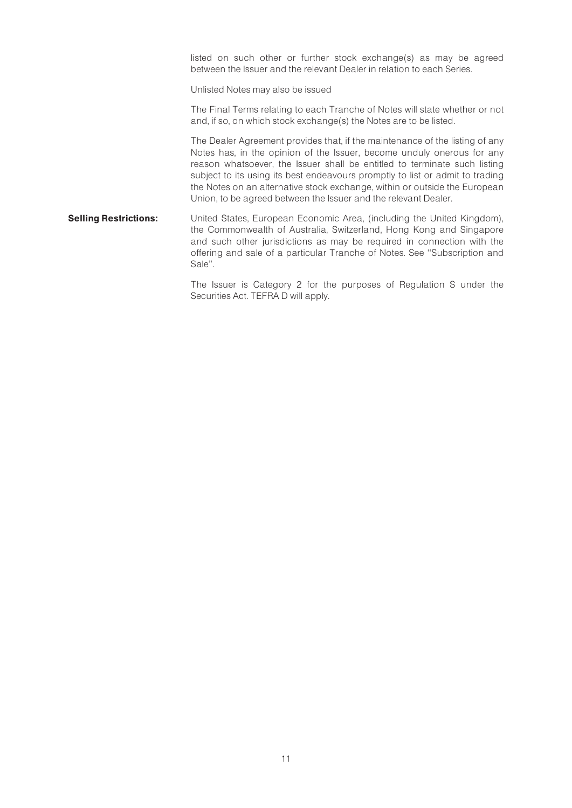listed on such other or further stock exchange(s) as may be agreed between the Issuer and the relevant Dealer in relation to each Series.

Unlisted Notes may also be issued

The Final Terms relating to each Tranche of Notes will state whether or not and, if so, on which stock exchange(s) the Notes are to be listed.

The Dealer Agreement provides that, if the maintenance of the listing of any Notes has, in the opinion of the Issuer, become unduly onerous for any reason whatsoever, the Issuer shall be entitled to terminate such listing subject to its using its best endeavours promptly to list or admit to trading the Notes on an alternative stock exchange, within or outside the European Union, to be agreed between the Issuer and the relevant Dealer.

**Selling Restrictions:** United States, European Economic Area, (including the United Kingdom), the Commonwealth of Australia, Switzerland, Hong Kong and Singapore and such other jurisdictions as may be required in connection with the offering and sale of a particular Tranche of Notes. See ''Subscription and Sale''.

> The Issuer is Category 2 for the purposes of Regulation S under the Securities Act. TEFRA D will apply.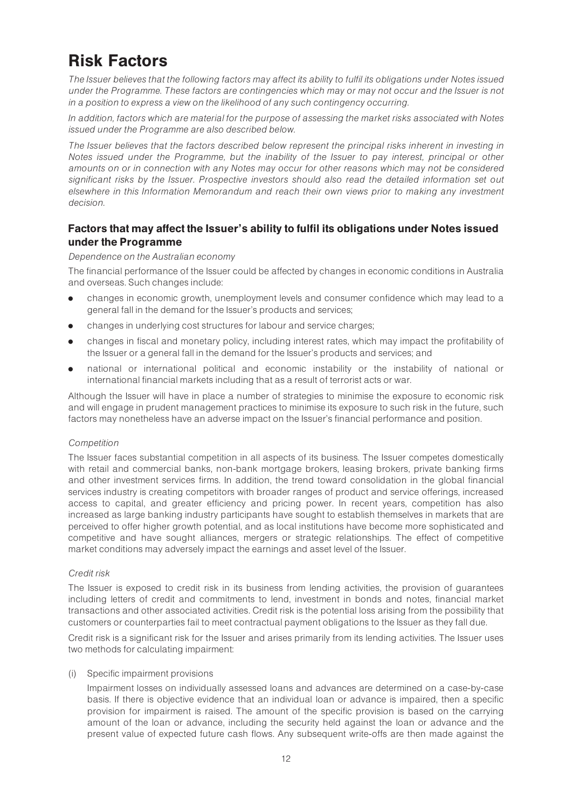## Risk Factors

The Issuer believes that the following factors may affect its ability to fulfil its obligations under Notes issued under the Programme. These factors are contingencies which may or may not occur and the Issuer is not in a position to express a view on the likelihood of any such contingency occurring.

In addition, factors which are material for the purpose of assessing the market risks associated with Notes issued under the Programme are also described below.

The Issuer believes that the factors described below represent the principal risks inherent in investing in Notes issued under the Programme, but the inability of the Issuer to pay interest, principal or other amounts on or in connection with any Notes may occur for other reasons which may not be considered significant risks by the Issuer. Prospective investors should also read the detailed information set out elsewhere in this Information Memorandum and reach their own views prior to making any investment decision.

## Factors that may affect the Issuer's ability to fulfil its obligations under Notes issued under the Programme

## Dependence on the Australian economy

The financial performance of the Issuer could be affected by changes in economic conditions in Australia and overseas. Such changes include:

- . changes in economic growth, unemployment levels and consumer confidence which may lead to a general fall in the demand for the Issuer's products and services;
- . changes in underlying cost structures for labour and service charges;
- . changes in fiscal and monetary policy, including interest rates, which may impact the profitability of the Issuer or a general fall in the demand for the Issuer's products and services; and
- . national or international political and economic instability or the instability of national or international financial markets including that as a result of terrorist acts or war.

Although the Issuer will have in place a number of strategies to minimise the exposure to economic risk and will engage in prudent management practices to minimise its exposure to such risk in the future, such factors may nonetheless have an adverse impact on the Issuer's financial performance and position.

## Competition

The Issuer faces substantial competition in all aspects of its business. The Issuer competes domestically with retail and commercial banks, non-bank mortgage brokers, leasing brokers, private banking firms and other investment services firms. In addition, the trend toward consolidation in the global financial services industry is creating competitors with broader ranges of product and service offerings, increased access to capital, and greater efficiency and pricing power. In recent years, competition has also increased as large banking industry participants have sought to establish themselves in markets that are perceived to offer higher growth potential, and as local institutions have become more sophisticated and competitive and have sought alliances, mergers or strategic relationships. The effect of competitive market conditions may adversely impact the earnings and asset level of the Issuer.

## Credit risk

The Issuer is exposed to credit risk in its business from lending activities, the provision of guarantees including letters of credit and commitments to lend, investment in bonds and notes, financial market transactions and other associated activities. Credit risk is the potential loss arising from the possibility that customers or counterparties fail to meet contractual payment obligations to the Issuer as they fall due.

Credit risk is a significant risk for the Issuer and arises primarily from its lending activities. The Issuer uses two methods for calculating impairment:

### (i) Specific impairment provisions

Impairment losses on individually assessed loans and advances are determined on a case-by-case basis. If there is objective evidence that an individual loan or advance is impaired, then a specific provision for impairment is raised. The amount of the specific provision is based on the carrying amount of the loan or advance, including the security held against the loan or advance and the present value of expected future cash flows. Any subsequent write-offs are then made against the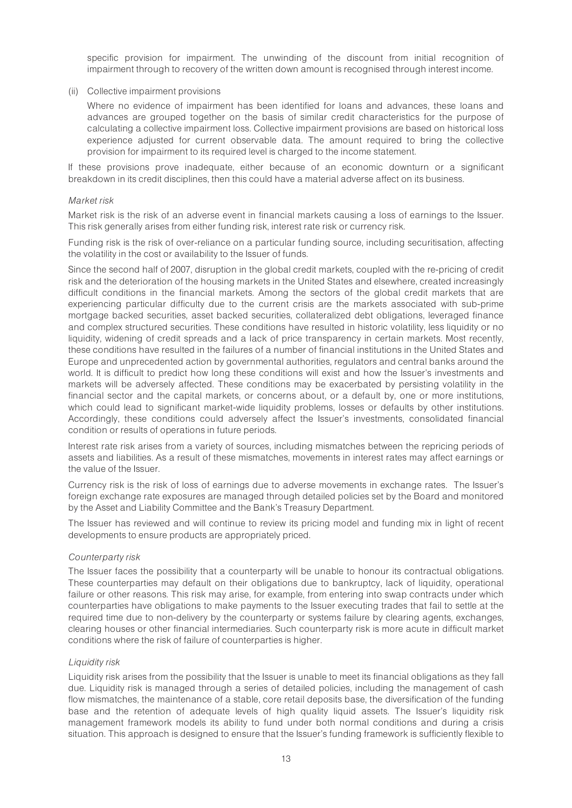specific provision for impairment. The unwinding of the discount from initial recognition of impairment through to recovery of the written down amount is recognised through interest income.

### (ii) Collective impairment provisions

Where no evidence of impairment has been identified for loans and advances, these loans and advances are grouped together on the basis of similar credit characteristics for the purpose of calculating a collective impairment loss. Collective impairment provisions are based on historical loss experience adjusted for current observable data. The amount required to bring the collective provision for impairment to its required level is charged to the income statement.

If these provisions prove inadequate, either because of an economic downturn or a significant breakdown in its credit disciplines, then this could have a material adverse affect on its business.

#### Market risk

Market risk is the risk of an adverse event in financial markets causing a loss of earnings to the Issuer. This risk generally arises from either funding risk, interest rate risk or currency risk.

Funding risk is the risk of over-reliance on a particular funding source, including securitisation, affecting the volatility in the cost or availability to the Issuer of funds.

Since the second half of 2007, disruption in the global credit markets, coupled with the re-pricing of credit risk and the deterioration of the housing markets in the United States and elsewhere, created increasingly difficult conditions in the financial markets. Among the sectors of the global credit markets that are experiencing particular difficulty due to the current crisis are the markets associated with sub-prime mortgage backed securities, asset backed securities, collateralized debt obligations, leveraged finance and complex structured securities. These conditions have resulted in historic volatility, less liquidity or no liquidity, widening of credit spreads and a lack of price transparency in certain markets. Most recently, these conditions have resulted in the failures of a number of financial institutions in the United States and Europe and unprecedented action by governmental authorities, regulators and central banks around the world. It is difficult to predict how long these conditions will exist and how the Issuer's investments and markets will be adversely affected. These conditions may be exacerbated by persisting volatility in the financial sector and the capital markets, or concerns about, or a default by, one or more institutions, which could lead to significant market-wide liquidity problems, losses or defaults by other institutions. Accordingly, these conditions could adversely affect the Issuer's investments, consolidated financial condition or results of operations in future periods.

Interest rate risk arises from a variety of sources, including mismatches between the repricing periods of assets and liabilities. As a result of these mismatches, movements in interest rates may affect earnings or the value of the Issuer.

Currency risk is the risk of loss of earnings due to adverse movements in exchange rates. The Issuer's foreign exchange rate exposures are managed through detailed policies set by the Board and monitored by the Asset and Liability Committee and the Bank's Treasury Department.

The Issuer has reviewed and will continue to review its pricing model and funding mix in light of recent developments to ensure products are appropriately priced.

### Counterparty risk

The Issuer faces the possibility that a counterparty will be unable to honour its contractual obligations. These counterparties may default on their obligations due to bankruptcy, lack of liquidity, operational failure or other reasons. This risk may arise, for example, from entering into swap contracts under which counterparties have obligations to make payments to the Issuer executing trades that fail to settle at the required time due to non-delivery by the counterparty or systems failure by clearing agents, exchanges, clearing houses or other financial intermediaries. Such counterparty risk is more acute in difficult market conditions where the risk of failure of counterparties is higher.

### Liquidity risk

Liquidity risk arises from the possibility that the Issuer is unable to meet its financial obligations as they fall due. Liquidity risk is managed through a series of detailed policies, including the management of cash flow mismatches, the maintenance of a stable, core retail deposits base, the diversification of the funding base and the retention of adequate levels of high quality liquid assets. The Issuer's liquidity risk management framework models its ability to fund under both normal conditions and during a crisis situation. This approach is designed to ensure that the Issuer's funding framework is sufficiently flexible to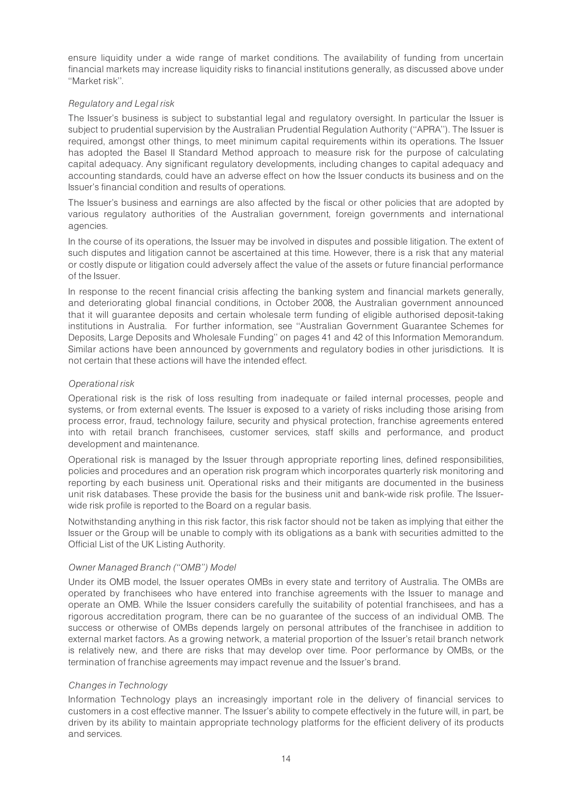ensure liquidity under a wide range of market conditions. The availability of funding from uncertain financial markets may increase liquidity risks to financial institutions generally, as discussed above under ''Market risk''.

## Regulatory and Legal risk

The Issuer's business is subject to substantial legal and regulatory oversight. In particular the Issuer is subject to prudential supervision by the Australian Prudential Regulation Authority (''APRA''). The Issuer is required, amongst other things, to meet minimum capital requirements within its operations. The Issuer has adopted the Basel II Standard Method approach to measure risk for the purpose of calculating capital adequacy. Any significant regulatory developments, including changes to capital adequacy and accounting standards, could have an adverse effect on how the Issuer conducts its business and on the Issuer's financial condition and results of operations.

The Issuer's business and earnings are also affected by the fiscal or other policies that are adopted by various regulatory authorities of the Australian government, foreign governments and international agencies.

In the course of its operations, the Issuer may be involved in disputes and possible litigation. The extent of such disputes and litigation cannot be ascertained at this time. However, there is a risk that any material or costly dispute or litigation could adversely affect the value of the assets or future financial performance of the Issuer.

In response to the recent financial crisis affecting the banking system and financial markets generally, and deteriorating global financial conditions, in October 2008, the Australian government announced that it will guarantee deposits and certain wholesale term funding of eligible authorised deposit-taking institutions in Australia. For further information, see ''Australian Government Guarantee Schemes for Deposits, Large Deposits and Wholesale Funding'' on pages 41 and 42 of this Information Memorandum. Similar actions have been announced by governments and regulatory bodies in other jurisdictions. It is not certain that these actions will have the intended effect.

## Operational risk

Operational risk is the risk of loss resulting from inadequate or failed internal processes, people and systems, or from external events. The Issuer is exposed to a variety of risks including those arising from process error, fraud, technology failure, security and physical protection, franchise agreements entered into with retail branch franchisees, customer services, staff skills and performance, and product development and maintenance.

Operational risk is managed by the Issuer through appropriate reporting lines, defined responsibilities, policies and procedures and an operation risk program which incorporates quarterly risk monitoring and reporting by each business unit. Operational risks and their mitigants are documented in the business unit risk databases. These provide the basis for the business unit and bank-wide risk profile. The Issuerwide risk profile is reported to the Board on a regular basis.

Notwithstanding anything in this risk factor, this risk factor should not be taken as implying that either the Issuer or the Group will be unable to comply with its obligations as a bank with securities admitted to the Official List of the UK Listing Authority.

## Owner Managed Branch (''OMB'') Model

Under its OMB model, the Issuer operates OMBs in every state and territory of Australia. The OMBs are operated by franchisees who have entered into franchise agreements with the Issuer to manage and operate an OMB. While the Issuer considers carefully the suitability of potential franchisees, and has a rigorous accreditation program, there can be no guarantee of the success of an individual OMB. The success or otherwise of OMBs depends largely on personal attributes of the franchisee in addition to external market factors. As a growing network, a material proportion of the Issuer's retail branch network is relatively new, and there are risks that may develop over time. Poor performance by OMBs, or the termination of franchise agreements may impact revenue and the Issuer's brand.

## Changes in Technology

Information Technology plays an increasingly important role in the delivery of financial services to customers in a cost effective manner. The Issuer's ability to compete effectively in the future will, in part, be driven by its ability to maintain appropriate technology platforms for the efficient delivery of its products and services.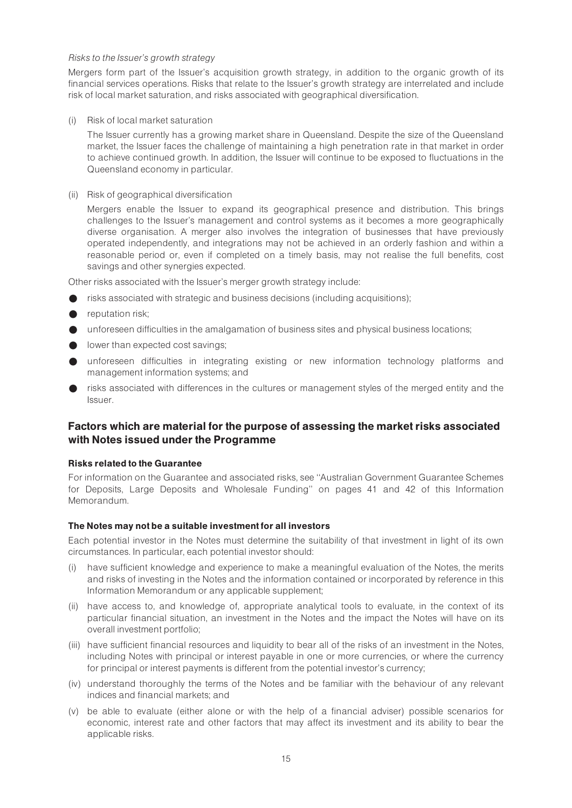## Risks to the Issuer's growth strategy

Mergers form part of the Issuer's acquisition growth strategy, in addition to the organic growth of its financial services operations. Risks that relate to the Issuer's growth strategy are interrelated and include risk of local market saturation, and risks associated with geographical diversification.

(i) Risk of local market saturation

The Issuer currently has a growing market share in Queensland. Despite the size of the Queensland market, the Issuer faces the challenge of maintaining a high penetration rate in that market in order to achieve continued growth. In addition, the Issuer will continue to be exposed to fluctuations in the Queensland economy in particular.

(ii) Risk of geographical diversification

Mergers enable the Issuer to expand its geographical presence and distribution. This brings challenges to the Issuer's management and control systems as it becomes a more geographically diverse organisation. A merger also involves the integration of businesses that have previously operated independently, and integrations may not be achieved in an orderly fashion and within a reasonable period or, even if completed on a timely basis, may not realise the full benefits, cost savings and other synergies expected.

Other risks associated with the Issuer's merger growth strategy include:

- risks associated with strategic and business decisions (including acquisitions);
- reputation risk;
- unforeseen difficulties in the amalgamation of business sites and physical business locations;
- $\bullet$  lower than expected cost savings:
- unforeseen difficulties in integrating existing or new information technology platforms and management information systems; and
- risks associated with differences in the cultures or management styles of the merged entity and the Issuer.

## Factors which are material for the purpose of assessing the market risks associated with Notes issued under the Programme

### Risks related to the Guarantee

For information on the Guarantee and associated risks, see ''Australian Government Guarantee Schemes for Deposits, Large Deposits and Wholesale Funding'' on pages 41 and 42 of this Information Memorandum.

## The Notes may not be a suitable investment for all investors

Each potential investor in the Notes must determine the suitability of that investment in light of its own circumstances. In particular, each potential investor should:

- (i) have sufficient knowledge and experience to make a meaningful evaluation of the Notes, the merits and risks of investing in the Notes and the information contained or incorporated by reference in this Information Memorandum or any applicable supplement;
- (ii) have access to, and knowledge of, appropriate analytical tools to evaluate, in the context of its particular financial situation, an investment in the Notes and the impact the Notes will have on its overall investment portfolio;
- (iii) have sufficient financial resources and liquidity to bear all of the risks of an investment in the Notes, including Notes with principal or interest payable in one or more currencies, or where the currency for principal or interest payments is different from the potential investor's currency;
- (iv) understand thoroughly the terms of the Notes and be familiar with the behaviour of any relevant indices and financial markets; and
- (v) be able to evaluate (either alone or with the help of a financial adviser) possible scenarios for economic, interest rate and other factors that may affect its investment and its ability to bear the applicable risks.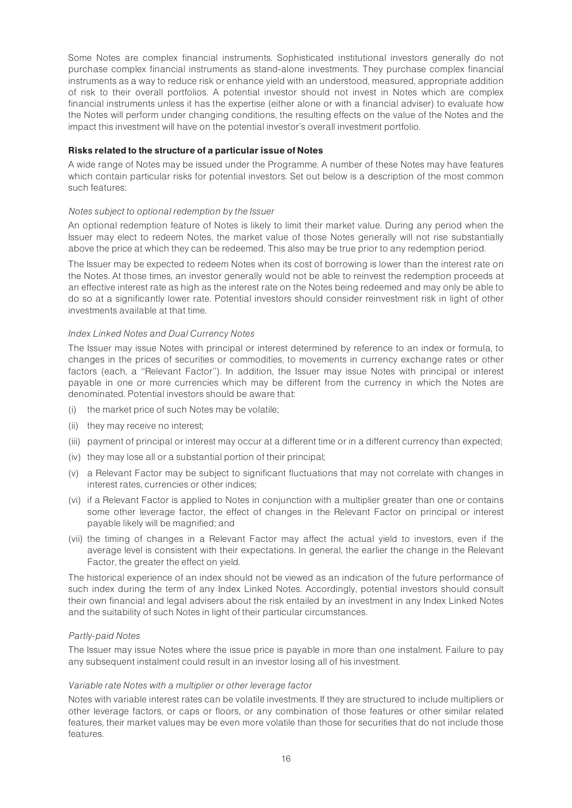Some Notes are complex financial instruments. Sophisticated institutional investors generally do not purchase complex financial instruments as stand-alone investments. They purchase complex financial instruments as a way to reduce risk or enhance yield with an understood, measured, appropriate addition of risk to their overall portfolios. A potential investor should not invest in Notes which are complex financial instruments unless it has the expertise (either alone or with a financial adviser) to evaluate how the Notes will perform under changing conditions, the resulting effects on the value of the Notes and the impact this investment will have on the potential investor's overall investment portfolio.

## Risks related to the structure of a particular issue of Notes

A wide range of Notes may be issued under the Programme. A number of these Notes may have features which contain particular risks for potential investors. Set out below is a description of the most common such features:

## Notes subject to optional redemption by the Issuer

An optional redemption feature of Notes is likely to limit their market value. During any period when the Issuer may elect to redeem Notes, the market value of those Notes generally will not rise substantially above the price at which they can be redeemed. This also may be true prior to any redemption period.

The Issuer may be expected to redeem Notes when its cost of borrowing is lower than the interest rate on the Notes. At those times, an investor generally would not be able to reinvest the redemption proceeds at an effective interest rate as high as the interest rate on the Notes being redeemed and may only be able to do so at a significantly lower rate. Potential investors should consider reinvestment risk in light of other investments available at that time.

### Index Linked Notes and Dual Currency Notes

The Issuer may issue Notes with principal or interest determined by reference to an index or formula, to changes in the prices of securities or commodities, to movements in currency exchange rates or other factors (each, a ''Relevant Factor''). In addition, the Issuer may issue Notes with principal or interest payable in one or more currencies which may be different from the currency in which the Notes are denominated. Potential investors should be aware that:

- (i) the market price of such Notes may be volatile;
- (ii) they may receive no interest;
- (iii) payment of principal or interest may occur at a different time or in a different currency than expected;
- (iv) they may lose all or a substantial portion of their principal;
- (v) a Relevant Factor may be subject to significant fluctuations that may not correlate with changes in interest rates, currencies or other indices;
- (vi) if a Relevant Factor is applied to Notes in conjunction with a multiplier greater than one or contains some other leverage factor, the effect of changes in the Relevant Factor on principal or interest payable likely will be magnified; and
- (vii) the timing of changes in a Relevant Factor may affect the actual yield to investors, even if the average level is consistent with their expectations. In general, the earlier the change in the Relevant Factor, the greater the effect on yield.

The historical experience of an index should not be viewed as an indication of the future performance of such index during the term of any Index Linked Notes. Accordingly, potential investors should consult their own financial and legal advisers about the risk entailed by an investment in any Index Linked Notes and the suitability of such Notes in light of their particular circumstances.

## Partly-paid Notes

The Issuer may issue Notes where the issue price is payable in more than one instalment. Failure to pay any subsequent instalment could result in an investor losing all of his investment.

### Variable rate Notes with a multiplier or other leverage factor

Notes with variable interest rates can be volatile investments. If they are structured to include multipliers or other leverage factors, or caps or floors, or any combination of those features or other similar related features, their market values may be even more volatile than those for securities that do not include those features.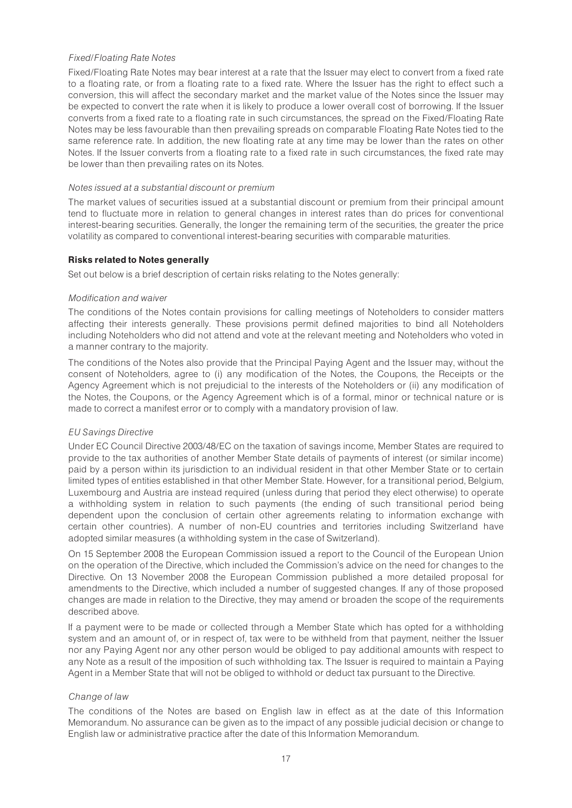## Fixed/Floating Rate Notes

Fixed/Floating Rate Notes may bear interest at a rate that the Issuer may elect to convert from a fixed rate to a floating rate, or from a floating rate to a fixed rate. Where the Issuer has the right to effect such a conversion, this will affect the secondary market and the market value of the Notes since the Issuer may be expected to convert the rate when it is likely to produce a lower overall cost of borrowing. If the Issuer converts from a fixed rate to a floating rate in such circumstances, the spread on the Fixed/Floating Rate Notes may be less favourable than then prevailing spreads on comparable Floating Rate Notes tied to the same reference rate. In addition, the new floating rate at any time may be lower than the rates on other Notes. If the Issuer converts from a floating rate to a fixed rate in such circumstances, the fixed rate may be lower than then prevailing rates on its Notes.

### Notes issued at a substantial discount or premium

The market values of securities issued at a substantial discount or premium from their principal amount tend to fluctuate more in relation to general changes in interest rates than do prices for conventional interest-bearing securities. Generally, the longer the remaining term of the securities, the greater the price volatility as compared to conventional interest-bearing securities with comparable maturities.

## Risks related to Notes generally

Set out below is a brief description of certain risks relating to the Notes generally:

## Modification and waiver

The conditions of the Notes contain provisions for calling meetings of Noteholders to consider matters affecting their interests generally. These provisions permit defined majorities to bind all Noteholders including Noteholders who did not attend and vote at the relevant meeting and Noteholders who voted in a manner contrary to the majority.

The conditions of the Notes also provide that the Principal Paying Agent and the Issuer may, without the consent of Noteholders, agree to (i) any modification of the Notes, the Coupons, the Receipts or the Agency Agreement which is not prejudicial to the interests of the Noteholders or (ii) any modification of the Notes, the Coupons, or the Agency Agreement which is of a formal, minor or technical nature or is made to correct a manifest error or to comply with a mandatory provision of law.

## EU Savings Directive

Under EC Council Directive 2003/48/EC on the taxation of savings income, Member States are required to provide to the tax authorities of another Member State details of payments of interest (or similar income) paid by a person within its jurisdiction to an individual resident in that other Member State or to certain limited types of entities established in that other Member State. However, for a transitional period, Belgium, Luxembourg and Austria are instead required (unless during that period they elect otherwise) to operate a withholding system in relation to such payments (the ending of such transitional period being dependent upon the conclusion of certain other agreements relating to information exchange with certain other countries). A number of non-EU countries and territories including Switzerland have adopted similar measures (a withholding system in the case of Switzerland).

On 15 September 2008 the European Commission issued a report to the Council of the European Union on the operation of the Directive, which included the Commission's advice on the need for changes to the Directive. On 13 November 2008 the European Commission published a more detailed proposal for amendments to the Directive, which included a number of suggested changes. If any of those proposed changes are made in relation to the Directive, they may amend or broaden the scope of the requirements described above.

If a payment were to be made or collected through a Member State which has opted for a withholding system and an amount of, or in respect of, tax were to be withheld from that payment, neither the Issuer nor any Paying Agent nor any other person would be obliged to pay additional amounts with respect to any Note as a result of the imposition of such withholding tax. The Issuer is required to maintain a Paying Agent in a Member State that will not be obliged to withhold or deduct tax pursuant to the Directive.

## Change of law

The conditions of the Notes are based on English law in effect as at the date of this Information Memorandum. No assurance can be given as to the impact of any possible judicial decision or change to English law or administrative practice after the date of this Information Memorandum.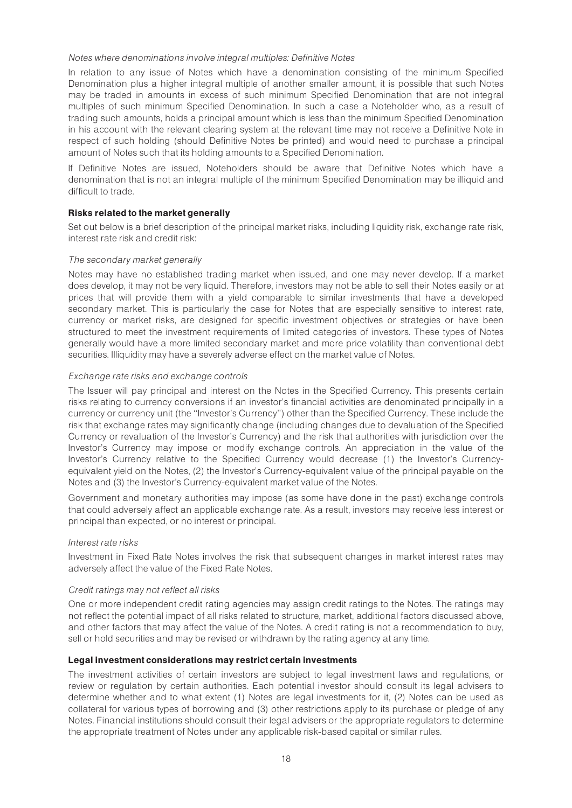#### Notes where denominations involve integral multiples: Definitive Notes

In relation to any issue of Notes which have a denomination consisting of the minimum Specified Denomination plus a higher integral multiple of another smaller amount, it is possible that such Notes may be traded in amounts in excess of such minimum Specified Denomination that are not integral multiples of such minimum Specified Denomination. In such a case a Noteholder who, as a result of trading such amounts, holds a principal amount which is less than the minimum Specified Denomination in his account with the relevant clearing system at the relevant time may not receive a Definitive Note in respect of such holding (should Definitive Notes be printed) and would need to purchase a principal amount of Notes such that its holding amounts to a Specified Denomination.

If Definitive Notes are issued, Noteholders should be aware that Definitive Notes which have a denomination that is not an integral multiple of the minimum Specified Denomination may be illiquid and difficult to trade.

## Risks related to the market generally

Set out below is a brief description of the principal market risks, including liquidity risk, exchange rate risk, interest rate risk and credit risk:

## The secondary market generally

Notes may have no established trading market when issued, and one may never develop. If a market does develop, it may not be very liquid. Therefore, investors may not be able to sell their Notes easily or at prices that will provide them with a yield comparable to similar investments that have a developed secondary market. This is particularly the case for Notes that are especially sensitive to interest rate, currency or market risks, are designed for specific investment objectives or strategies or have been structured to meet the investment requirements of limited categories of investors. These types of Notes generally would have a more limited secondary market and more price volatility than conventional debt securities. Illiquidity may have a severely adverse effect on the market value of Notes.

## Exchange rate risks and exchange controls

The Issuer will pay principal and interest on the Notes in the Specified Currency. This presents certain risks relating to currency conversions if an investor's financial activities are denominated principally in a currency or currency unit (the ''Investor's Currency'') other than the Specified Currency. These include the risk that exchange rates may significantly change (including changes due to devaluation of the Specified Currency or revaluation of the Investor's Currency) and the risk that authorities with jurisdiction over the Investor's Currency may impose or modify exchange controls. An appreciation in the value of the Investor's Currency relative to the Specified Currency would decrease (1) the Investor's Currencyequivalent yield on the Notes, (2) the Investor's Currency-equivalent value of the principal payable on the Notes and (3) the Investor's Currency-equivalent market value of the Notes.

Government and monetary authorities may impose (as some have done in the past) exchange controls that could adversely affect an applicable exchange rate. As a result, investors may receive less interest or principal than expected, or no interest or principal.

### Interest rate risks

Investment in Fixed Rate Notes involves the risk that subsequent changes in market interest rates may adversely affect the value of the Fixed Rate Notes.

## Credit ratings may not reflect all risks

One or more independent credit rating agencies may assign credit ratings to the Notes. The ratings may not reflect the potential impact of all risks related to structure, market, additional factors discussed above, and other factors that may affect the value of the Notes. A credit rating is not a recommendation to buy, sell or hold securities and may be revised or withdrawn by the rating agency at any time.

### Legal investment considerations may restrict certain investments

The investment activities of certain investors are subject to legal investment laws and regulations, or review or regulation by certain authorities. Each potential investor should consult its legal advisers to determine whether and to what extent (1) Notes are legal investments for it, (2) Notes can be used as collateral for various types of borrowing and (3) other restrictions apply to its purchase or pledge of any Notes. Financial institutions should consult their legal advisers or the appropriate regulators to determine the appropriate treatment of Notes under any applicable risk-based capital or similar rules.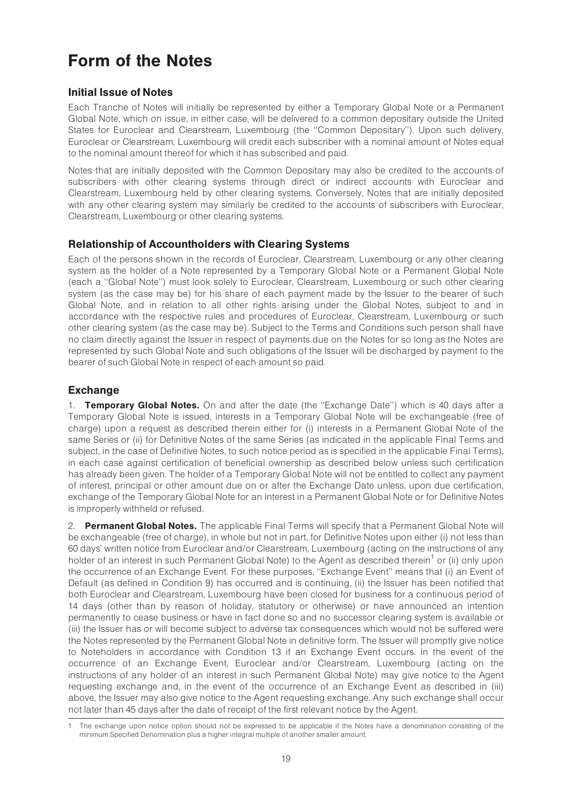## Form of the Notes

## Initial Issue of Notes

Each Tranche of Notes will initially be represented by either a Temporary Global Note or a Permanent Global Note, which on issue, in either case, will be delivered to a common depositary outside the United States for Euroclear and Clearstream, Luxembourg (the ''Common Depositary''). Upon such delivery, Euroclear or Clearstream, Luxembourg will credit each subscriber with a nominal amount of Notes equal to the nominal amount thereof for which it has subscribed and paid.

Notes that are initially deposited with the Common Depositary may also be credited to the accounts of subscribers with other clearing systems through direct or indirect accounts with Euroclear and Clearstream, Luxembourg held by other clearing systems. Conversely, Notes that are initially deposited with any other clearing system may similarly be credited to the accounts of subscribers with Euroclear, Clearstream, Luxembourg or other clearing systems.

## Relationship of Accountholders with Clearing Systems

Each of the persons shown in the records of Euroclear, Clearstream, Luxembourg or any other clearing system as the holder of a Note represented by a Temporary Global Note or a Permanent Global Note (each a ''Global Note'') must look solely to Euroclear, Clearstream, Luxembourg or such other clearing system (as the case may be) for his share of each payment made by the Issuer to the bearer of such Global Note, and in relation to all other rights arising under the Global Notes, subject to and in accordance with the respective rules and procedures of Euroclear, Clearstream, Luxembourg or such other clearing system (as the case may be). Subject to the Terms and Conditions such person shall have no claim directly against the Issuer in respect of payments due on the Notes for so long as the Notes are represented by such Global Note and such obligations of the Issuer will be discharged by payment to the bearer of such Global Note in respect of each amount so paid.

## Exchange

1. **Temporary Global Notes.** On and after the date (the "Exchange Date") which is 40 days after a Temporary Global Note is issued, interests in a Temporary Global Note will be exchangeable (free of charge) upon a request as described therein either for (i) interests in a Permanent Global Note of the same Series or (ii) for Definitive Notes of the same Series (as indicated in the applicable Final Terms and subject, in the case of Definitive Notes, to such notice period as is specified in the applicable Final Terms), in each case against certification of beneficial ownership as described below unless such certification has already been given. The holder of a Temporary Global Note will not be entitled to collect any payment of interest, principal or other amount due on or after the Exchange Date unless, upon due certification, exchange of the Temporary Global Note for an interest in a Permanent Global Note or for Definitive Notes is improperly withheld or refused.

2. Permanent Global Notes. The applicable Final Terms will specify that a Permanent Global Note will be exchangeable (free of charge), in whole but not in part, for Definitive Notes upon either (i) not less than 60 days' written notice from Euroclear and/or Clearstream, Luxembourg (acting on the instructions of any holder of an interest in such Permanent Global Note) to the Agent as described therein<sup>1</sup> or (ii) only upon the occurrence of an Exchange Event. For these purposes, ''Exchange Event'' means that (i) an Event of Default (as defined in Condition 9) has occurred and is continuing, (ii) the Issuer has been notified that both Euroclear and Clearstream, Luxembourg have been closed for business for a continuous period of 14 days (other than by reason of holiday, statutory or otherwise) or have announced an intention permanently to cease business or have in fact done so and no successor clearing system is available or (iii) the Issuer has or will become subject to adverse tax consequences which would not be suffered were the Notes represented by the Permanent Global Note in definitive form. The Issuer will promptly give notice to Noteholders in accordance with Condition 13 if an Exchange Event occurs. In the event of the occurrence of an Exchange Event, Euroclear and/or Clearstream, Luxembourg (acting on the instructions of any holder of an interest in such Permanent Global Note) may give notice to the Agent requesting exchange and, in the event of the occurrence of an Exchange Event as described in (iii) above, the Issuer may also give notice to the Agent requesting exchange. Any such exchange shall occur not later than 45 days after the date of receipt of the first relevant notice by the Agent.

<sup>1</sup> The exchange upon notice option should not be expressed to be applicable if the Notes have a denomination consisting of the minimum Specified Denomination plus a higher integral multiple of another smaller amount.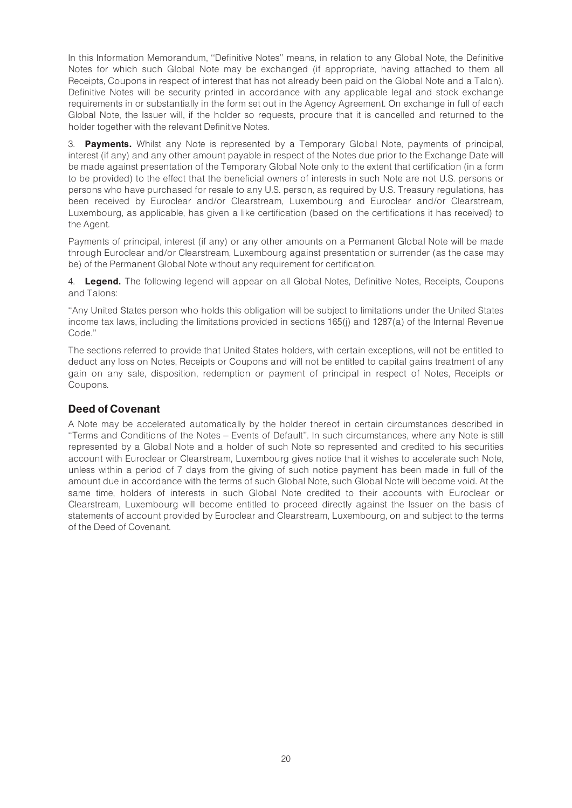In this Information Memorandum, ''Definitive Notes'' means, in relation to any Global Note, the Definitive Notes for which such Global Note may be exchanged (if appropriate, having attached to them all Receipts, Coupons in respect of interest that has not already been paid on the Global Note and a Talon). Definitive Notes will be security printed in accordance with any applicable legal and stock exchange requirements in or substantially in the form set out in the Agency Agreement. On exchange in full of each Global Note, the Issuer will, if the holder so requests, procure that it is cancelled and returned to the holder together with the relevant Definitive Notes.

3. **Payments.** Whilst any Note is represented by a Temporary Global Note, payments of principal, interest (if any) and any other amount payable in respect of the Notes due prior to the Exchange Date will be made against presentation of the Temporary Global Note only to the extent that certification (in a form to be provided) to the effect that the beneficial owners of interests in such Note are not U.S. persons or persons who have purchased for resale to any U.S. person, as required by U.S. Treasury regulations, has been received by Euroclear and/or Clearstream, Luxembourg and Euroclear and/or Clearstream, Luxembourg, as applicable, has given a like certification (based on the certifications it has received) to the Agent.

Payments of principal, interest (if any) or any other amounts on a Permanent Global Note will be made through Euroclear and/or Clearstream, Luxembourg against presentation or surrender (as the case may be) of the Permanent Global Note without any requirement for certification.

4. **Legend.** The following legend will appear on all Global Notes, Definitive Notes, Receipts, Coupons and Talons:

''Any United States person who holds this obligation will be subject to limitations under the United States income tax laws, including the limitations provided in sections 165(j) and 1287(a) of the Internal Revenue Code.''

The sections referred to provide that United States holders, with certain exceptions, will not be entitled to deduct any loss on Notes, Receipts or Coupons and will not be entitled to capital gains treatment of any gain on any sale, disposition, redemption or payment of principal in respect of Notes, Receipts or Coupons.

## Deed of Covenant

A Note may be accelerated automatically by the holder thereof in certain circumstances described in ''Terms and Conditions of the Notes ^ Events of Default''. In such circumstances, where any Note is still represented by a Global Note and a holder of such Note so represented and credited to his securities account with Euroclear or Clearstream, Luxembourg gives notice that it wishes to accelerate such Note, unless within a period of 7 days from the giving of such notice payment has been made in full of the amount due in accordance with the terms of such Global Note, such Global Note will become void. At the same time, holders of interests in such Global Note credited to their accounts with Euroclear or Clearstream, Luxembourg will become entitled to proceed directly against the Issuer on the basis of statements of account provided by Euroclear and Clearstream, Luxembourg, on and subject to the terms of the Deed of Covenant.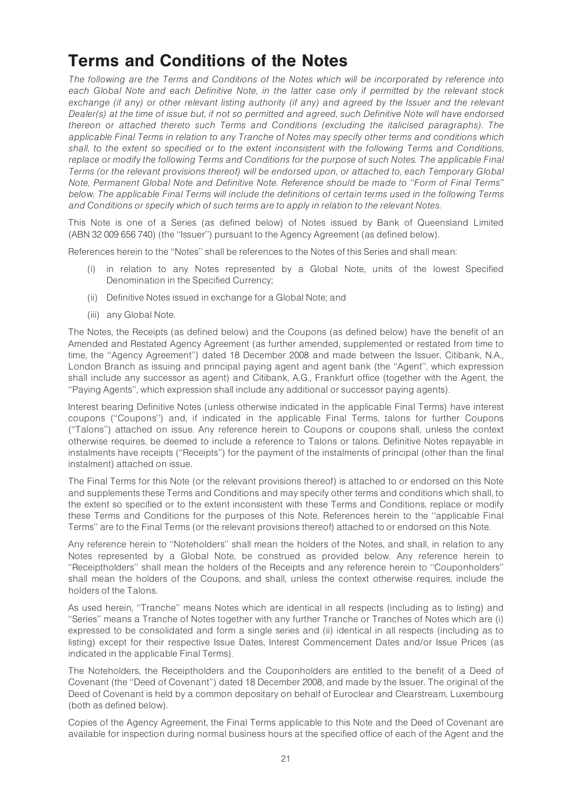## Terms and Conditions of the Notes

The following are the Terms and Conditions of the Notes which will be incorporated by reference into each Global Note and each Definitive Note, in the latter case only if permitted by the relevant stock exchange (if any) or other relevant listing authority (if any) and agreed by the Issuer and the relevant Dealer(s) at the time of issue but, if not so permitted and agreed, such Definitive Note will have endorsed thereon or attached thereto such Terms and Conditions (excluding the italicised paragraphs). The applicable Final Terms in relation to any Tranche of Notes may specify other terms and conditions which shall, to the extent so specified or to the extent inconsistent with the following Terms and Conditions, replace or modify the following Terms and Conditions for the purpose of such Notes. The applicable Final Terms (or the relevant provisions thereof) will be endorsed upon, or attached to, each Temporary Global Note, Permanent Global Note and Definitive Note. Reference should be made to ''Form of Final Terms'' below. The applicable Final Terms will include the definitions of certain terms used in the following Terms and Conditions or specify which of such terms are to apply in relation to the relevant Notes.

This Note is one of a Series (as defined below) of Notes issued by Bank of Queensland Limited (ABN 32 009 656 740) (the ''Issuer'') pursuant to the Agency Agreement (as defined below).

References herein to the ''Notes'' shall be references to the Notes of this Series and shall mean:

- (i) in relation to any Notes represented by a Global Note, units of the lowest Specified Denomination in the Specified Currency;
- (ii) Definitive Notes issued in exchange for a Global Note; and
- (iii) any Global Note.

The Notes, the Receipts (as defined below) and the Coupons (as defined below) have the benefit of an Amended and Restated Agency Agreement (as further amended, supplemented or restated from time to time, the ''Agency Agreement'') dated 18 December 2008 and made between the Issuer, Citibank, N.A., London Branch as issuing and principal paying agent and agent bank (the ''Agent'', which expression shall include any successor as agent) and Citibank, A.G., Frankfurt office (together with the Agent, the ''Paying Agents'', which expression shall include any additional or successor paying agents).

Interest bearing Definitive Notes (unless otherwise indicated in the applicable Final Terms) have interest coupons (''Coupons'') and, if indicated in the applicable Final Terms, talons for further Coupons (''Talons'') attached on issue. Any reference herein to Coupons or coupons shall, unless the context otherwise requires, be deemed to include a reference to Talons or talons. Definitive Notes repayable in instalments have receipts (''Receipts'') for the payment of the instalments of principal (other than the final instalment) attached on issue.

The Final Terms for this Note (or the relevant provisions thereof) is attached to or endorsed on this Note and supplements these Terms and Conditions and may specify other terms and conditions which shall, to the extent so specified or to the extent inconsistent with these Terms and Conditions, replace or modify these Terms and Conditions for the purposes of this Note. References herein to the ''applicable Final Terms'' are to the Final Terms (or the relevant provisions thereof) attached to or endorsed on this Note.

Any reference herein to ''Noteholders'' shall mean the holders of the Notes, and shall, in relation to any Notes represented by a Global Note, be construed as provided below. Any reference herein to ''Receiptholders'' shall mean the holders of the Receipts and any reference herein to ''Couponholders'' shall mean the holders of the Coupons, and shall, unless the context otherwise requires, include the holders of the Talons.

As used herein, "Tranche" means Notes which are identical in all respects (including as to listing) and ''Series'' means a Tranche of Notes together with any further Tranche or Tranches of Notes which are (i) expressed to be consolidated and form a single series and (ii) identical in all respects (including as to listing) except for their respective Issue Dates, Interest Commencement Dates and/or Issue Prices (as indicated in the applicable Final Terms).

The Noteholders, the Receiptholders and the Couponholders are entitled to the benefit of a Deed of Covenant (the ''Deed of Covenant'') dated 18 December 2008, and made by the Issuer. The original of the Deed of Covenant is held by a common depositary on behalf of Euroclear and Clearstream, Luxembourg (both as defined below).

Copies of the Agency Agreement, the Final Terms applicable to this Note and the Deed of Covenant are available for inspection during normal business hours at the specified office of each of the Agent and the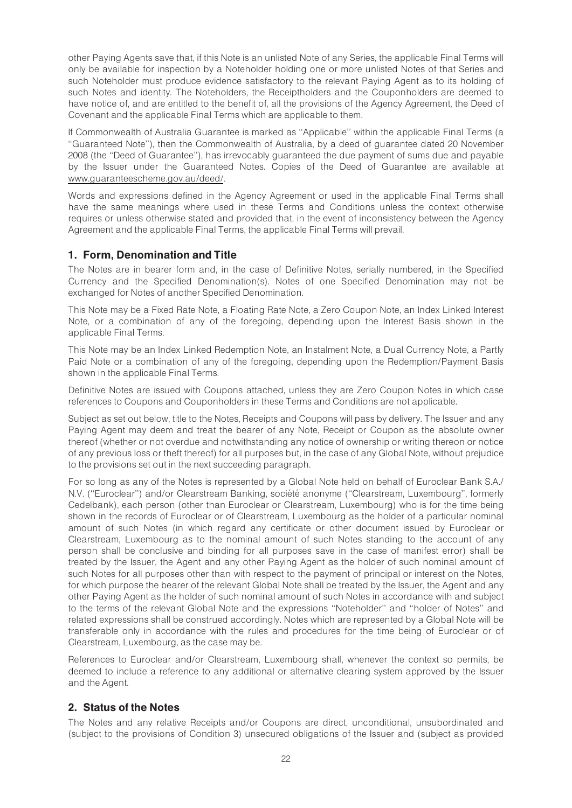other Paying Agents save that, if this Note is an unlisted Note of any Series, the applicable Final Terms will only be available for inspection by a Noteholder holding one or more unlisted Notes of that Series and such Noteholder must produce evidence satisfactory to the relevant Paying Agent as to its holding of such Notes and identity. The Noteholders, the Receiptholders and the Couponholders are deemed to have notice of, and are entitled to the benefit of, all the provisions of the Agency Agreement, the Deed of Covenant and the applicable Final Terms which are applicable to them.

If Commonwealth of Australia Guarantee is marked as ''Applicable'' within the applicable Final Terms (a ''Guaranteed Note''), then the Commonwealth of Australia, by a deed of guarantee dated 20 November 2008 (the ''Deed of Guarantee''), has irrevocably guaranteed the due payment of sums due and payable by the Issuer under the Guaranteed Notes. Copies of the Deed of Guarantee are available at www.guaranteescheme.gov.au/deed/.

Words and expressions defined in the Agency Agreement or used in the applicable Final Terms shall have the same meanings where used in these Terms and Conditions unless the context otherwise requires or unless otherwise stated and provided that, in the event of inconsistency between the Agency Agreement and the applicable Final Terms, the applicable Final Terms will prevail.

## 1. Form, Denomination and Title

The Notes are in bearer form and, in the case of Definitive Notes, serially numbered, in the Specified Currency and the Specified Denomination(s). Notes of one Specified Denomination may not be exchanged for Notes of another Specified Denomination.

This Note may be a Fixed Rate Note, a Floating Rate Note, a Zero Coupon Note, an Index Linked Interest Note, or a combination of any of the foregoing, depending upon the Interest Basis shown in the applicable Final Terms.

This Note may be an Index Linked Redemption Note, an Instalment Note, a Dual Currency Note, a Partly Paid Note or a combination of any of the foregoing, depending upon the Redemption/Payment Basis shown in the applicable Final Terms.

Definitive Notes are issued with Coupons attached, unless they are Zero Coupon Notes in which case references to Coupons and Couponholders in these Terms and Conditions are not applicable.

Subject as set out below, title to the Notes, Receipts and Coupons will pass by delivery. The Issuer and any Paying Agent may deem and treat the bearer of any Note, Receipt or Coupon as the absolute owner thereof (whether or not overdue and notwithstanding any notice of ownership or writing thereon or notice of any previous loss or theft thereof) for all purposes but, in the case of any Global Note, without prejudice to the provisions set out in the next succeeding paragraph.

For so long as any of the Notes is represented by a Global Note held on behalf of Euroclear Bank S.A./ N.V. ("Euroclear") and/or Clearstream Banking, société anonyme ("Clearstream, Luxembourg", formerly Cedelbank), each person (other than Euroclear or Clearstream, Luxembourg) who is for the time being shown in the records of Euroclear or of Clearstream, Luxembourg as the holder of a particular nominal amount of such Notes (in which regard any certificate or other document issued by Euroclear or Clearstream, Luxembourg as to the nominal amount of such Notes standing to the account of any person shall be conclusive and binding for all purposes save in the case of manifest error) shall be treated by the Issuer, the Agent and any other Paying Agent as the holder of such nominal amount of such Notes for all purposes other than with respect to the payment of principal or interest on the Notes, for which purpose the bearer of the relevant Global Note shall be treated by the Issuer, the Agent and any other Paying Agent as the holder of such nominal amount of such Notes in accordance with and subject to the terms of the relevant Global Note and the expressions ''Noteholder'' and ''holder of Notes'' and related expressions shall be construed accordingly. Notes which are represented by a Global Note will be transferable only in accordance with the rules and procedures for the time being of Euroclear or of Clearstream, Luxembourg, as the case may be.

References to Euroclear and/or Clearstream, Luxembourg shall, whenever the context so permits, be deemed to include a reference to any additional or alternative clearing system approved by the Issuer and the Agent.

## 2. Status of the Notes

The Notes and any relative Receipts and/or Coupons are direct, unconditional, unsubordinated and (subject to the provisions of Condition 3) unsecured obligations of the Issuer and (subject as provided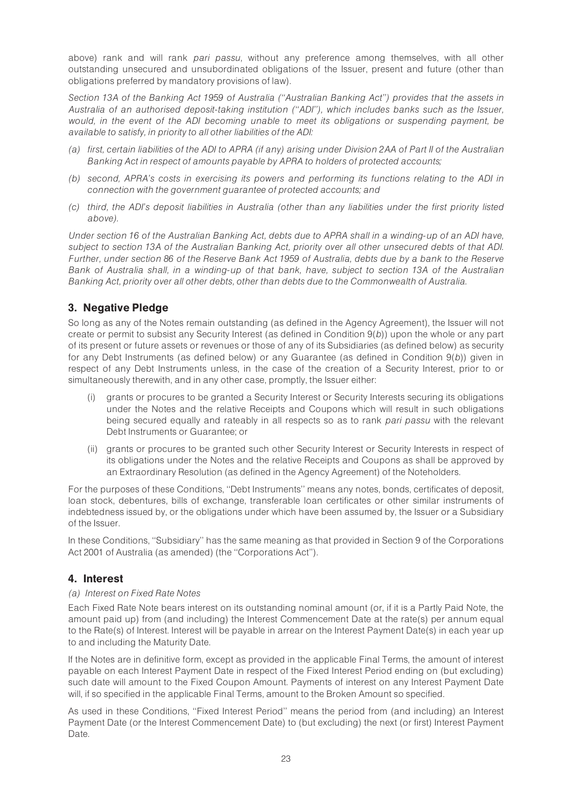above) rank and will rank pari passu, without any preference among themselves, with all other outstanding unsecured and unsubordinated obligations of the Issuer, present and future (other than obligations preferred by mandatory provisions of law).

Section 13A of the Banking Act 1959 of Australia (''Australian Banking Act'') provides that the assets in Australia of an authorised deposit-taking institution (''ADI''), which includes banks such as the Issuer, would, in the event of the ADI becoming unable to meet its obligations or suspending payment, be available to satisfy, in priority to all other liabilities of the ADI:

- (a) first, certain liabilities of the ADI to APRA (if any) arising under Division 2AA of Part II of the Australian Banking Act in respect of amounts payable by APRA to holders of protected accounts;
- (b) second, APRA's costs in exercising its powers and performing its functions relating to the ADI in connection with the government guarantee of protected accounts; and
- (c) third, the ADI's deposit liabilities in Australia (other than any liabilities under the first priority listed above).

Under section 16 of the Australian Banking Act, debts due to APRA shall in a winding-up of an ADI have, subject to section 13A of the Australian Banking Act, priority over all other unsecured debts of that ADI. Further, under section 86 of the Reserve Bank Act 1959 of Australia, debts due by a bank to the Reserve Bank of Australia shall, in a winding-up of that bank, have, subject to section 13A of the Australian Banking Act, priority over all other debts, other than debts due to the Commonwealth of Australia.

## 3. Negative Pledge

So long as any of the Notes remain outstanding (as defined in the Agency Agreement), the Issuer will not create or permit to subsist any Security Interest (as defined in Condition 9(b)) upon the whole or any part of its present or future assets or revenues or those of any of its Subsidiaries (as defined below) as security for any Debt Instruments (as defined below) or any Guarantee (as defined in Condition 9(b)) given in respect of any Debt Instruments unless, in the case of the creation of a Security Interest, prior to or simultaneously therewith, and in any other case, promptly, the Issuer either:

- (i) grants or procures to be granted a Security Interest or Security Interests securing its obligations under the Notes and the relative Receipts and Coupons which will result in such obligations being secured equally and rateably in all respects so as to rank pari passu with the relevant Debt Instruments or Guarantee; or
- (ii) grants or procures to be granted such other Security Interest or Security Interests in respect of its obligations under the Notes and the relative Receipts and Coupons as shall be approved by an Extraordinary Resolution (as defined in the Agency Agreement) of the Noteholders.

For the purposes of these Conditions, ''Debt Instruments'' means any notes, bonds, certificates of deposit, loan stock, debentures, bills of exchange, transferable loan certificates or other similar instruments of indebtedness issued by, or the obligations under which have been assumed by, the Issuer or a Subsidiary of the Issuer.

In these Conditions, ''Subsidiary'' has the same meaning as that provided in Section 9 of the Corporations Act 2001 of Australia (as amended) (the ''Corporations Act'').

## 4. Interest

## (a) Interest on Fixed Rate Notes

Each Fixed Rate Note bears interest on its outstanding nominal amount (or, if it is a Partly Paid Note, the amount paid up) from (and including) the Interest Commencement Date at the rate(s) per annum equal to the Rate(s) of Interest. Interest will be payable in arrear on the Interest Payment Date(s) in each year up to and including the Maturity Date.

If the Notes are in definitive form, except as provided in the applicable Final Terms, the amount of interest payable on each Interest Payment Date in respect of the Fixed Interest Period ending on (but excluding) such date will amount to the Fixed Coupon Amount. Payments of interest on any Interest Payment Date will, if so specified in the applicable Final Terms, amount to the Broken Amount so specified.

As used in these Conditions, ''Fixed Interest Period'' means the period from (and including) an Interest Payment Date (or the Interest Commencement Date) to (but excluding) the next (or first) Interest Payment Date.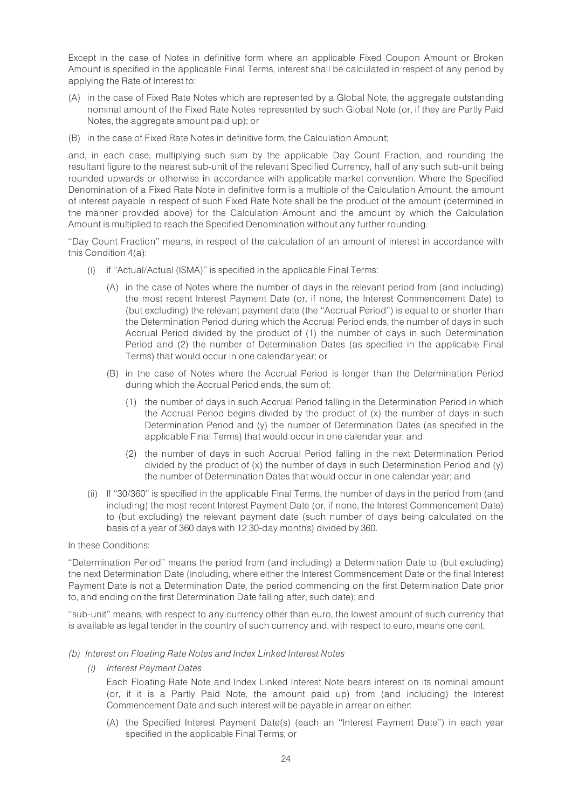Except in the case of Notes in definitive form where an applicable Fixed Coupon Amount or Broken Amount is specified in the applicable Final Terms, interest shall be calculated in respect of any period by applying the Rate of Interest to:

- (A) in the case of Fixed Rate Notes which are represented by a Global Note, the aggregate outstanding nominal amount of the Fixed Rate Notes represented by such Global Note (or, if they are Partly Paid Notes, the aggregate amount paid up); or
- (B) in the case of Fixed Rate Notes in definitive form, the Calculation Amount;

and, in each case, multiplying such sum by the applicable Day Count Fraction, and rounding the resultant figure to the nearest sub-unit of the relevant Specified Currency, half of any such sub-unit being rounded upwards or otherwise in accordance with applicable market convention. Where the Specified Denomination of a Fixed Rate Note in definitive form is a multiple of the Calculation Amount, the amount of interest payable in respect of such Fixed Rate Note shall be the product of the amount (determined in the manner provided above) for the Calculation Amount and the amount by which the Calculation Amount is multiplied to reach the Specified Denomination without any further rounding.

''Day Count Fraction'' means, in respect of the calculation of an amount of interest in accordance with this Condition 4(a):

- (i) if ''Actual/Actual (ISMA)'' is specified in the applicable Final Terms:
	- (A) in the case of Notes where the number of days in the relevant period from (and including) the most recent Interest Payment Date (or, if none, the Interest Commencement Date) to (but excluding) the relevant payment date (the ''Accrual Period'') is equal to or shorter than the Determination Period during which the Accrual Period ends, the number of days in such Accrual Period divided by the product of (1) the number of days in such Determination Period and (2) the number of Determination Dates (as specified in the applicable Final Terms) that would occur in one calendar year; or
	- (B) in the case of Notes where the Accrual Period is longer than the Determination Period during which the Accrual Period ends, the sum of:
		- (1) the number of days in such Accrual Period falling in the Determination Period in which the Accrual Period begins divided by the product of (x) the number of days in such Determination Period and (y) the number of Determination Dates (as specified in the applicable Final Terms) that would occur in one calendar year; and
		- (2) the number of days in such Accrual Period falling in the next Determination Period divided by the product of (x) the number of days in such Determination Period and (y) the number of Determination Dates that would occur in one calendar year; and
- (ii) If ''30/360'' is specified in the applicable Final Terms, the number of days in the period from (and including) the most recent Interest Payment Date (or, if none, the Interest Commencement Date) to (but excluding) the relevant payment date (such number of days being calculated on the basis of a year of 360 days with 12 30-day months) divided by 360.

### In these Conditions:

''Determination Period'' means the period from (and including) a Determination Date to (but excluding) the next Determination Date (including, where either the Interest Commencement Date or the final Interest Payment Date is not a Determination Date, the period commencing on the first Determination Date prior to, and ending on the first Determination Date falling after, such date); and

''sub-unit'' means, with respect to any currency other than euro, the lowest amount of such currency that is available as legal tender in the country of such currency and, with respect to euro, means one cent.

- (b) Interest on Floating Rate Notes and Index Linked Interest Notes
	- (i) Interest Payment Dates

Each Floating Rate Note and Index Linked Interest Note bears interest on its nominal amount (or, if it is a Partly Paid Note, the amount paid up) from (and including) the Interest Commencement Date and such interest will be payable in arrear on either:

(A) the Specified Interest Payment Date(s) (each an ''Interest Payment Date'') in each year specified in the applicable Final Terms; or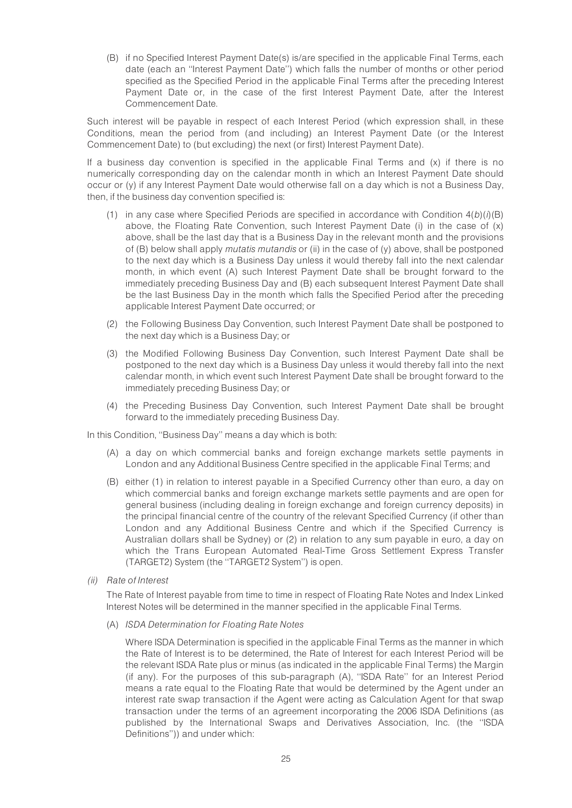(B) if no Specified Interest Payment Date(s) is/are specified in the applicable Final Terms, each date (each an ''Interest Payment Date'') which falls the number of months or other period specified as the Specified Period in the applicable Final Terms after the preceding Interest Payment Date or, in the case of the first Interest Payment Date, after the Interest Commencement Date.

Such interest will be payable in respect of each Interest Period (which expression shall, in these Conditions, mean the period from (and including) an Interest Payment Date (or the Interest Commencement Date) to (but excluding) the next (or first) Interest Payment Date).

If a business day convention is specified in the applicable Final Terms and (x) if there is no numerically corresponding day on the calendar month in which an Interest Payment Date should occur or (y) if any Interest Payment Date would otherwise fall on a day which is not a Business Day, then, if the business day convention specified is:

- (1) in any case where Specified Periods are specified in accordance with Condition  $4(b)(i)(B)$ above, the Floating Rate Convention, such Interest Payment Date (i) in the case of (x) above, shall be the last day that is a Business Day in the relevant month and the provisions of (B) below shall apply *mutatis mutandis* or (ii) in the case of  $(y)$  above, shall be postponed to the next day which is a Business Day unless it would thereby fall into the next calendar month, in which event (A) such Interest Payment Date shall be brought forward to the immediately preceding Business Day and (B) each subsequent Interest Payment Date shall be the last Business Day in the month which falls the Specified Period after the preceding applicable Interest Payment Date occurred; or
- (2) the Following Business Day Convention, such Interest Payment Date shall be postponed to the next day which is a Business Day; or
- (3) the Modified Following Business Day Convention, such Interest Payment Date shall be postponed to the next day which is a Business Day unless it would thereby fall into the next calendar month, in which event such Interest Payment Date shall be brought forward to the immediately preceding Business Day; or
- (4) the Preceding Business Day Convention, such Interest Payment Date shall be brought forward to the immediately preceding Business Day.

In this Condition, ''Business Day'' means a day which is both:

- (A) a day on which commercial banks and foreign exchange markets settle payments in London and any Additional Business Centre specified in the applicable Final Terms; and
- (B) either (1) in relation to interest payable in a Specified Currency other than euro, a day on which commercial banks and foreign exchange markets settle payments and are open for general business (including dealing in foreign exchange and foreign currency deposits) in the principal financial centre of the country of the relevant Specified Currency (if other than London and any Additional Business Centre and which if the Specified Currency is Australian dollars shall be Sydney) or (2) in relation to any sum payable in euro, a day on which the Trans European Automated Real-Time Gross Settlement Express Transfer (TARGET2) System (the ''TARGET2 System'') is open.
- (ii) Rate of Interest

The Rate of Interest payable from time to time in respect of Floating Rate Notes and Index Linked Interest Notes will be determined in the manner specified in the applicable Final Terms.

(A) ISDA Determination for Floating Rate Notes

Where ISDA Determination is specified in the applicable Final Terms as the manner in which the Rate of Interest is to be determined, the Rate of Interest for each Interest Period will be the relevant ISDA Rate plus or minus (as indicated in the applicable Final Terms) the Margin (if any). For the purposes of this sub-paragraph (A), ''ISDA Rate'' for an Interest Period means a rate equal to the Floating Rate that would be determined by the Agent under an interest rate swap transaction if the Agent were acting as Calculation Agent for that swap transaction under the terms of an agreement incorporating the 2006 ISDA Definitions (as published by the International Swaps and Derivatives Association, Inc. (the ''ISDA Definitions'')) and under which: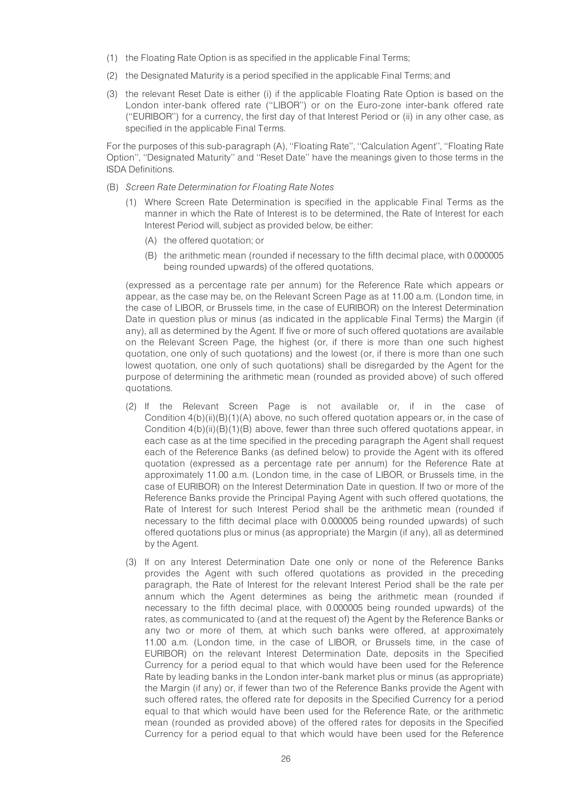- (1) the Floating Rate Option is as specified in the applicable Final Terms;
- (2) the Designated Maturity is a period specified in the applicable Final Terms; and
- (3) the relevant Reset Date is either (i) if the applicable Floating Rate Option is based on the London inter-bank offered rate (''LIBOR'') or on the Euro-zone inter-bank offered rate (''EURIBOR'') for a currency, the first day of that Interest Period or (ii) in any other case, as specified in the applicable Final Terms.

For the purposes of this sub-paragraph (A), ''Floating Rate'', ''Calculation Agent'', ''Floating Rate Option'', ''Designated Maturity'' and ''Reset Date'' have the meanings given to those terms in the ISDA Definitions.

- (B) Screen Rate Determination for Floating Rate Notes
	- (1) Where Screen Rate Determination is specified in the applicable Final Terms as the manner in which the Rate of Interest is to be determined, the Rate of Interest for each Interest Period will, subject as provided below, be either:
		- (A) the offered quotation; or
		- (B) the arithmetic mean (rounded if necessary to the fifth decimal place, with 0.000005 being rounded upwards) of the offered quotations,

(expressed as a percentage rate per annum) for the Reference Rate which appears or appear, as the case may be, on the Relevant Screen Page as at 11.00 a.m. (London time, in the case of LIBOR, or Brussels time, in the case of EURIBOR) on the Interest Determination Date in question plus or minus (as indicated in the applicable Final Terms) the Margin (if any), all as determined by the Agent. If five or more of such offered quotations are available on the Relevant Screen Page, the highest (or, if there is more than one such highest quotation, one only of such quotations) and the lowest (or, if there is more than one such lowest quotation, one only of such quotations) shall be disregarded by the Agent for the purpose of determining the arithmetic mean (rounded as provided above) of such offered quotations.

- (2) If the Relevant Screen Page is not available or, if in the case of Condition  $4(b)(ii)(B)(1)(A)$  above, no such offered quotation appears or, in the case of Condition 4(b)(ii)(B)(1)(B) above, fewer than three such offered quotations appear, in each case as at the time specified in the preceding paragraph the Agent shall request each of the Reference Banks (as defined below) to provide the Agent with its offered quotation (expressed as a percentage rate per annum) for the Reference Rate at approximately 11.00 a.m. (London time, in the case of LIBOR, or Brussels time, in the case of EURIBOR) on the Interest Determination Date in question. If two or more of the Reference Banks provide the Principal Paying Agent with such offered quotations, the Rate of Interest for such Interest Period shall be the arithmetic mean (rounded if necessary to the fifth decimal place with 0.000005 being rounded upwards) of such offered quotations plus or minus (as appropriate) the Margin (if any), all as determined by the Agent.
- (3) If on any Interest Determination Date one only or none of the Reference Banks provides the Agent with such offered quotations as provided in the preceding paragraph, the Rate of Interest for the relevant Interest Period shall be the rate per annum which the Agent determines as being the arithmetic mean (rounded if necessary to the fifth decimal place, with 0.000005 being rounded upwards) of the rates, as communicated to (and at the request of) the Agent by the Reference Banks or any two or more of them, at which such banks were offered, at approximately 11.00 a.m. (London time, in the case of LIBOR, or Brussels time, in the case of EURIBOR) on the relevant Interest Determination Date, deposits in the Specified Currency for a period equal to that which would have been used for the Reference Rate by leading banks in the London inter-bank market plus or minus (as appropriate) the Margin (if any) or, if fewer than two of the Reference Banks provide the Agent with such offered rates, the offered rate for deposits in the Specified Currency for a period equal to that which would have been used for the Reference Rate, or the arithmetic mean (rounded as provided above) of the offered rates for deposits in the Specified Currency for a period equal to that which would have been used for the Reference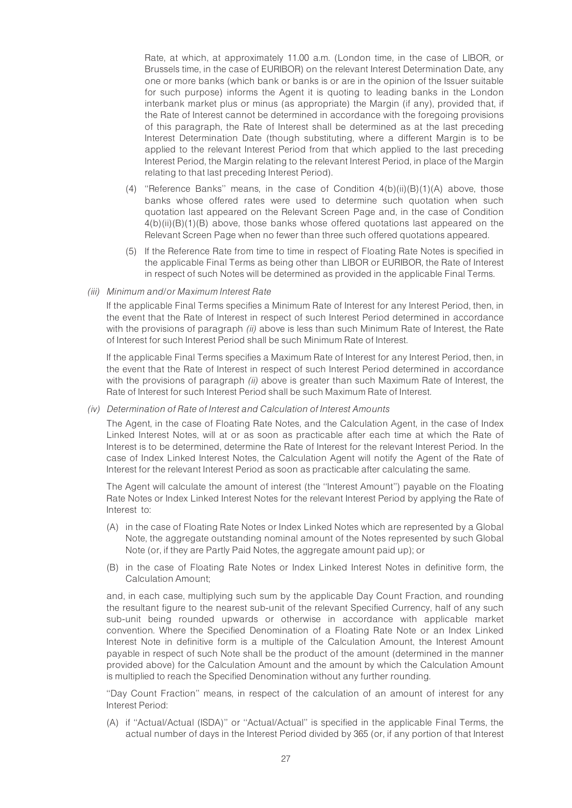Rate, at which, at approximately 11.00 a.m. (London time, in the case of LIBOR, or Brussels time, in the case of EURIBOR) on the relevant Interest Determination Date, any one or more banks (which bank or banks is or are in the opinion of the Issuer suitable for such purpose) informs the Agent it is quoting to leading banks in the London interbank market plus or minus (as appropriate) the Margin (if any), provided that, if the Rate of Interest cannot be determined in accordance with the foregoing provisions of this paragraph, the Rate of Interest shall be determined as at the last preceding Interest Determination Date (though substituting, where a different Margin is to be applied to the relevant Interest Period from that which applied to the last preceding Interest Period, the Margin relating to the relevant Interest Period, in place of the Margin relating to that last preceding Interest Period).

- (4) "Reference Banks" means, in the case of Condition  $4(b)(ii)(B)(1)(A)$  above, those banks whose offered rates were used to determine such quotation when such quotation last appeared on the Relevant Screen Page and, in the case of Condition 4(b)(ii)(B)(1)(B) above, those banks whose offered quotations last appeared on the Relevant Screen Page when no fewer than three such offered quotations appeared.
- (5) If the Reference Rate from time to time in respect of Floating Rate Notes is specified in the applicable Final Terms as being other than LIBOR or EURIBOR, the Rate of Interest in respect of such Notes will be determined as provided in the applicable Final Terms.
- (iii) Minimum and/or Maximum Interest Rate

If the applicable Final Terms specifies a Minimum Rate of Interest for any Interest Period, then, in the event that the Rate of Interest in respect of such Interest Period determined in accordance with the provisions of paragraph *(ii)* above is less than such Minimum Rate of Interest, the Rate of Interest for such Interest Period shall be such Minimum Rate of Interest.

If the applicable Final Terms specifies a Maximum Rate of Interest for any Interest Period, then, in the event that the Rate of Interest in respect of such Interest Period determined in accordance with the provisions of paragraph (ii) above is greater than such Maximum Rate of Interest, the Rate of Interest for such Interest Period shall be such Maximum Rate of Interest.

#### (iv) Determination of Rate of Interest and Calculation of Interest Amounts

The Agent, in the case of Floating Rate Notes, and the Calculation Agent, in the case of Index Linked Interest Notes, will at or as soon as practicable after each time at which the Rate of Interest is to be determined, determine the Rate of Interest for the relevant Interest Period. In the case of Index Linked Interest Notes, the Calculation Agent will notify the Agent of the Rate of Interest for the relevant Interest Period as soon as practicable after calculating the same.

The Agent will calculate the amount of interest (the ''Interest Amount'') payable on the Floating Rate Notes or Index Linked Interest Notes for the relevant Interest Period by applying the Rate of Interest to:

- (A) in the case of Floating Rate Notes or Index Linked Notes which are represented by a Global Note, the aggregate outstanding nominal amount of the Notes represented by such Global Note (or, if they are Partly Paid Notes, the aggregate amount paid up); or
- (B) in the case of Floating Rate Notes or Index Linked Interest Notes in definitive form, the Calculation Amount;

and, in each case, multiplying such sum by the applicable Day Count Fraction, and rounding the resultant figure to the nearest sub-unit of the relevant Specified Currency, half of any such sub-unit being rounded upwards or otherwise in accordance with applicable market convention. Where the Specified Denomination of a Floating Rate Note or an Index Linked Interest Note in definitive form is a multiple of the Calculation Amount, the Interest Amount payable in respect of such Note shall be the product of the amount (determined in the manner provided above) for the Calculation Amount and the amount by which the Calculation Amount is multiplied to reach the Specified Denomination without any further rounding.

''Day Count Fraction'' means, in respect of the calculation of an amount of interest for any Interest Period:

(A) if ''Actual/Actual (ISDA)'' or ''Actual/Actual'' is specified in the applicable Final Terms, the actual number of days in the Interest Period divided by 365 (or, if any portion of that Interest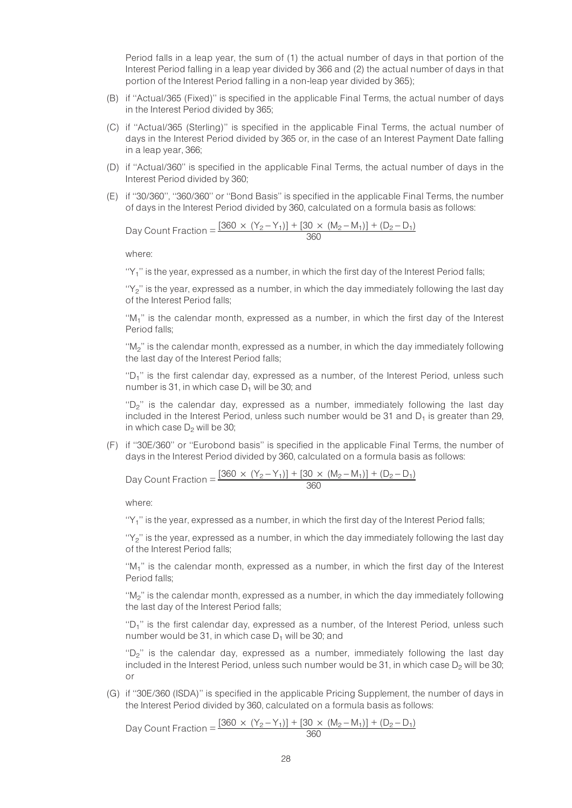Period falls in a leap year, the sum of (1) the actual number of days in that portion of the Interest Period falling in a leap year divided by 366 and (2) the actual number of days in that portion of the Interest Period falling in a non-leap year divided by 365);

- (B) if ''Actual/365 (Fixed)'' is specified in the applicable Final Terms, the actual number of days in the Interest Period divided by 365;
- (C) if ''Actual/365 (Sterling)'' is specified in the applicable Final Terms, the actual number of days in the Interest Period divided by 365 or, in the case of an Interest Payment Date falling in a leap year, 366;
- (D) if ''Actual/360'' is specified in the applicable Final Terms, the actual number of days in the Interest Period divided by 360;
- (E) if ''30/360'', ''360/360'' or ''Bond Basis'' is specified in the applicable Final Terms, the number of days in the Interest Period divided by 360, calculated on a formula basis as follows:

Day Count Fraction =  $\frac{[360 \times (Y_2 - Y_1)] + [30 \times (M_2 - M_1)] + (D_2 - D_1)}{360}$ 

where:

"Y<sub>1</sub>" is the year, expressed as a number, in which the first day of the Interest Period falls;

"Y<sub>2</sub>" is the year, expressed as a number, in which the day immediately following the last day of the Interest Period falls;

''M1'' is the calendar month, expressed as a number, in which the first day of the Interest Period falls;

"M<sub>2</sub>" is the calendar month, expressed as a number, in which the day immediately following the last day of the Interest Period falls;

"D<sub>1</sub>" is the first calendar day, expressed as a number, of the Interest Period, unless such number is 31, in which case  $D_1$  will be 30; and

"D<sub>2</sub>" is the calendar day, expressed as a number, immediately following the last day included in the Interest Period, unless such number would be 31 and  $D_1$  is greater than 29, in which case  $D<sub>2</sub>$  will be 30;

(F) if ''30E/360'' or ''Eurobond basis'' is specified in the applicable Final Terms, the number of days in the Interest Period divided by 360, calculated on a formula basis as follows:

Day Count Fraction =  $\frac{[360 \times (Y_2 - Y_1)] + [30 \times (M_2 - M_1)] + (D_2 - D_1)}{360}$ 

where:

"Y<sub>1</sub>" is the year, expressed as a number, in which the first day of the Interest Period falls;

" $\gamma$ " is the year, expressed as a number, in which the day immediately following the last day of the Interest Period falls;

" $M_1$ " is the calendar month, expressed as a number, in which the first day of the Interest Period falls;

''M2'' is the calendar month, expressed as a number, in which the day immediately following the last day of the Interest Period falls;

"D<sub>1</sub>" is the first calendar day, expressed as a number, of the Interest Period, unless such number would be 31, in which case  $D_1$  will be 30; and

" $D<sub>2</sub>$ " is the calendar day, expressed as a number, immediately following the last day included in the Interest Period, unless such number would be 31, in which case  $D_2$  will be 30; or

(G) if ''30E/360 (ISDA)'' is specified in the applicable Pricing Supplement, the number of days in the Interest Period divided by 360, calculated on a formula basis as follows:

Day Count Fraction =  $\frac{[360 \times (Y_2 - Y_1)] + [30 \times (M_2 - M_1)] + (D_2 - D_1)}{360}$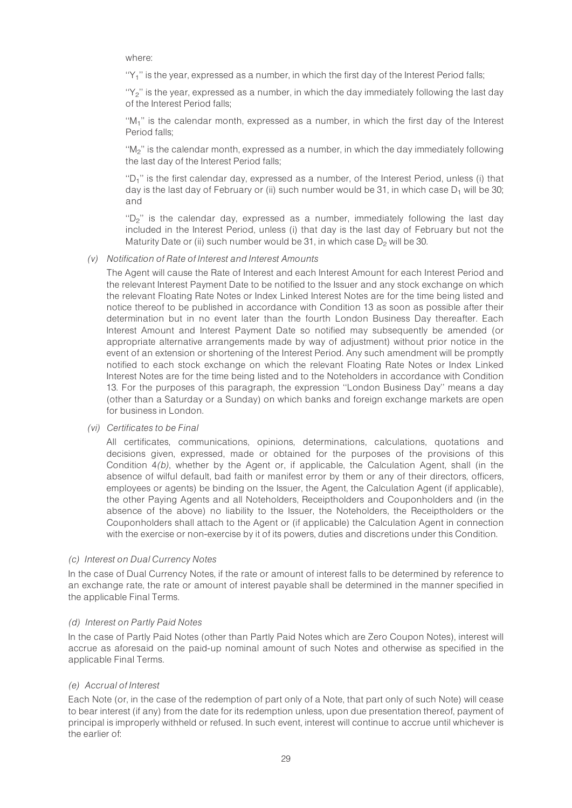where:

" $Y_1$ " is the year, expressed as a number, in which the first day of the Interest Period falls;

"Y<sub>2</sub>" is the year, expressed as a number, in which the day immediately following the last day of the Interest Period falls;

" $M_1$ " is the calendar month, expressed as a number, in which the first day of the Interest Period falls;

"M<sub>2</sub>" is the calendar month, expressed as a number, in which the day immediately following the last day of the Interest Period falls;

"D<sub>1</sub>" is the first calendar day, expressed as a number, of the Interest Period, unless (i) that day is the last day of February or (ii) such number would be 31, in which case  $D_1$  will be 30; and

" $D<sub>2</sub>$ " is the calendar day, expressed as a number, immediately following the last day included in the Interest Period, unless (i) that day is the last day of February but not the Maturity Date or (ii) such number would be 31, in which case  $D<sub>2</sub>$  will be 30.

#### (v) Notification of Rate of Interest and Interest Amounts

The Agent will cause the Rate of Interest and each Interest Amount for each Interest Period and the relevant Interest Payment Date to be notified to the Issuer and any stock exchange on which the relevant Floating Rate Notes or Index Linked Interest Notes are for the time being listed and notice thereof to be published in accordance with Condition 13 as soon as possible after their determination but in no event later than the fourth London Business Day thereafter. Each Interest Amount and Interest Payment Date so notified may subsequently be amended (or appropriate alternative arrangements made by way of adjustment) without prior notice in the event of an extension or shortening of the Interest Period. Any such amendment will be promptly notified to each stock exchange on which the relevant Floating Rate Notes or Index Linked Interest Notes are for the time being listed and to the Noteholders in accordance with Condition 13. For the purposes of this paragraph, the expression ''London Business Day'' means a day (other than a Saturday or a Sunday) on which banks and foreign exchange markets are open for business in London.

(vi) Certificates to be Final

All certificates, communications, opinions, determinations, calculations, quotations and decisions given, expressed, made or obtained for the purposes of the provisions of this Condition 4(b), whether by the Agent or, if applicable, the Calculation Agent, shall (in the absence of wilful default, bad faith or manifest error by them or any of their directors, officers, employees or agents) be binding on the Issuer, the Agent, the Calculation Agent (if applicable), the other Paying Agents and all Noteholders, Receiptholders and Couponholders and (in the absence of the above) no liability to the Issuer, the Noteholders, the Receiptholders or the Couponholders shall attach to the Agent or (if applicable) the Calculation Agent in connection with the exercise or non-exercise by it of its powers, duties and discretions under this Condition.

### (c) Interest on Dual Currency Notes

In the case of Dual Currency Notes, if the rate or amount of interest falls to be determined by reference to an exchange rate, the rate or amount of interest payable shall be determined in the manner specified in the applicable Final Terms.

### (d) Interest on Partly Paid Notes

In the case of Partly Paid Notes (other than Partly Paid Notes which are Zero Coupon Notes), interest will accrue as aforesaid on the paid-up nominal amount of such Notes and otherwise as specified in the applicable Final Terms.

### (e) Accrual of Interest

Each Note (or, in the case of the redemption of part only of a Note, that part only of such Note) will cease to bear interest (if any) from the date for its redemption unless, upon due presentation thereof, payment of principal is improperly withheld or refused. In such event, interest will continue to accrue until whichever is the earlier of: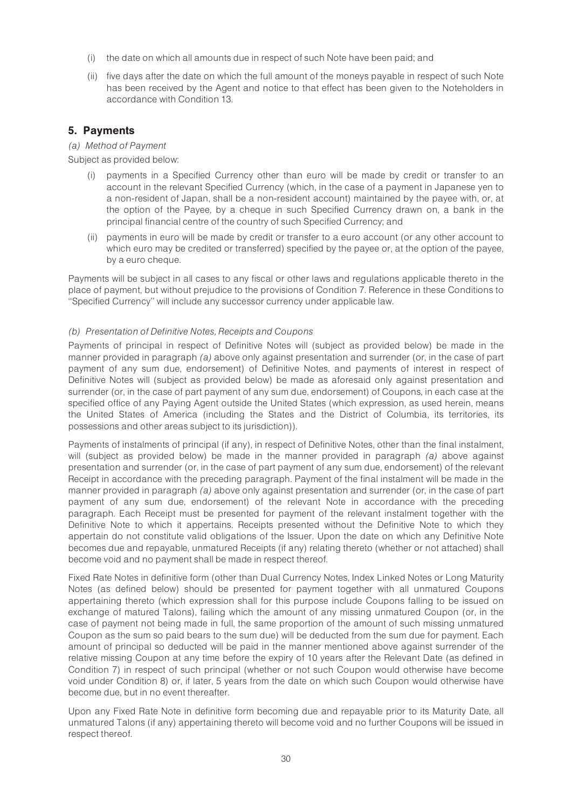- (i) the date on which all amounts due in respect of such Note have been paid; and
- (ii) five days after the date on which the full amount of the moneys payable in respect of such Note has been received by the Agent and notice to that effect has been given to the Noteholders in accordance with Condition 13.

## 5. Payments

## (a) Method of Payment

Subject as provided below:

- (i) payments in a Specified Currency other than euro will be made by credit or transfer to an account in the relevant Specified Currency (which, in the case of a payment in Japanese yen to a non-resident of Japan, shall be a non-resident account) maintained by the payee with, or, at the option of the Payee, by a cheque in such Specified Currency drawn on, a bank in the principal financial centre of the country of such Specified Currency; and
- (ii) payments in euro will be made by credit or transfer to a euro account (or any other account to which euro may be credited or transferred) specified by the payee or, at the option of the payee, by a euro cheque.

Payments will be subject in all cases to any fiscal or other laws and regulations applicable thereto in the place of payment, but without prejudice to the provisions of Condition 7. Reference in these Conditions to ''Specified Currency'' will include any successor currency under applicable law.

## (b) Presentation of Definitive Notes, Receipts and Coupons

Payments of principal in respect of Definitive Notes will (subject as provided below) be made in the manner provided in paragraph (a) above only against presentation and surrender (or, in the case of part payment of any sum due, endorsement) of Definitive Notes, and payments of interest in respect of Definitive Notes will (subject as provided below) be made as aforesaid only against presentation and surrender (or, in the case of part payment of any sum due, endorsement) of Coupons, in each case at the specified office of any Paying Agent outside the United States (which expression, as used herein, means the United States of America (including the States and the District of Columbia, its territories, its possessions and other areas subject to its jurisdiction)).

Payments of instalments of principal (if any), in respect of Definitive Notes, other than the final instalment, will (subject as provided below) be made in the manner provided in paragraph (a) above against presentation and surrender (or, in the case of part payment of any sum due, endorsement) of the relevant Receipt in accordance with the preceding paragraph. Payment of the final instalment will be made in the manner provided in paragraph (a) above only against presentation and surrender (or, in the case of part payment of any sum due, endorsement) of the relevant Note in accordance with the preceding paragraph. Each Receipt must be presented for payment of the relevant instalment together with the Definitive Note to which it appertains. Receipts presented without the Definitive Note to which they appertain do not constitute valid obligations of the Issuer. Upon the date on which any Definitive Note becomes due and repayable, unmatured Receipts (if any) relating thereto (whether or not attached) shall become void and no payment shall be made in respect thereof.

Fixed Rate Notes in definitive form (other than Dual Currency Notes, Index Linked Notes or Long Maturity Notes (as defined below) should be presented for payment together with all unmatured Coupons appertaining thereto (which expression shall for this purpose include Coupons falling to be issued on exchange of matured Talons), failing which the amount of any missing unmatured Coupon (or, in the case of payment not being made in full, the same proportion of the amount of such missing unmatured Coupon as the sum so paid bears to the sum due) will be deducted from the sum due for payment. Each amount of principal so deducted will be paid in the manner mentioned above against surrender of the relative missing Coupon at any time before the expiry of 10 years after the Relevant Date (as defined in Condition 7) in respect of such principal (whether or not such Coupon would otherwise have become void under Condition 8) or, if later, 5 years from the date on which such Coupon would otherwise have become due, but in no event thereafter.

Upon any Fixed Rate Note in definitive form becoming due and repayable prior to its Maturity Date, all unmatured Talons (if any) appertaining thereto will become void and no further Coupons will be issued in respect thereof.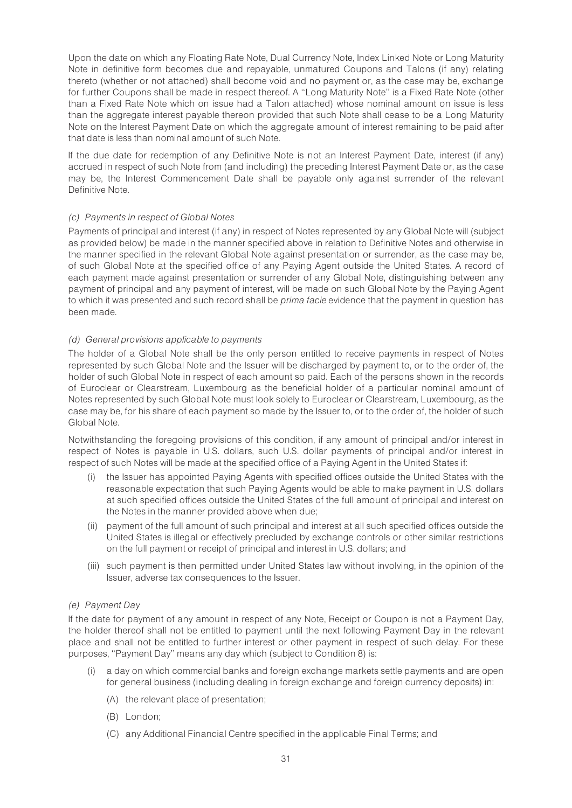Upon the date on which any Floating Rate Note, Dual Currency Note, Index Linked Note or Long Maturity Note in definitive form becomes due and repayable, unmatured Coupons and Talons (if any) relating thereto (whether or not attached) shall become void and no payment or, as the case may be, exchange for further Coupons shall be made in respect thereof. A ''Long Maturity Note'' is a Fixed Rate Note (other than a Fixed Rate Note which on issue had a Talon attached) whose nominal amount on issue is less than the aggregate interest payable thereon provided that such Note shall cease to be a Long Maturity Note on the Interest Payment Date on which the aggregate amount of interest remaining to be paid after that date is less than nominal amount of such Note.

If the due date for redemption of any Definitive Note is not an Interest Payment Date, interest (if any) accrued in respect of such Note from (and including) the preceding Interest Payment Date or, as the case may be, the Interest Commencement Date shall be payable only against surrender of the relevant Definitive Note.

## (c) Payments in respect of Global Notes

Payments of principal and interest (if any) in respect of Notes represented by any Global Note will (subject as provided below) be made in the manner specified above in relation to Definitive Notes and otherwise in the manner specified in the relevant Global Note against presentation or surrender, as the case may be, of such Global Note at the specified office of any Paying Agent outside the United States. A record of each payment made against presentation or surrender of any Global Note, distinguishing between any payment of principal and any payment of interest, will be made on such Global Note by the Paying Agent to which it was presented and such record shall be *prima facie* evidence that the payment in question has been made.

## (d) General provisions applicable to payments

The holder of a Global Note shall be the only person entitled to receive payments in respect of Notes represented by such Global Note and the Issuer will be discharged by payment to, or to the order of, the holder of such Global Note in respect of each amount so paid. Each of the persons shown in the records of Euroclear or Clearstream, Luxembourg as the beneficial holder of a particular nominal amount of Notes represented by such Global Note must look solely to Euroclear or Clearstream, Luxembourg, as the case may be, for his share of each payment so made by the Issuer to, or to the order of, the holder of such Global Note.

Notwithstanding the foregoing provisions of this condition, if any amount of principal and/or interest in respect of Notes is payable in U.S. dollars, such U.S. dollar payments of principal and/or interest in respect of such Notes will be made at the specified office of a Paying Agent in the United States if:

- (i) the Issuer has appointed Paying Agents with specified offices outside the United States with the reasonable expectation that such Paying Agents would be able to make payment in U.S. dollars at such specified offices outside the United States of the full amount of principal and interest on the Notes in the manner provided above when due;
- (ii) payment of the full amount of such principal and interest at all such specified offices outside the United States is illegal or effectively precluded by exchange controls or other similar restrictions on the full payment or receipt of principal and interest in U.S. dollars; and
- (iii) such payment is then permitted under United States law without involving, in the opinion of the Issuer, adverse tax consequences to the Issuer.

## (e) Payment Day

If the date for payment of any amount in respect of any Note, Receipt or Coupon is not a Payment Day, the holder thereof shall not be entitled to payment until the next following Payment Day in the relevant place and shall not be entitled to further interest or other payment in respect of such delay. For these purposes, ''Payment Day'' means any day which (subject to Condition 8) is:

- (i) a day on which commercial banks and foreign exchange markets settle payments and are open for general business (including dealing in foreign exchange and foreign currency deposits) in:
	- (A) the relevant place of presentation;
	- (B) London;
	- (C) any Additional Financial Centre specified in the applicable Final Terms; and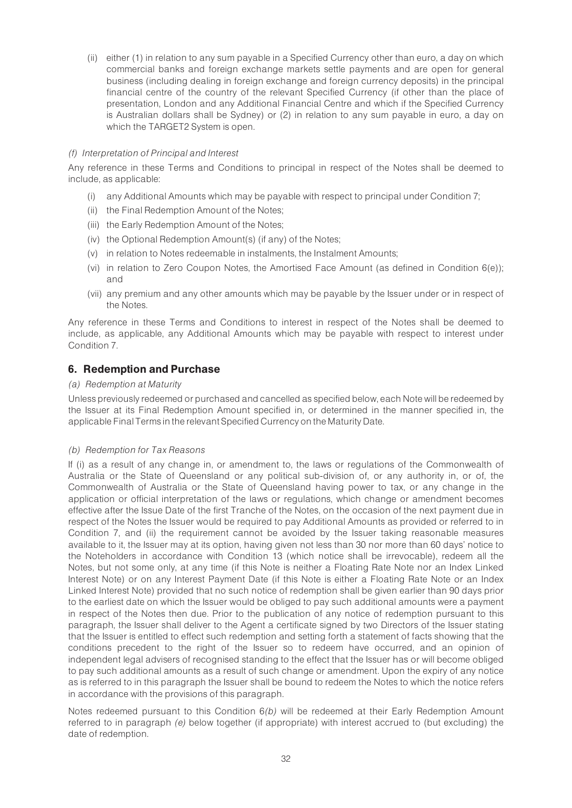(ii) either (1) in relation to any sum payable in a Specified Currency other than euro, a day on which commercial banks and foreign exchange markets settle payments and are open for general business (including dealing in foreign exchange and foreign currency deposits) in the principal financial centre of the country of the relevant Specified Currency (if other than the place of presentation, London and any Additional Financial Centre and which if the Specified Currency is Australian dollars shall be Sydney) or (2) in relation to any sum payable in euro, a day on which the TARGET2 System is open.

## (f) Interpretation of Principal and Interest

Any reference in these Terms and Conditions to principal in respect of the Notes shall be deemed to include, as applicable:

- (i) any Additional Amounts which may be payable with respect to principal under Condition 7;
- (ii) the Final Redemption Amount of the Notes;
- (iii) the Early Redemption Amount of the Notes;
- (iv) the Optional Redemption Amount(s) (if any) of the Notes;
- (v) in relation to Notes redeemable in instalments, the Instalment Amounts;
- (vi) in relation to Zero Coupon Notes, the Amortised Face Amount (as defined in Condition 6(e)); and
- (vii) any premium and any other amounts which may be payable by the Issuer under or in respect of the Notes.

Any reference in these Terms and Conditions to interest in respect of the Notes shall be deemed to include, as applicable, any Additional Amounts which may be payable with respect to interest under Condition 7.

## 6. Redemption and Purchase

## (a) Redemption at Maturity

Unless previously redeemed or purchased and cancelled as specified below, each Note will be redeemed by the Issuer at its Final Redemption Amount specified in, or determined in the manner specified in, the applicable Final Terms in the relevant Specified Currency onthe Maturity Date.

## (b) Redemption for Tax Reasons

If (i) as a result of any change in, or amendment to, the laws or regulations of the Commonwealth of Australia or the State of Queensland or any political sub-division of, or any authority in, or of, the Commonwealth of Australia or the State of Queensland having power to tax, or any change in the application or official interpretation of the laws or regulations, which change or amendment becomes effective after the Issue Date of the first Tranche of the Notes, on the occasion of the next payment due in respect of the Notes the Issuer would be required to pay Additional Amounts as provided or referred to in Condition 7, and (ii) the requirement cannot be avoided by the Issuer taking reasonable measures available to it, the Issuer may at its option, having given not less than 30 nor more than 60 days' notice to the Noteholders in accordance with Condition 13 (which notice shall be irrevocable), redeem all the Notes, but not some only, at any time (if this Note is neither a Floating Rate Note nor an Index Linked Interest Note) or on any Interest Payment Date (if this Note is either a Floating Rate Note or an Index Linked Interest Note) provided that no such notice of redemption shall be given earlier than 90 days prior to the earliest date on which the Issuer would be obliged to pay such additional amounts were a payment in respect of the Notes then due. Prior to the publication of any notice of redemption pursuant to this paragraph, the Issuer shall deliver to the Agent a certificate signed by two Directors of the Issuer stating that the Issuer is entitled to effect such redemption and setting forth a statement of facts showing that the conditions precedent to the right of the Issuer so to redeem have occurred, and an opinion of independent legal advisers of recognised standing to the effect that the Issuer has or will become obliged to pay such additional amounts as a result of such change or amendment. Upon the expiry of any notice as is referred to in this paragraph the Issuer shall be bound to redeem the Notes to which the notice refers in accordance with the provisions of this paragraph.

Notes redeemed pursuant to this Condition 6(b) will be redeemed at their Early Redemption Amount referred to in paragraph (e) below together (if appropriate) with interest accrued to (but excluding) the date of redemption.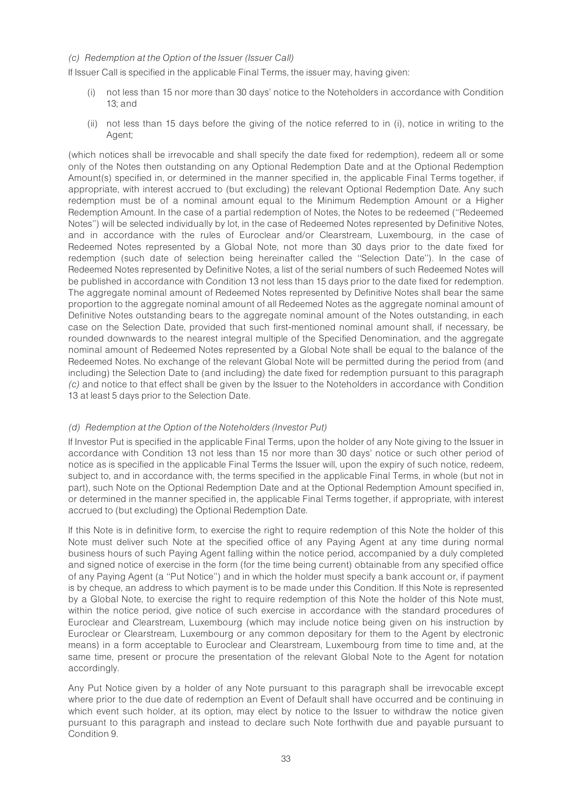## (c) Redemption at the Option of the Issuer (Issuer Call)

If Issuer Call is specified in the applicable Final Terms, the issuer may, having given:

- (i) not less than 15 nor more than 30 days' notice to the Noteholders in accordance with Condition 13; and
- (ii) not less than 15 days before the giving of the notice referred to in (i), notice in writing to the Agent;

(which notices shall be irrevocable and shall specify the date fixed for redemption), redeem all or some only of the Notes then outstanding on any Optional Redemption Date and at the Optional Redemption Amount(s) specified in, or determined in the manner specified in, the applicable Final Terms together, if appropriate, with interest accrued to (but excluding) the relevant Optional Redemption Date. Any such redemption must be of a nominal amount equal to the Minimum Redemption Amount or a Higher Redemption Amount. In the case of a partial redemption of Notes, the Notes to be redeemed (''Redeemed Notes'') will be selected individually by lot, in the case of Redeemed Notes represented by Definitive Notes, and in accordance with the rules of Euroclear and/or Clearstream, Luxembourg, in the case of Redeemed Notes represented by a Global Note, not more than 30 days prior to the date fixed for redemption (such date of selection being hereinafter called the ''Selection Date''). In the case of Redeemed Notes represented by Definitive Notes, a list of the serial numbers of such Redeemed Notes will be published in accordance with Condition 13 not less than 15 days prior to the date fixed for redemption. The aggregate nominal amount of Redeemed Notes represented by Definitive Notes shall bear the same proportion to the aggregate nominal amount of all Redeemed Notes as the aggregate nominal amount of Definitive Notes outstanding bears to the aggregate nominal amount of the Notes outstanding, in each case on the Selection Date, provided that such first-mentioned nominal amount shall, if necessary, be rounded downwards to the nearest integral multiple of the Specified Denomination, and the aggregate nominal amount of Redeemed Notes represented by a Global Note shall be equal to the balance of the Redeemed Notes. No exchange of the relevant Global Note will be permitted during the period from (and including) the Selection Date to (and including) the date fixed for redemption pursuant to this paragraph (c) and notice to that effect shall be given by the Issuer to the Noteholders in accordance with Condition 13 at least 5 days prior to the Selection Date.

### (d) Redemption at the Option of the Noteholders (Investor Put)

If Investor Put is specified in the applicable Final Terms, upon the holder of any Note giving to the Issuer in accordance with Condition 13 not less than 15 nor more than 30 days' notice or such other period of notice as is specified in the applicable Final Terms the Issuer will, upon the expiry of such notice, redeem, subject to, and in accordance with, the terms specified in the applicable Final Terms, in whole (but not in part), such Note on the Optional Redemption Date and at the Optional Redemption Amount specified in, or determined in the manner specified in, the applicable Final Terms together, if appropriate, with interest accrued to (but excluding) the Optional Redemption Date.

If this Note is in definitive form, to exercise the right to require redemption of this Note the holder of this Note must deliver such Note at the specified office of any Paying Agent at any time during normal business hours of such Paying Agent falling within the notice period, accompanied by a duly completed and signed notice of exercise in the form (for the time being current) obtainable from any specified office of any Paying Agent (a ''Put Notice'') and in which the holder must specify a bank account or, if payment is by cheque, an address to which payment is to be made under this Condition. If this Note is represented by a Global Note, to exercise the right to require redemption of this Note the holder of this Note must, within the notice period, give notice of such exercise in accordance with the standard procedures of Euroclear and Clearstream, Luxembourg (which may include notice being given on his instruction by Euroclear or Clearstream, Luxembourg or any common depositary for them to the Agent by electronic means) in a form acceptable to Euroclear and Clearstream, Luxembourg from time to time and, at the same time, present or procure the presentation of the relevant Global Note to the Agent for notation accordingly.

Any Put Notice given by a holder of any Note pursuant to this paragraph shall be irrevocable except where prior to the due date of redemption an Event of Default shall have occurred and be continuing in which event such holder, at its option, may elect by notice to the Issuer to withdraw the notice given pursuant to this paragraph and instead to declare such Note forthwith due and payable pursuant to Condition 9.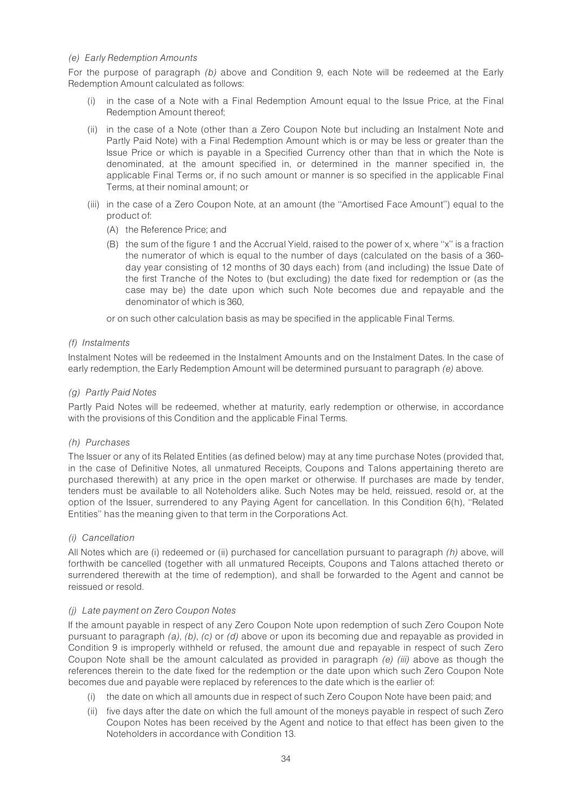### (e) Early Redemption Amounts

For the purpose of paragraph (b) above and Condition 9, each Note will be redeemed at the Early Redemption Amount calculated as follows:

- (i) in the case of a Note with a Final Redemption Amount equal to the Issue Price, at the Final Redemption Amount thereof;
- (ii) in the case of a Note (other than a Zero Coupon Note but including an Instalment Note and Partly Paid Note) with a Final Redemption Amount which is or may be less or greater than the Issue Price or which is payable in a Specified Currency other than that in which the Note is denominated, at the amount specified in, or determined in the manner specified in, the applicable Final Terms or, if no such amount or manner is so specified in the applicable Final Terms, at their nominal amount; or
- (iii) in the case of a Zero Coupon Note, at an amount (the ''Amortised Face Amount'') equal to the product of:
	- (A) the Reference Price; and
	- (B) the sum of the figure 1 and the Accrual Yield, raised to the power of x, where ''x'' is a fraction the numerator of which is equal to the number of days (calculated on the basis of a 360 day year consisting of 12 months of 30 days each) from (and including) the Issue Date of the first Tranche of the Notes to (but excluding) the date fixed for redemption or (as the case may be) the date upon which such Note becomes due and repayable and the denominator of which is 360,

or on such other calculation basis as may be specified in the applicable Final Terms.

## (f) Instalments

Instalment Notes will be redeemed in the Instalment Amounts and on the Instalment Dates. In the case of early redemption, the Early Redemption Amount will be determined pursuant to paragraph (e) above.

## (g) Partly Paid Notes

Partly Paid Notes will be redeemed, whether at maturity, early redemption or otherwise, in accordance with the provisions of this Condition and the applicable Final Terms.

## (h) Purchases

The Issuer or any of its Related Entities (as defined below) may at any time purchase Notes (provided that, in the case of Definitive Notes, all unmatured Receipts, Coupons and Talons appertaining thereto are purchased therewith) at any price in the open market or otherwise. If purchases are made by tender, tenders must be available to all Noteholders alike. Such Notes may be held, reissued, resold or, at the option of the Issuer, surrendered to any Paying Agent for cancellation. In this Condition 6(h), ''Related Entities'' has the meaning given to that term in the Corporations Act.

### (i) Cancellation

All Notes which are (i) redeemed or (ii) purchased for cancellation pursuant to paragraph (h) above, will forthwith be cancelled (together with all unmatured Receipts, Coupons and Talons attached thereto or surrendered therewith at the time of redemption), and shall be forwarded to the Agent and cannot be reissued or resold.

### (j) Late payment on Zero Coupon Notes

If the amount payable in respect of any Zero Coupon Note upon redemption of such Zero Coupon Note pursuant to paragraph (a), (b), (c) or (d) above or upon its becoming due and repayable as provided in Condition 9 is improperly withheld or refused, the amount due and repayable in respect of such Zero Coupon Note shall be the amount calculated as provided in paragraph  $(e)$  (iii) above as though the references therein to the date fixed for the redemption or the date upon which such Zero Coupon Note becomes due and payable were replaced by references to the date which is the earlier of:

- (i) the date on which all amounts due in respect of such Zero Coupon Note have been paid; and
- (ii) five days after the date on which the full amount of the moneys payable in respect of such Zero Coupon Notes has been received by the Agent and notice to that effect has been given to the Noteholders in accordance with Condition 13.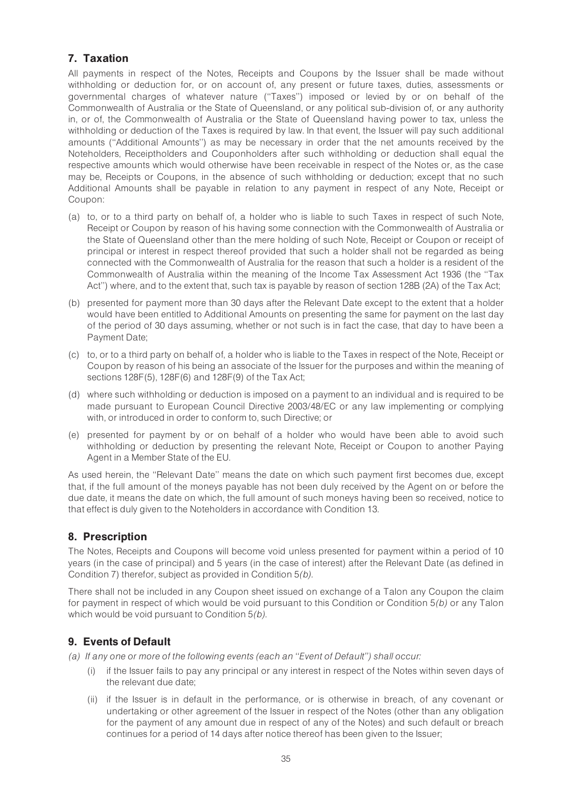## 7. Taxation

All payments in respect of the Notes, Receipts and Coupons by the Issuer shall be made without withholding or deduction for, or on account of, any present or future taxes, duties, assessments or governmental charges of whatever nature (''Taxes'') imposed or levied by or on behalf of the Commonwealth of Australia or the State of Queensland, or any political sub-division of, or any authority in, or of, the Commonwealth of Australia or the State of Queensland having power to tax, unless the withholding or deduction of the Taxes is required by law. In that event, the Issuer will pay such additional amounts (''Additional Amounts'') as may be necessary in order that the net amounts received by the Noteholders, Receiptholders and Couponholders after such withholding or deduction shall equal the respective amounts which would otherwise have been receivable in respect of the Notes or, as the case may be, Receipts or Coupons, in the absence of such withholding or deduction; except that no such Additional Amounts shall be payable in relation to any payment in respect of any Note, Receipt or Coupon:

- (a) to, or to a third party on behalf of, a holder who is liable to such Taxes in respect of such Note, Receipt or Coupon by reason of his having some connection with the Commonwealth of Australia or the State of Queensland other than the mere holding of such Note, Receipt or Coupon or receipt of principal or interest in respect thereof provided that such a holder shall not be regarded as being connected with the Commonwealth of Australia for the reason that such a holder is a resident of the Commonwealth of Australia within the meaning of the Income Tax Assessment Act 1936 (the ''Tax Act'') where, and to the extent that, such tax is payable by reason of section 128B (2A) of the Tax Act;
- (b) presented for payment more than 30 days after the Relevant Date except to the extent that a holder would have been entitled to Additional Amounts on presenting the same for payment on the last day of the period of 30 days assuming, whether or not such is in fact the case, that day to have been a Payment Date;
- (c) to, or to a third party on behalf of, a holder who is liable to the Taxes in respect of the Note, Receipt or Coupon by reason of his being an associate of the Issuer for the purposes and within the meaning of sections 128F(5), 128F(6) and 128F(9) of the Tax Act;
- (d) where such withholding or deduction is imposed on a payment to an individual and is required to be made pursuant to European Council Directive 2003/48/EC or any law implementing or complying with, or introduced in order to conform to, such Directive; or
- (e) presented for payment by or on behalf of a holder who would have been able to avoid such withholding or deduction by presenting the relevant Note, Receipt or Coupon to another Paying Agent in a Member State of the EU.

As used herein, the ''Relevant Date'' means the date on which such payment first becomes due, except that, if the full amount of the moneys payable has not been duly received by the Agent on or before the due date, it means the date on which, the full amount of such moneys having been so received, notice to that effect is duly given to the Noteholders in accordance with Condition 13.

## 8. Prescription

The Notes, Receipts and Coupons will become void unless presented for payment within a period of 10 years (in the case of principal) and 5 years (in the case of interest) after the Relevant Date (as defined in Condition 7) therefor, subject as provided in Condition 5(b).

There shall not be included in any Coupon sheet issued on exchange of a Talon any Coupon the claim for payment in respect of which would be void pursuant to this Condition or Condition 5(b) or any Talon which would be void pursuant to Condition 5(b).

## 9. Events of Default

(a) If any one or more of the following events (each an ''Event of Default'') shall occur:

- (i) if the Issuer fails to pay any principal or any interest in respect of the Notes within seven days of the relevant due date;
- (ii) if the Issuer is in default in the performance, or is otherwise in breach, of any covenant or undertaking or other agreement of the Issuer in respect of the Notes (other than any obligation for the payment of any amount due in respect of any of the Notes) and such default or breach continues for a period of 14 days after notice thereof has been given to the Issuer;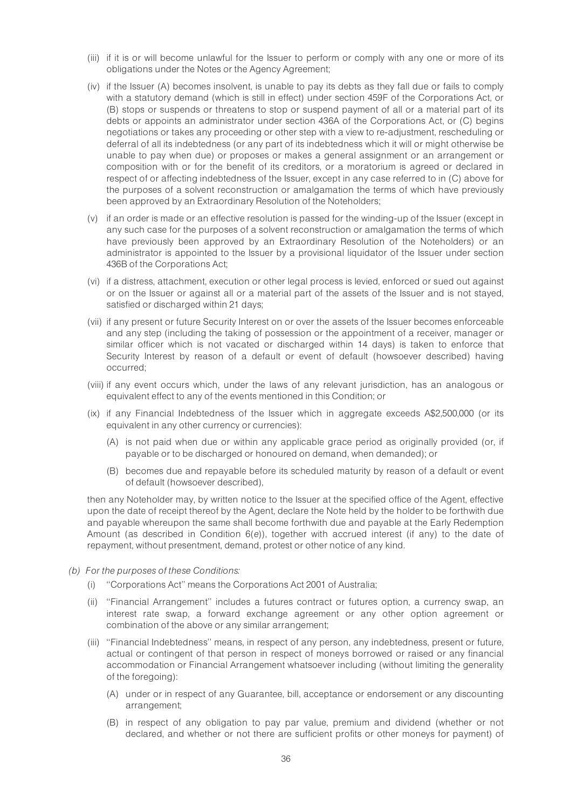- (iii) if it is or will become unlawful for the Issuer to perform or comply with any one or more of its obligations under the Notes or the Agency Agreement;
- (iv) if the Issuer (A) becomes insolvent, is unable to pay its debts as they fall due or fails to comply with a statutory demand (which is still in effect) under section 459F of the Corporations Act, or (B) stops or suspends or threatens to stop or suspend payment of all or a material part of its debts or appoints an administrator under section 436A of the Corporations Act, or (C) begins negotiations or takes any proceeding or other step with a view to re-adjustment, rescheduling or deferral of all its indebtedness (or any part of its indebtedness which it will or might otherwise be unable to pay when due) or proposes or makes a general assignment or an arrangement or composition with or for the benefit of its creditors, or a moratorium is agreed or declared in respect of or affecting indebtedness of the Issuer, except in any case referred to in (C) above for the purposes of a solvent reconstruction or amalgamation the terms of which have previously been approved by an Extraordinary Resolution of the Noteholders;
- (v) if an order is made or an effective resolution is passed for the winding-up of the Issuer (except in any such case for the purposes of a solvent reconstruction or amalgamation the terms of which have previously been approved by an Extraordinary Resolution of the Noteholders) or an administrator is appointed to the Issuer by a provisional liquidator of the Issuer under section 436B of the Corporations Act;
- (vi) if a distress, attachment, execution or other legal process is levied, enforced or sued out against or on the Issuer or against all or a material part of the assets of the Issuer and is not stayed, satisfied or discharged within 21 days;
- (vii) if any present or future Security Interest on or over the assets of the Issuer becomes enforceable and any step (including the taking of possession or the appointment of a receiver, manager or similar officer which is not vacated or discharged within 14 days) is taken to enforce that Security Interest by reason of a default or event of default (howsoever described) having occurred;
- (viii) if any event occurs which, under the laws of any relevant jurisdiction, has an analogous or equivalent effect to any of the events mentioned in this Condition; or
- (ix) if any Financial Indebtedness of the Issuer which in aggregate exceeds A\$2,500,000 (or its equivalent in any other currency or currencies):
	- (A) is not paid when due or within any applicable grace period as originally provided (or, if payable or to be discharged or honoured on demand, when demanded); or
	- (B) becomes due and repayable before its scheduled maturity by reason of a default or event of default (howsoever described),

then any Noteholder may, by written notice to the Issuer at the specified office of the Agent, effective upon the date of receipt thereof by the Agent, declare the Note held by the holder to be forthwith due and payable whereupon the same shall become forthwith due and payable at the Early Redemption Amount (as described in Condition  $6(e)$ ), together with accrued interest (if any) to the date of repayment, without presentment, demand, protest or other notice of any kind.

- (b) For the purposes of these Conditions:
	- (i) ''Corporations Act'' means the Corporations Act 2001 of Australia;
	- (ii) ''Financial Arrangement'' includes a futures contract or futures option, a currency swap, an interest rate swap, a forward exchange agreement or any other option agreement or combination of the above or any similar arrangement;
	- (iii) ''Financial Indebtedness'' means, in respect of any person, any indebtedness, present or future, actual or contingent of that person in respect of moneys borrowed or raised or any financial accommodation or Financial Arrangement whatsoever including (without limiting the generality of the foregoing):
		- (A) under or in respect of any Guarantee, bill, acceptance or endorsement or any discounting arrangement;
		- (B) in respect of any obligation to pay par value, premium and dividend (whether or not declared, and whether or not there are sufficient profits or other moneys for payment) of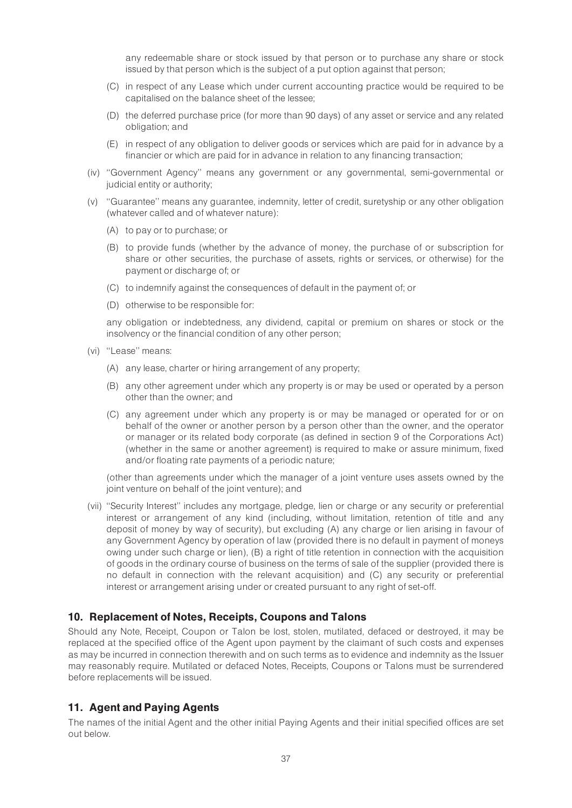any redeemable share or stock issued by that person or to purchase any share or stock issued by that person which is the subject of a put option against that person;

- (C) in respect of any Lease which under current accounting practice would be required to be capitalised on the balance sheet of the lessee;
- (D) the deferred purchase price (for more than 90 days) of any asset or service and any related obligation; and
- (E) in respect of any obligation to deliver goods or services which are paid for in advance by a financier or which are paid for in advance in relation to any financing transaction;
- (iv) ''Government Agency'' means any government or any governmental, semi-governmental or judicial entity or authority;
- (v) ''Guarantee'' means any guarantee, indemnity, letter of credit, suretyship or any other obligation (whatever called and of whatever nature):
	- (A) to pay or to purchase; or
	- (B) to provide funds (whether by the advance of money, the purchase of or subscription for share or other securities, the purchase of assets, rights or services, or otherwise) for the payment or discharge of; or
	- (C) to indemnify against the consequences of default in the payment of; or
	- (D) otherwise to be responsible for:

any obligation or indebtedness, any dividend, capital or premium on shares or stock or the insolvency or the financial condition of any other person;

- (vi) ''Lease'' means:
	- (A) any lease, charter or hiring arrangement of any property;
	- (B) any other agreement under which any property is or may be used or operated by a person other than the owner; and
	- (C) any agreement under which any property is or may be managed or operated for or on behalf of the owner or another person by a person other than the owner, and the operator or manager or its related body corporate (as defined in section 9 of the Corporations Act) (whether in the same or another agreement) is required to make or assure minimum, fixed and/or floating rate payments of a periodic nature;

(other than agreements under which the manager of a joint venture uses assets owned by the joint venture on behalf of the joint venture); and

(vii) ''Security Interest'' includes any mortgage, pledge, lien or charge or any security or preferential interest or arrangement of any kind (including, without limitation, retention of title and any deposit of money by way of security), but excluding (A) any charge or lien arising in favour of any Government Agency by operation of law (provided there is no default in payment of moneys owing under such charge or lien), (B) a right of title retention in connection with the acquisition of goods in the ordinary course of business on the terms of sale of the supplier (provided there is no default in connection with the relevant acquisition) and (C) any security or preferential interest or arrangement arising under or created pursuant to any right of set-off.

# 10. Replacement of Notes, Receipts, Coupons and Talons

Should any Note, Receipt, Coupon or Talon be lost, stolen, mutilated, defaced or destroyed, it may be replaced at the specified office of the Agent upon payment by the claimant of such costs and expenses as may be incurred in connection therewith and on such terms as to evidence and indemnity as the Issuer may reasonably require. Mutilated or defaced Notes, Receipts, Coupons or Talons must be surrendered before replacements will be issued.

# 11. Agent and Paying Agents

The names of the initial Agent and the other initial Paying Agents and their initial specified offices are set out below.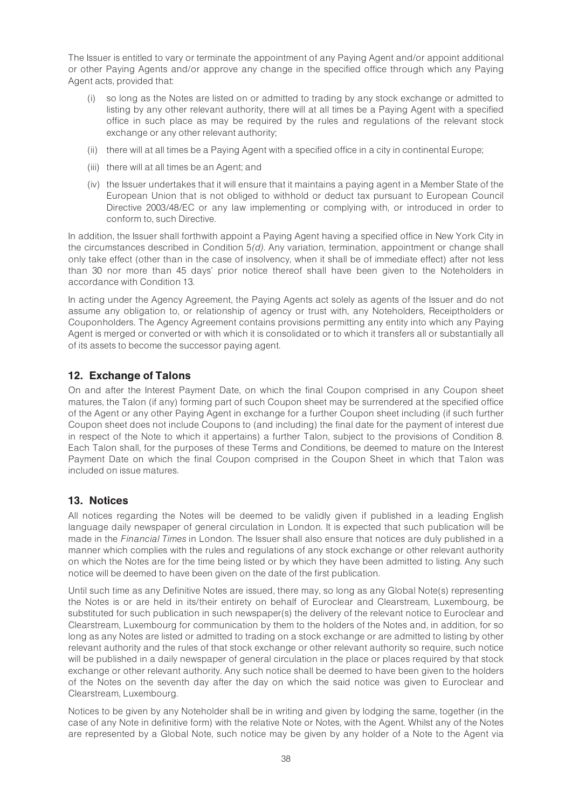The Issuer is entitled to vary or terminate the appointment of any Paying Agent and/or appoint additional or other Paying Agents and/or approve any change in the specified office through which any Paying Agent acts, provided that:

- (i) so long as the Notes are listed on or admitted to trading by any stock exchange or admitted to listing by any other relevant authority, there will at all times be a Paying Agent with a specified office in such place as may be required by the rules and regulations of the relevant stock exchange or any other relevant authority;
- (ii) there will at all times be a Paying Agent with a specified office in a city in continental Europe;
- (iii) there will at all times be an Agent; and
- (iv) the Issuer undertakes that it will ensure that it maintains a paying agent in a Member State of the European Union that is not obliged to withhold or deduct tax pursuant to European Council Directive 2003/48/EC or any law implementing or complying with, or introduced in order to conform to, such Directive.

In addition, the Issuer shall forthwith appoint a Paying Agent having a specified office in New York City in the circumstances described in Condition 5(d). Any variation, termination, appointment or change shall only take effect (other than in the case of insolvency, when it shall be of immediate effect) after not less than 30 nor more than 45 days' prior notice thereof shall have been given to the Noteholders in accordance with Condition 13.

In acting under the Agency Agreement, the Paying Agents act solely as agents of the Issuer and do not assume any obligation to, or relationship of agency or trust with, any Noteholders, Receiptholders or Couponholders. The Agency Agreement contains provisions permitting any entity into which any Paying Agent is merged or converted or with which it is consolidated or to which it transfers all or substantially all of its assets to become the successor paying agent.

# 12. Exchange of Talons

On and after the Interest Payment Date, on which the final Coupon comprised in any Coupon sheet matures, the Talon (if any) forming part of such Coupon sheet may be surrendered at the specified office of the Agent or any other Paying Agent in exchange for a further Coupon sheet including (if such further Coupon sheet does not include Coupons to (and including) the final date for the payment of interest due in respect of the Note to which it appertains) a further Talon, subject to the provisions of Condition 8. Each Talon shall, for the purposes of these Terms and Conditions, be deemed to mature on the Interest Payment Date on which the final Coupon comprised in the Coupon Sheet in which that Talon was included on issue matures.

# 13. Notices

All notices regarding the Notes will be deemed to be validly given if published in a leading English language daily newspaper of general circulation in London. It is expected that such publication will be made in the Financial Times in London. The Issuer shall also ensure that notices are duly published in a manner which complies with the rules and regulations of any stock exchange or other relevant authority on which the Notes are for the time being listed or by which they have been admitted to listing. Any such notice will be deemed to have been given on the date of the first publication.

Until such time as any Definitive Notes are issued, there may, so long as any Global Note(s) representing the Notes is or are held in its/their entirety on behalf of Euroclear and Clearstream, Luxembourg, be substituted for such publication in such newspaper(s) the delivery of the relevant notice to Euroclear and Clearstream, Luxembourg for communication by them to the holders of the Notes and, in addition, for so long as any Notes are listed or admitted to trading on a stock exchange or are admitted to listing by other relevant authority and the rules of that stock exchange or other relevant authority so require, such notice will be published in a daily newspaper of general circulation in the place or places required by that stock exchange or other relevant authority. Any such notice shall be deemed to have been given to the holders of the Notes on the seventh day after the day on which the said notice was given to Euroclear and Clearstream, Luxembourg.

Notices to be given by any Noteholder shall be in writing and given by lodging the same, together (in the case of any Note in definitive form) with the relative Note or Notes, with the Agent. Whilst any of the Notes are represented by a Global Note, such notice may be given by any holder of a Note to the Agent via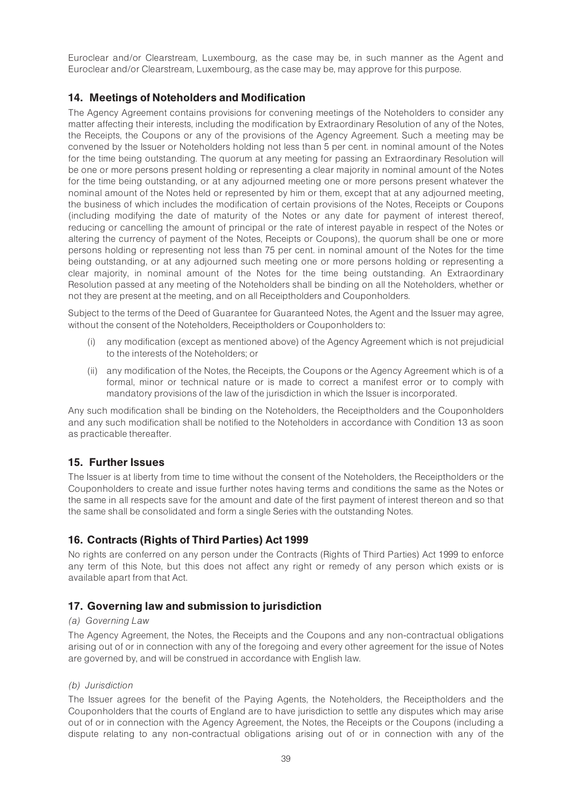Euroclear and/or Clearstream, Luxembourg, as the case may be, in such manner as the Agent and Euroclear and/or Clearstream, Luxembourg, as the case may be, may approve for this purpose.

# 14. Meetings of Noteholders and Modification

The Agency Agreement contains provisions for convening meetings of the Noteholders to consider any matter affecting their interests, including the modification by Extraordinary Resolution of any of the Notes, the Receipts, the Coupons or any of the provisions of the Agency Agreement. Such a meeting may be convened by the Issuer or Noteholders holding not less than 5 per cent. in nominal amount of the Notes for the time being outstanding. The quorum at any meeting for passing an Extraordinary Resolution will be one or more persons present holding or representing a clear majority in nominal amount of the Notes for the time being outstanding, or at any adjourned meeting one or more persons present whatever the nominal amount of the Notes held or represented by him or them, except that at any adjourned meeting, the business of which includes the modification of certain provisions of the Notes, Receipts or Coupons (including modifying the date of maturity of the Notes or any date for payment of interest thereof, reducing or cancelling the amount of principal or the rate of interest payable in respect of the Notes or altering the currency of payment of the Notes, Receipts or Coupons), the quorum shall be one or more persons holding or representing not less than 75 per cent. in nominal amount of the Notes for the time being outstanding, or at any adjourned such meeting one or more persons holding or representing a clear majority, in nominal amount of the Notes for the time being outstanding. An Extraordinary Resolution passed at any meeting of the Noteholders shall be binding on all the Noteholders, whether or not they are present at the meeting, and on all Receiptholders and Couponholders.

Subject to the terms of the Deed of Guarantee for Guaranteed Notes, the Agent and the Issuer may agree, without the consent of the Noteholders, Receiptholders or Couponholders to:

- (i) any modification (except as mentioned above) of the Agency Agreement which is not prejudicial to the interests of the Noteholders; or
- (ii) any modification of the Notes, the Receipts, the Coupons or the Agency Agreement which is of a formal, minor or technical nature or is made to correct a manifest error or to comply with mandatory provisions of the law of the jurisdiction in which the Issuer is incorporated.

Any such modification shall be binding on the Noteholders, the Receiptholders and the Couponholders and any such modification shall be notified to the Noteholders in accordance with Condition 13 as soon as practicable thereafter.

# 15. Further Issues

The Issuer is at liberty from time to time without the consent of the Noteholders, the Receiptholders or the Couponholders to create and issue further notes having terms and conditions the same as the Notes or the same in all respects save for the amount and date of the first payment of interest thereon and so that the same shall be consolidated and form a single Series with the outstanding Notes.

# 16. Contracts (Rights of Third Parties) Act 1999

No rights are conferred on any person under the Contracts (Rights of Third Parties) Act 1999 to enforce any term of this Note, but this does not affect any right or remedy of any person which exists or is available apart from that Act.

# 17. Governing law and submission to jurisdiction

#### (a) Governing Law

The Agency Agreement, the Notes, the Receipts and the Coupons and any non-contractual obligations arising out of or in connection with any of the foregoing and every other agreement for the issue of Notes are governed by, and will be construed in accordance with English law.

#### (b) Jurisdiction

The Issuer agrees for the benefit of the Paying Agents, the Noteholders, the Receiptholders and the Couponholders that the courts of England are to have jurisdiction to settle any disputes which may arise out of or in connection with the Agency Agreement, the Notes, the Receipts or the Coupons (including a dispute relating to any non-contractual obligations arising out of or in connection with any of the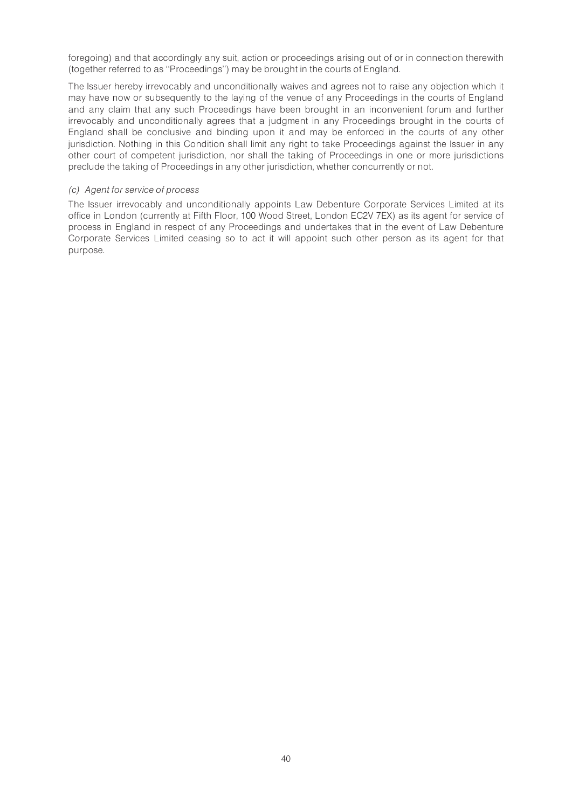foregoing) and that accordingly any suit, action or proceedings arising out of or in connection therewith (together referred to as ''Proceedings'') may be brought in the courts of England.

The Issuer hereby irrevocably and unconditionally waives and agrees not to raise any objection which it may have now or subsequently to the laying of the venue of any Proceedings in the courts of England and any claim that any such Proceedings have been brought in an inconvenient forum and further irrevocably and unconditionally agrees that a judgment in any Proceedings brought in the courts of England shall be conclusive and binding upon it and may be enforced in the courts of any other jurisdiction. Nothing in this Condition shall limit any right to take Proceedings against the Issuer in any other court of competent jurisdiction, nor shall the taking of Proceedings in one or more jurisdictions preclude the taking of Proceedings in any other jurisdiction, whether concurrently or not.

#### (c) Agent for service of process

The Issuer irrevocably and unconditionally appoints Law Debenture Corporate Services Limited at its office in London (currently at Fifth Floor, 100 Wood Street, London EC2V 7EX) as its agent for service of process in England in respect of any Proceedings and undertakes that in the event of Law Debenture Corporate Services Limited ceasing so to act it will appoint such other person as its agent for that purpose.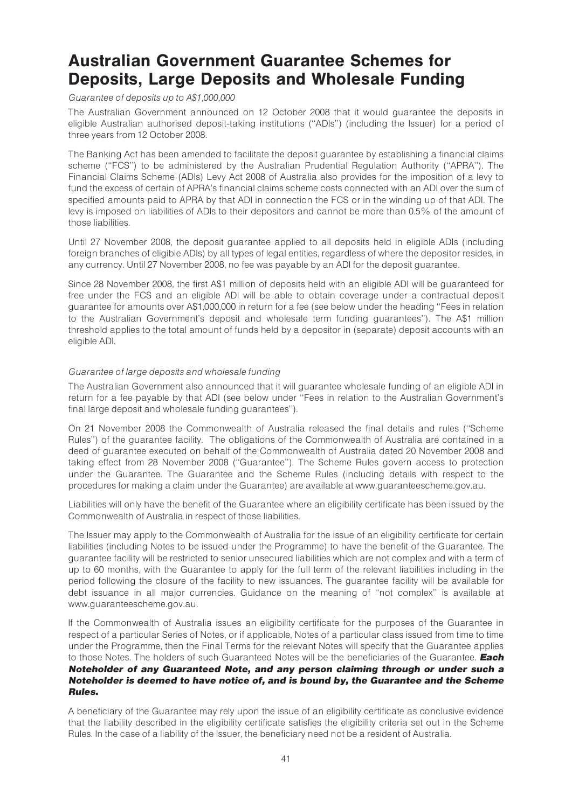# Australian Government Guarantee Schemes for Deposits, Large Deposits and Wholesale Funding

#### Guarantee of deposits up to A\$1,000,000

The Australian Government announced on 12 October 2008 that it would guarantee the deposits in eligible Australian authorised deposit-taking institutions (''ADIs'') (including the Issuer) for a period of three years from 12 October 2008.

The Banking Act has been amended to facilitate the deposit guarantee by establishing a financial claims scheme (''FCS'') to be administered by the Australian Prudential Regulation Authority (''APRA''). The Financial Claims Scheme (ADIs) Levy Act 2008 of Australia also provides for the imposition of a levy to fund the excess of certain of APRA's financial claims scheme costs connected with an ADI over the sum of specified amounts paid to APRA by that ADI in connection the FCS or in the winding up of that ADI. The levy is imposed on liabilities of ADIs to their depositors and cannot be more than 0.5% of the amount of those liabilities.

Until 27 November 2008, the deposit guarantee applied to all deposits held in eligible ADIs (including foreign branches of eligible ADIs) by all types of legal entities, regardless of where the depositor resides, in any currency. Until 27 November 2008, no fee was payable by an ADI for the deposit guarantee.

Since 28 November 2008, the first A\$1 million of deposits held with an eligible ADI will be guaranteed for free under the FCS and an eligible ADI will be able to obtain coverage under a contractual deposit guarantee for amounts over A\$1,000,000 in return for a fee (see below under the heading ''Fees in relation to the Australian Government's deposit and wholesale term funding guarantees''). The A\$1 million threshold applies to the total amount of funds held by a depositor in (separate) deposit accounts with an eligible ADI.

#### Guarantee of large deposits and wholesale funding

The Australian Government also announced that it will guarantee wholesale funding of an eligible ADI in return for a fee payable by that ADI (see below under ''Fees in relation to the Australian Government's final large deposit and wholesale funding guarantees'').

On 21 November 2008 the Commonwealth of Australia released the final details and rules (''Scheme Rules'') of the guarantee facility. The obligations of the Commonwealth of Australia are contained in a deed of guarantee executed on behalf of the Commonwealth of Australia dated 20 November 2008 and taking effect from 28 November 2008 (''Guarantee''). The Scheme Rules govern access to protection under the Guarantee. The Guarantee and the Scheme Rules (including details with respect to the procedures for making a claim under the Guarantee) are available at www.guaranteescheme.gov.au.

Liabilities will only have the benefit of the Guarantee where an eligibility certificate has been issued by the Commonwealth of Australia in respect of those liabilities.

The Issuer may apply to the Commonwealth of Australia for the issue of an eligibility certificate for certain liabilities (including Notes to be issued under the Programme) to have the benefit of the Guarantee. The guarantee facility will be restricted to senior unsecured liabilities which are not complex and with a term of up to 60 months, with the Guarantee to apply for the full term of the relevant liabilities including in the period following the closure of the facility to new issuances. The guarantee facility will be available for debt issuance in all major currencies. Guidance on the meaning of ''not complex'' is available at www.guaranteescheme.gov.au.

If the Commonwealth of Australia issues an eligibility certificate for the purposes of the Guarantee in respect of a particular Series of Notes, or if applicable, Notes of a particular class issued from time to time under the Programme, then the Final Terms for the relevant Notes will specify that the Guarantee applies to those Notes. The holders of such Guaranteed Notes will be the beneficiaries of the Guarantee. Each Noteholder of any Guaranteed Note, and any person claiming through or under such a Noteholder is deemed to have notice of, and is bound by, the Guarantee and the Scheme Rules.

A beneficiary of the Guarantee may rely upon the issue of an eligibility certificate as conclusive evidence that the liability described in the eligibility certificate satisfies the eligibility criteria set out in the Scheme Rules. In the case of a liability of the Issuer, the beneficiary need not be a resident of Australia.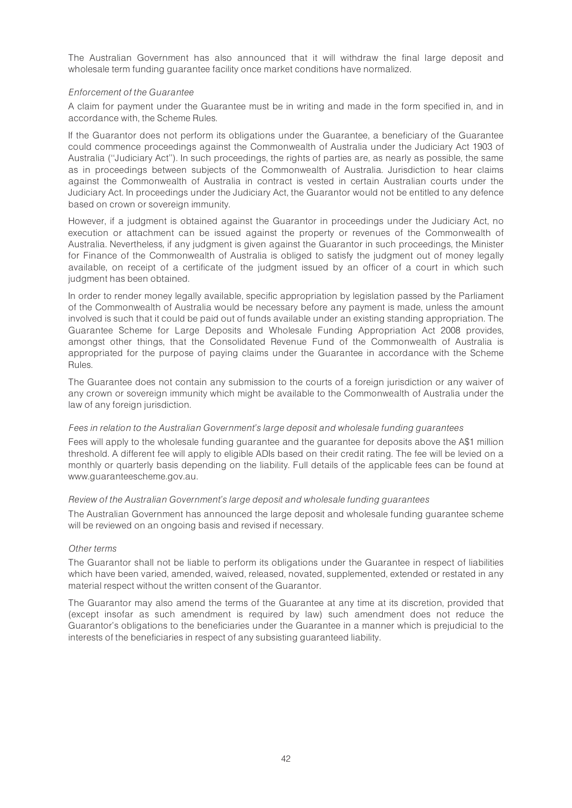The Australian Government has also announced that it will withdraw the final large deposit and wholesale term funding guarantee facility once market conditions have normalized.

#### Enforcement of the Guarantee

A claim for payment under the Guarantee must be in writing and made in the form specified in, and in accordance with, the Scheme Rules.

If the Guarantor does not perform its obligations under the Guarantee, a beneficiary of the Guarantee could commence proceedings against the Commonwealth of Australia under the Judiciary Act 1903 of Australia (''Judiciary Act''). In such proceedings, the rights of parties are, as nearly as possible, the same as in proceedings between subjects of the Commonwealth of Australia. Jurisdiction to hear claims against the Commonwealth of Australia in contract is vested in certain Australian courts under the Judiciary Act. In proceedings under the Judiciary Act, the Guarantor would not be entitled to any defence based on crown or sovereign immunity.

However, if a judgment is obtained against the Guarantor in proceedings under the Judiciary Act, no execution or attachment can be issued against the property or revenues of the Commonwealth of Australia. Nevertheless, if any judgment is given against the Guarantor in such proceedings, the Minister for Finance of the Commonwealth of Australia is obliged to satisfy the judgment out of money legally available, on receipt of a certificate of the judgment issued by an officer of a court in which such judgment has been obtained.

In order to render money legally available, specific appropriation by legislation passed by the Parliament of the Commonwealth of Australia would be necessary before any payment is made, unless the amount involved is such that it could be paid out of funds available under an existing standing appropriation. The Guarantee Scheme for Large Deposits and Wholesale Funding Appropriation Act 2008 provides, amongst other things, that the Consolidated Revenue Fund of the Commonwealth of Australia is appropriated for the purpose of paying claims under the Guarantee in accordance with the Scheme Rules.

The Guarantee does not contain any submission to the courts of a foreign jurisdiction or any waiver of any crown or sovereign immunity which might be available to the Commonwealth of Australia under the law of any foreign jurisdiction.

#### Fees in relation to the Australian Government's large deposit and wholesale funding guarantees

Fees will apply to the wholesale funding guarantee and the guarantee for deposits above the A\$1 million threshold. A different fee will apply to eligible ADIs based on their credit rating. The fee will be levied on a monthly or quarterly basis depending on the liability. Full details of the applicable fees can be found at www.guaranteescheme.gov.au.

#### Review of the Australian Government's large deposit and wholesale funding guarantees

The Australian Government has announced the large deposit and wholesale funding guarantee scheme will be reviewed on an ongoing basis and revised if necessary.

#### Other terms

The Guarantor shall not be liable to perform its obligations under the Guarantee in respect of liabilities which have been varied, amended, waived, released, novated, supplemented, extended or restated in any material respect without the written consent of the Guarantor.

The Guarantor may also amend the terms of the Guarantee at any time at its discretion, provided that (except insofar as such amendment is required by law) such amendment does not reduce the Guarantor's obligations to the beneficiaries under the Guarantee in a manner which is prejudicial to the interests of the beneficiaries in respect of any subsisting guaranteed liability.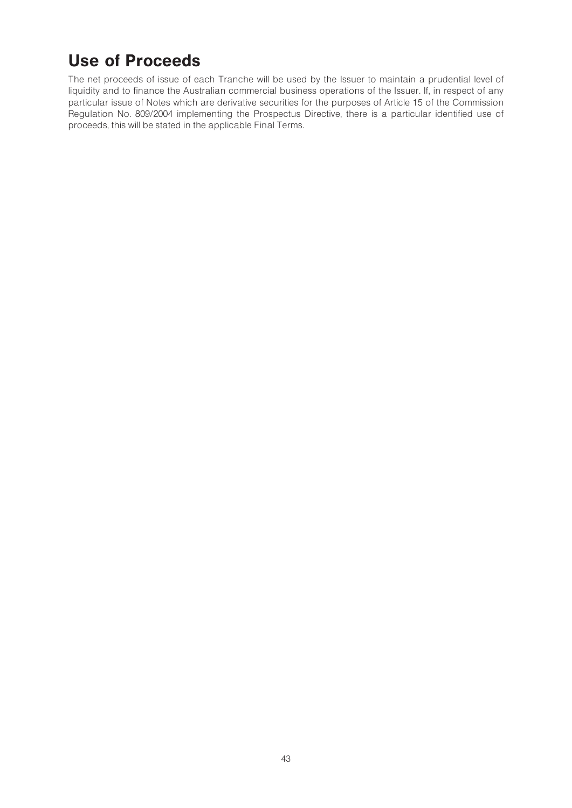# Use of Proceeds

The net proceeds of issue of each Tranche will be used by the Issuer to maintain a prudential level of liquidity and to finance the Australian commercial business operations of the Issuer. If, in respect of any particular issue of Notes which are derivative securities for the purposes of Article 15 of the Commission Regulation No. 809/2004 implementing the Prospectus Directive, there is a particular identified use of proceeds, this will be stated in the applicable Final Terms.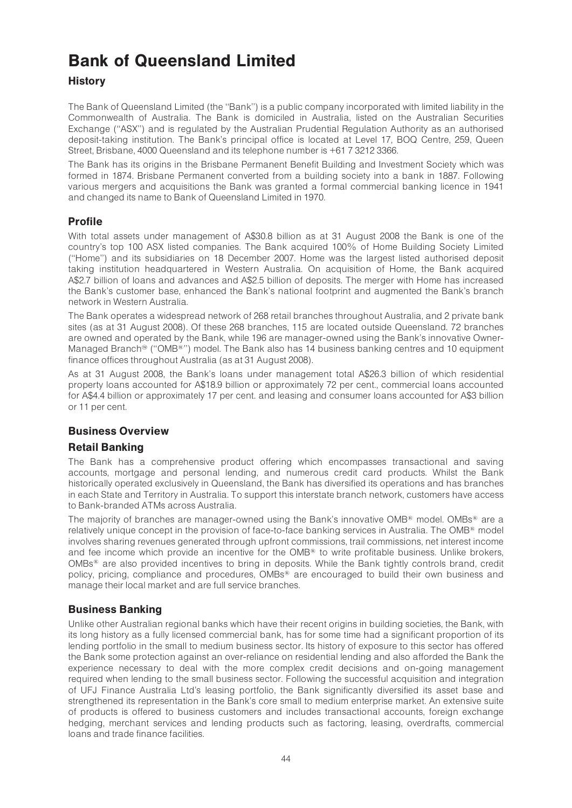# Bank of Queensland Limited

# **History**

The Bank of Queensland Limited (the ''Bank'') is a public company incorporated with limited liability in the Commonwealth of Australia. The Bank is domiciled in Australia, listed on the Australian Securities Exchange (''ASX'') and is regulated by the Australian Prudential Regulation Authority as an authorised deposit-taking institution. The Bank's principal office is located at Level 17, BOQ Centre, 259, Queen Street, Brisbane, 4000 Queensland and its telephone number is +61 7 3212 3366.

The Bank has its origins in the Brisbane Permanent Benefit Building and Investment Society which was formed in 1874. Brisbane Permanent converted from a building society into a bank in 1887. Following various mergers and acquisitions the Bank was granted a formal commercial banking licence in 1941 and changed its name to Bank of Queensland Limited in 1970.

# Profile

With total assets under management of A\$30.8 billion as at 31 August 2008 the Bank is one of the country's top 100 ASX listed companies. The Bank acquired 100% of Home Building Society Limited (''Home'') and its subsidiaries on 18 December 2007. Home was the largest listed authorised deposit taking institution headquartered in Western Australia. On acquisition of Home, the Bank acquired A\$2.7 billion of loans and advances and A\$2.5 billion of deposits. The merger with Home has increased the Bank's customer base, enhanced the Bank's national footprint and augmented the Bank's branch network in Western Australia.

The Bank operates a widespread network of 268 retail branches throughout Australia, and 2 private bank sites (as at 31 August 2008). Of these 268 branches, 115 are located outside Queensland. 72 branches are owned and operated by the Bank, while 196 are manager-owned using the Bank's innovative Owner-Managed Branch<sup>®</sup> ("OMB<sup>®</sup>") model. The Bank also has 14 business banking centres and 10 equipment finance offices throughout Australia (as at 31 August 2008).

As at 31 August 2008, the Bank's loans under management total A\$26.3 billion of which residential property loans accounted for A\$18.9 billion or approximately 72 per cent., commercial loans accounted for A\$4.4 billion or approximately 17 per cent. and leasing and consumer loans accounted for A\$3 billion or 11 per cent.

# Business Overview

# Retail Banking

The Bank has a comprehensive product offering which encompasses transactional and saving accounts, mortgage and personal lending, and numerous credit card products. Whilst the Bank historically operated exclusively in Queensland, the Bank has diversified its operations and has branches in each State and Territory in Australia. To support this interstate branch network, customers have access to Bank-branded ATMs across Australia.

The majority of branches are manager-owned using the Bank's innovative OMB $\textsuperscript{\textregistered}$  model. OMBs<sup>®</sup> are a relatively unique concept in the provision of face-to-face banking services in Australia. The OMB<sup>®</sup> model involves sharing revenues generated through upfront commissions, trail commissions, net interest income and fee income which provide an incentive for the  $OMB^{\circledast}$  to write profitable business. Unlike brokers,  $OMBs^{\circledast}$  are also provided incentives to bring in deposits. While the Bank tightly controls brand, credit policy, pricing, compliance and procedures,  $OMBs^{\circledast}$  are encouraged to build their own business and manage their local market and are full service branches.

# Business Banking

Unlike other Australian regional banks which have their recent origins in building societies, the Bank, with its long history as a fully licensed commercial bank, has for some time had a significant proportion of its lending portfolio in the small to medium business sector. Its history of exposure to this sector has offered the Bank some protection against an over-reliance on residential lending and also afforded the Bank the experience necessary to deal with the more complex credit decisions and on-going management required when lending to the small business sector. Following the successful acquisition and integration of UFJ Finance Australia Ltd's leasing portfolio, the Bank significantly diversified its asset base and strengthened its representation in the Bank's core small to medium enterprise market. An extensive suite of products is offered to business customers and includes transactional accounts, foreign exchange hedging, merchant services and lending products such as factoring, leasing, overdrafts, commercial loans and trade finance facilities.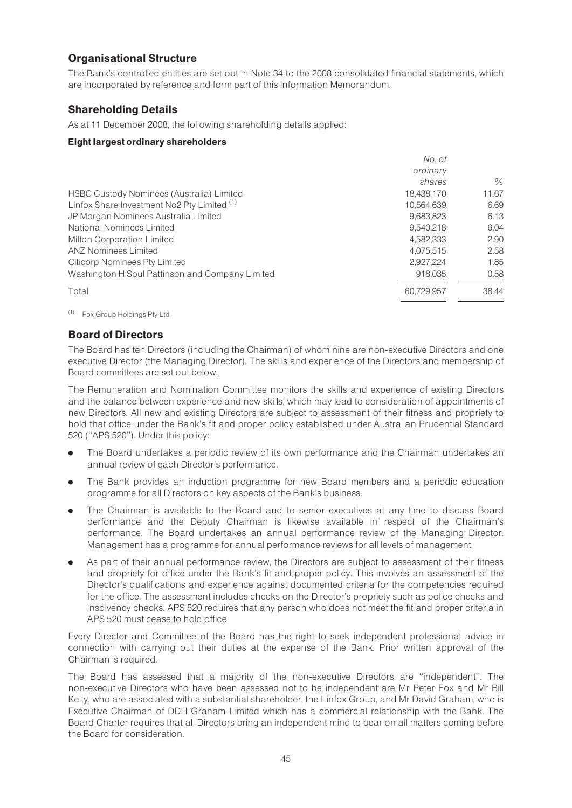# Organisational Structure

The Bank's controlled entities are set out in Note 34 to the 2008 consolidated financial statements, which are incorporated by reference and form part of this Information Memorandum.

# Shareholding Details

As at 11 December 2008, the following shareholding details applied:

#### Eight largest ordinary shareholders

|                                                        | No. of     |               |
|--------------------------------------------------------|------------|---------------|
|                                                        | ordinary   |               |
|                                                        | shares     | $\frac{0}{0}$ |
| HSBC Custody Nominees (Australia) Limited              | 18.438.170 | 11.67         |
| Linfox Share Investment No2 Pty Limited <sup>(1)</sup> | 10.564.639 | 6.69          |
| JP Morgan Nominees Australia Limited                   | 9,683,823  | 6.13          |
| National Nominees Limited                              | 9,540,218  | 6.04          |
| <b>Milton Corporation Limited</b>                      | 4,582,333  | 2.90          |
| <b>ANZ Nominees Limited</b>                            | 4,075,515  | 2.58          |
| <b>Citicorp Nominees Pty Limited</b>                   | 2.927.224  | 1.85          |
| Washington H Soul Pattinson and Company Limited        | 918.035    | 0.58          |
| Total                                                  | 60.729.957 | 38.44         |

(1) Fox Group Holdings Pty Ltd

# Board of Directors

The Board has ten Directors (including the Chairman) of whom nine are non-executive Directors and one executive Director (the Managing Director). The skills and experience of the Directors and membership of Board committees are set out below.

The Remuneration and Nomination Committee monitors the skills and experience of existing Directors and the balance between experience and new skills, which may lead to consideration of appointments of new Directors. All new and existing Directors are subject to assessment of their fitness and propriety to hold that office under the Bank's fit and proper policy established under Australian Prudential Standard 520 (''APS 520''). Under this policy:

- . The Board undertakes a periodic review of its own performance and the Chairman undertakes an annual review of each Director's performance.
- . The Bank provides an induction programme for new Board members and a periodic education programme for all Directors on key aspects of the Bank's business.
- . The Chairman is available to the Board and to senior executives at any time to discuss Board performance and the Deputy Chairman is likewise available in respect of the Chairman's performance. The Board undertakes an annual performance review of the Managing Director. Management has a programme for annual performance reviews for all levels of management.
- . As part of their annual performance review, the Directors are subject to assessment of their fitness and propriety for office under the Bank's fit and proper policy. This involves an assessment of the Director's qualifications and experience against documented criteria for the competencies required for the office. The assessment includes checks on the Director's propriety such as police checks and insolvency checks. APS 520 requires that any person who does not meet the fit and proper criteria in APS 520 must cease to hold office.

Every Director and Committee of the Board has the right to seek independent professional advice in connection with carrying out their duties at the expense of the Bank. Prior written approval of the Chairman is required.

The Board has assessed that a majority of the non-executive Directors are ''independent''. The non-executive Directors who have been assessed not to be independent are Mr Peter Fox and Mr Bill Kelty, who are associated with a substantial shareholder, the Linfox Group, and Mr David Graham, who is Executive Chairman of DDH Graham Limited which has a commercial relationship with the Bank. The Board Charter requires that all Directors bring an independent mind to bear on all matters coming before the Board for consideration.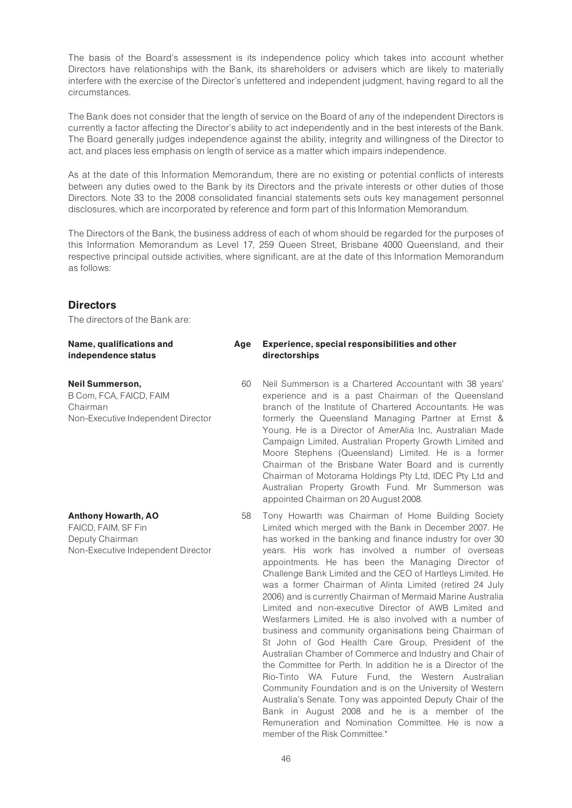The basis of the Board's assessment is its independence policy which takes into account whether Directors have relationships with the Bank, its shareholders or advisers which are likely to materially interfere with the exercise of the Director's unfettered and independent judgment, having regard to all the circumstances.

The Bank does not consider that the length of service on the Board of any of the independent Directors is currently a factor affecting the Director's ability to act independently and in the best interests of the Bank. The Board generally judges independence against the ability, integrity and willingness of the Director to act, and places less emphasis on length of service as a matter which impairs independence.

As at the date of this Information Memorandum, there are no existing or potential conflicts of interests between any duties owed to the Bank by its Directors and the private interests or other duties of those Directors. Note 33 to the 2008 consolidated financial statements sets outs key management personnel disclosures, which are incorporated by reference and form part of this Information Memorandum.

The Directors of the Bank, the business address of each of whom should be regarded for the purposes of this Information Memorandum as Level 17, 259 Queen Street, Brisbane 4000 Queensland, and their respective principal outside activities, where significant, are at the date of this Information Memorandum as follows:

### **Directors**

The directors of the Bank are:

| Name, qualifications and<br>independence status                                                            | Age | Experience, special responsibilities and other<br>directorships                                                                                                                                                                                                                                                                                                                                                                                                                                                                                                                                                                                                                                                                                                                                                                                                                                      |
|------------------------------------------------------------------------------------------------------------|-----|------------------------------------------------------------------------------------------------------------------------------------------------------------------------------------------------------------------------------------------------------------------------------------------------------------------------------------------------------------------------------------------------------------------------------------------------------------------------------------------------------------------------------------------------------------------------------------------------------------------------------------------------------------------------------------------------------------------------------------------------------------------------------------------------------------------------------------------------------------------------------------------------------|
| <b>Neil Summerson,</b><br>B Com, FCA, FAICD, FAIM<br>Chairman<br>Non-Executive Independent Director        | 60  | Neil Summerson is a Chartered Accountant with 38 years'<br>experience and is a past Chairman of the Queensland<br>branch of the Institute of Chartered Accountants. He was<br>formerly the Queensland Managing Partner at Ernst &<br>Young. He is a Director of AmerAlia Inc, Australian Made<br>Campaign Limited, Australian Property Growth Limited and<br>Moore Stephens (Queensland) Limited. He is a former<br>Chairman of the Brisbane Water Board and is currently<br>Chairman of Motorama Holdings Pty Ltd, IDEC Pty Ltd and<br>Australian Property Growth Fund. Mr Summerson was<br>appointed Chairman on 20 August 2008.                                                                                                                                                                                                                                                                   |
| <b>Anthony Howarth, AO</b><br>FAICD, FAIM, SF Fin<br>Deputy Chairman<br>Non-Executive Independent Director | 58  | Tony Howarth was Chairman of Home Building Society<br>Limited which merged with the Bank in December 2007. He<br>has worked in the banking and finance industry for over 30<br>years. His work has involved a number of overseas<br>appointments. He has been the Managing Director of<br>Challenge Bank Limited and the CEO of Hartleys Limited. He<br>was a former Chairman of Alinta Limited (retired 24 July<br>2006) and is currently Chairman of Mermaid Marine Australia<br>Limited and non-executive Director of AWB Limited and<br>Wesfarmers Limited. He is also involved with a number of<br>business and community organisations being Chairman of<br>St John of God Health Care Group, President of the<br>Australian Chamber of Commerce and Industry and Chair of<br>the Committee for Perth. In addition he is a Director of the<br>Rio-Tinto WA Future Fund, the Western Australian |

Rio-Tinto WA Future Fund, the Western Australian Community Foundation and is on the University of Western Australia's Senate. Tony was appointed Deputy Chair of the Bank in August 2008 and he is a member of the Remuneration and Nomination Committee. He is now a member of the Risk Committee.\*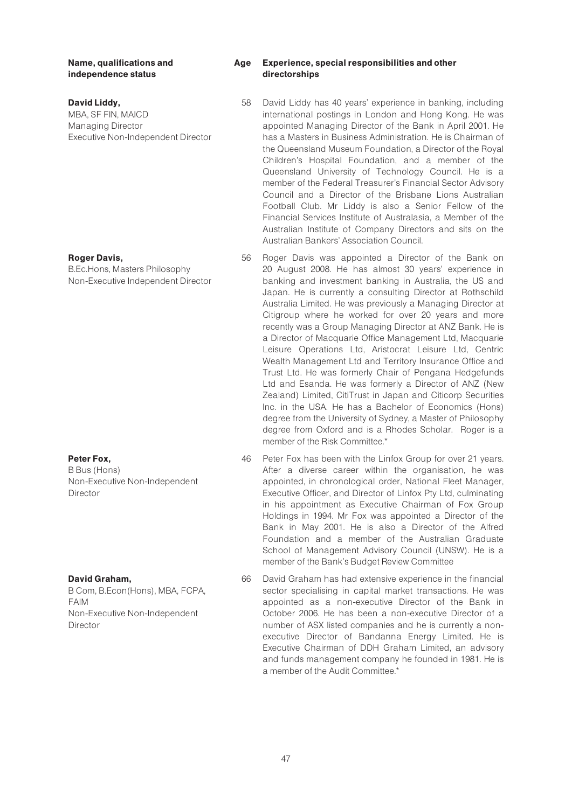#### Name, qualifications and independence status

#### David Liddy,

MBA, SF FIN, MAICD Managing Director Executive Non-Independent Director

#### Roger Davis,

B.Ec.Hons, Masters Philosophy Non-Executive Independent Director

#### Peter Fox,

B Bus (Hons) Non-Executive Non-Independent Director

#### David Graham,

B Com, B.Econ(Hons), MBA, FCPA, FAIM Non-Executive Non-Independent Director

#### Age Experience, special responsibilities and other directorships

- 58 David Liddy has 40 years' experience in banking, including international postings in London and Hong Kong. He was appointed Managing Director of the Bank in April 2001. He has a Masters in Business Administration. He is Chairman of the Queensland Museum Foundation, a Director of the Royal Children's Hospital Foundation, and a member of the Queensland University of Technology Council. He is a member of the Federal Treasurer's Financial Sector Advisory Council and a Director of the Brisbane Lions Australian Football Club. Mr Liddy is also a Senior Fellow of the Financial Services Institute of Australasia, a Member of the Australian Institute of Company Directors and sits on the Australian Bankers' Association Council.
- 56 Roger Davis was appointed a Director of the Bank on 20 August 2008. He has almost 30 years' experience in banking and investment banking in Australia, the US and Japan. He is currently a consulting Director at Rothschild Australia Limited. He was previously a Managing Director at Citigroup where he worked for over 20 years and more recently was a Group Managing Director at ANZ Bank. He is a Director of Macquarie Office Management Ltd, Macquarie Leisure Operations Ltd, Aristocrat Leisure Ltd, Centric Wealth Management Ltd and Territory Insurance Office and Trust Ltd. He was formerly Chair of Pengana Hedgefunds Ltd and Esanda. He was formerly a Director of ANZ (New Zealand) Limited, CitiTrust in Japan and Citicorp Securities Inc. in the USA. He has a Bachelor of Economics (Hons) degree from the University of Sydney, a Master of Philosophy degree from Oxford and is a Rhodes Scholar. Roger is a member of the Risk Committee.\*
- 46 Peter Fox has been with the Linfox Group for over 21 years. After a diverse career within the organisation, he was appointed, in chronological order, National Fleet Manager, Executive Officer, and Director of Linfox Pty Ltd, culminating in his appointment as Executive Chairman of Fox Group Holdings in 1994. Mr Fox was appointed a Director of the Bank in May 2001. He is also a Director of the Alfred Foundation and a member of the Australian Graduate School of Management Advisory Council (UNSW). He is a member of the Bank's Budget Review Committee
- 66 David Graham has had extensive experience in the financial sector specialising in capital market transactions. He was appointed as a non-executive Director of the Bank in October 2006. He has been a non-executive Director of a number of ASX listed companies and he is currently a nonexecutive Director of Bandanna Energy Limited. He is Executive Chairman of DDH Graham Limited, an advisory and funds management company he founded in 1981. He is a member of the Audit Committee.\*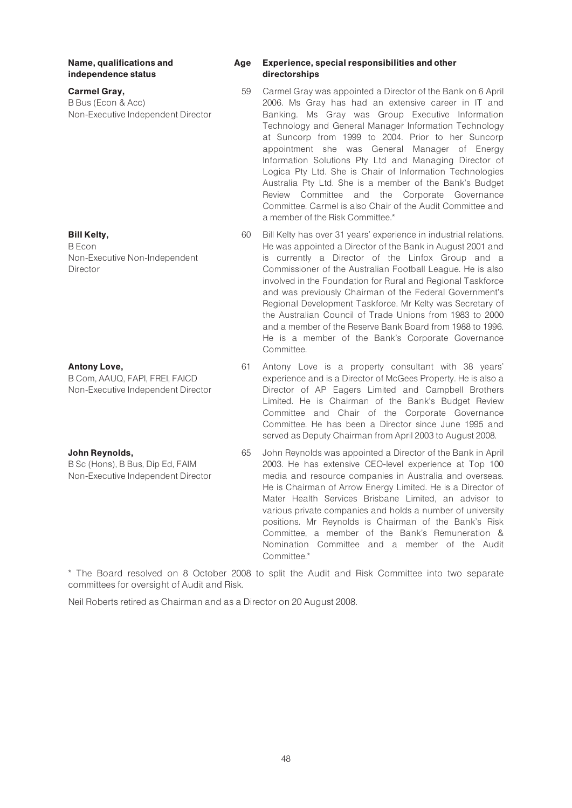Name, qualifications and independence status

#### Carmel Gray,

B Bus (Econ & Acc) Non-Executive Independent Director

#### Bill Kelty,

B Econ Non-Executive Non-Independent Director

#### Antony Love,

B Com, AAUQ, FAPI, FREI, FAICD Non-Executive Independent Director

#### John Reynolds,

B Sc (Hons), B Bus, Dip Ed, FAIM Non-Executive Independent Director

#### Age Experience, special responsibilities and other directorships

- 59 Carmel Gray was appointed a Director of the Bank on 6 April 2006. Ms Gray has had an extensive career in IT and Banking. Ms Gray was Group Executive Information Technology and General Manager Information Technology at Suncorp from 1999 to 2004. Prior to her Suncorp appointment she was General Manager of Energy Information Solutions Pty Ltd and Managing Director of Logica Pty Ltd. She is Chair of Information Technologies Australia Pty Ltd. She is a member of the Bank's Budget Review Committee and the Corporate Governance Committee. Carmel is also Chair of the Audit Committee and a member of the Risk Committee.\*
- 60 Bill Kelty has over 31 years' experience in industrial relations. He was appointed a Director of the Bank in August 2001 and is currently a Director of the Linfox Group and a Commissioner of the Australian Football League. He is also involved in the Foundation for Rural and Regional Taskforce and was previously Chairman of the Federal Government's Regional Development Taskforce. Mr Kelty was Secretary of the Australian Council of Trade Unions from 1983 to 2000 and a member of the Reserve Bank Board from 1988 to 1996. He is a member of the Bank's Corporate Governance Committee.
- 61 Antony Love is a property consultant with 38 years' experience and is a Director of McGees Property. He is also a Director of AP Eagers Limited and Campbell Brothers Limited. He is Chairman of the Bank's Budget Review Committee and Chair of the Corporate Governance Committee. He has been a Director since June 1995 and served as Deputy Chairman from April 2003 to August 2008.
- 65 John Reynolds was appointed a Director of the Bank in April 2003. He has extensive CEO-level experience at Top 100 media and resource companies in Australia and overseas. He is Chairman of Arrow Energy Limited. He is a Director of Mater Health Services Brisbane Limited, an advisor to various private companies and holds a number of university positions. Mr Reynolds is Chairman of the Bank's Risk Committee, a member of the Bank's Remuneration & Nomination Committee and a member of the Audit Committee.\*

\* The Board resolved on 8 October 2008 to split the Audit and Risk Committee into two separate committees for oversight of Audit and Risk.

Neil Roberts retired as Chairman and as a Director on 20 August 2008.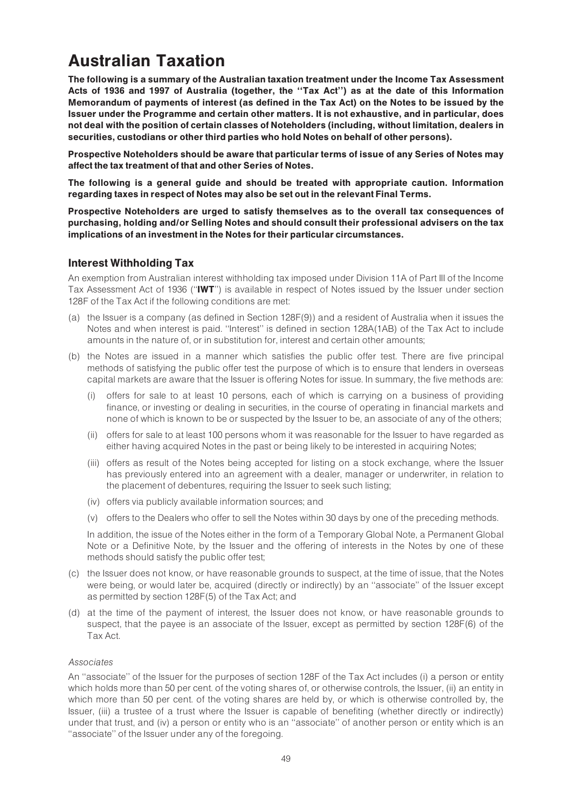# Australian Taxation

The following is a summary of the Australian taxation treatment under the Income Tax Assessment Acts of 1936 and 1997 of Australia (together, the ''Tax Act'') as at the date of this Information Memorandum of payments of interest (as defined in the Tax Act) on the Notes to be issued by the Issuer under the Programme and certain other matters. It is not exhaustive, and in particular, does not deal with the position of certain classes of Noteholders (including, without limitation, dealers in securities, custodians or other third parties who hold Notes on behalf of other persons).

Prospective Noteholders should be aware that particular terms of issue of any Series of Notes may affect the tax treatment of that and other Series of Notes.

The following is a general guide and should be treated with appropriate caution. Information regarding taxes in respect of Notes may also be set out in the relevant Final Terms.

Prospective Noteholders are urged to satisfy themselves as to the overall tax consequences of purchasing, holding and/or Selling Notes and should consult their professional advisers on the tax implications of an investment in the Notes for their particular circumstances.

# Interest Withholding Tax

An exemption from Australian interest withholding tax imposed under Division 11A of Part III of the Income Tax Assessment Act of 1936 (''IWT'') is available in respect of Notes issued by the Issuer under section 128F of the Tax Act if the following conditions are met:

- (a) the Issuer is a company (as defined in Section 128F(9)) and a resident of Australia when it issues the Notes and when interest is paid. ''Interest'' is defined in section 128A(1AB) of the Tax Act to include amounts in the nature of, or in substitution for, interest and certain other amounts;
- (b) the Notes are issued in a manner which satisfies the public offer test. There are five principal methods of satisfying the public offer test the purpose of which is to ensure that lenders in overseas capital markets are aware that the Issuer is offering Notes for issue. In summary, the five methods are:
	- (i) offers for sale to at least 10 persons, each of which is carrying on a business of providing finance, or investing or dealing in securities, in the course of operating in financial markets and none of which is known to be or suspected by the Issuer to be, an associate of any of the others;
	- (ii) offers for sale to at least 100 persons whom it was reasonable for the Issuer to have regarded as either having acquired Notes in the past or being likely to be interested in acquiring Notes;
	- (iii) offers as result of the Notes being accepted for listing on a stock exchange, where the Issuer has previously entered into an agreement with a dealer, manager or underwriter, in relation to the placement of debentures, requiring the Issuer to seek such listing;
	- (iv) offers via publicly available information sources; and
	- (v) offers to the Dealers who offer to sell the Notes within 30 days by one of the preceding methods.

In addition, the issue of the Notes either in the form of a Temporary Global Note, a Permanent Global Note or a Definitive Note, by the Issuer and the offering of interests in the Notes by one of these methods should satisfy the public offer test;

- (c) the Issuer does not know, or have reasonable grounds to suspect, at the time of issue, that the Notes were being, or would later be, acquired (directly or indirectly) by an ''associate'' of the Issuer except as permitted by section 128F(5) of the Tax Act; and
- (d) at the time of the payment of interest, the Issuer does not know, or have reasonable grounds to suspect, that the payee is an associate of the Issuer, except as permitted by section 128F(6) of the Tax Act.

#### Associates

An ''associate'' of the Issuer for the purposes of section 128F of the Tax Act includes (i) a person or entity which holds more than 50 per cent. of the voting shares of, or otherwise controls, the Issuer, (ii) an entity in which more than 50 per cent. of the voting shares are held by, or which is otherwise controlled by, the Issuer, (iii) a trustee of a trust where the Issuer is capable of benefiting (whether directly or indirectly) under that trust, and (iv) a person or entity who is an ''associate'' of another person or entity which is an ''associate'' of the Issuer under any of the foregoing.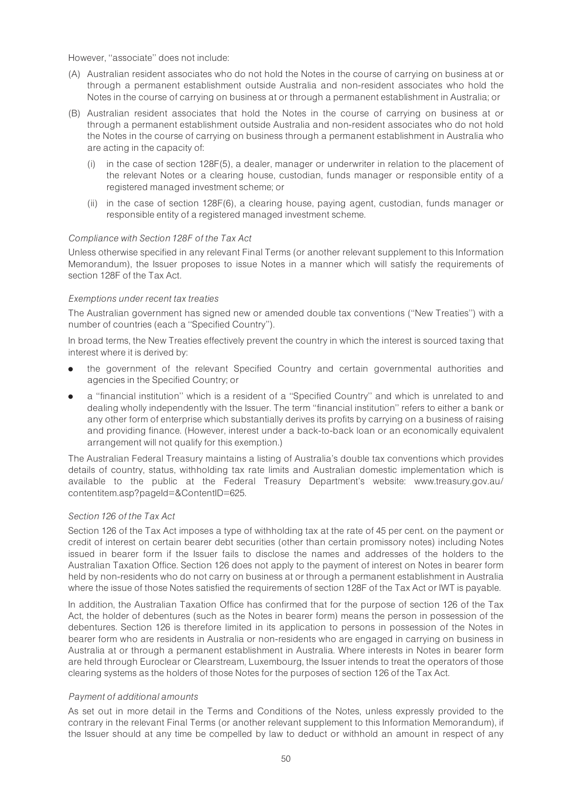However, ''associate'' does not include:

- (A) Australian resident associates who do not hold the Notes in the course of carrying on business at or through a permanent establishment outside Australia and non-resident associates who hold the Notes in the course of carrying on business at or through a permanent establishment in Australia; or
- (B) Australian resident associates that hold the Notes in the course of carrying on business at or through a permanent establishment outside Australia and non-resident associates who do not hold the Notes in the course of carrying on business through a permanent establishment in Australia who are acting in the capacity of:
	- (i) in the case of section 128F(5), a dealer, manager or underwriter in relation to the placement of the relevant Notes or a clearing house, custodian, funds manager or responsible entity of a registered managed investment scheme; or
	- (ii) in the case of section 128F(6), a clearing house, paying agent, custodian, funds manager or responsible entity of a registered managed investment scheme.

#### Compliance with Section 128F of the Tax Act

Unless otherwise specified in any relevant Final Terms (or another relevant supplement to this Information Memorandum), the Issuer proposes to issue Notes in a manner which will satisfy the requirements of section 128F of the Tax Act.

#### Exemptions under recent tax treaties

The Australian government has signed new or amended double tax conventions (''New Treaties'') with a number of countries (each a ''Specified Country'').

In broad terms, the New Treaties effectively prevent the country in which the interest is sourced taxing that interest where it is derived by:

- . the government of the relevant Specified Country and certain governmental authorities and agencies in the Specified Country; or
- . a ''financial institution'' which is a resident of a ''Specified Country'' and which is unrelated to and dealing wholly independently with the Issuer. The term ''financial institution'' refers to either a bank or any other form of enterprise which substantially derives its profits by carrying on a business of raising and providing finance. (However, interest under a back-to-back loan or an economically equivalent arrangement will not qualify for this exemption.)

The Australian Federal Treasury maintains a listing of Australia's double tax conventions which provides details of country, status, withholding tax rate limits and Australian domestic implementation which is available to the public at the Federal Treasury Department's website: www.treasury.gov.au/ contentitem.asp?pageId=&ContentID=625.

#### Section 126 of the Tax Act

Section 126 of the Tax Act imposes a type of withholding tax at the rate of 45 per cent. on the payment or credit of interest on certain bearer debt securities (other than certain promissory notes) including Notes issued in bearer form if the Issuer fails to disclose the names and addresses of the holders to the Australian Taxation Office. Section 126 does not apply to the payment of interest on Notes in bearer form held by non-residents who do not carry on business at or through a permanent establishment in Australia where the issue of those Notes satisfied the requirements of section 128F of the Tax Act or IWT is payable.

In addition, the Australian Taxation Office has confirmed that for the purpose of section 126 of the Tax Act, the holder of debentures (such as the Notes in bearer form) means the person in possession of the debentures. Section 126 is therefore limited in its application to persons in possession of the Notes in bearer form who are residents in Australia or non-residents who are engaged in carrying on business in Australia at or through a permanent establishment in Australia. Where interests in Notes in bearer form are held through Euroclear or Clearstream, Luxembourg, the Issuer intends to treat the operators of those clearing systems as the holders of those Notes for the purposes of section 126 of the Tax Act.

#### Payment of additional amounts

As set out in more detail in the Terms and Conditions of the Notes, unless expressly provided to the contrary in the relevant Final Terms (or another relevant supplement to this Information Memorandum), if the Issuer should at any time be compelled by law to deduct or withhold an amount in respect of any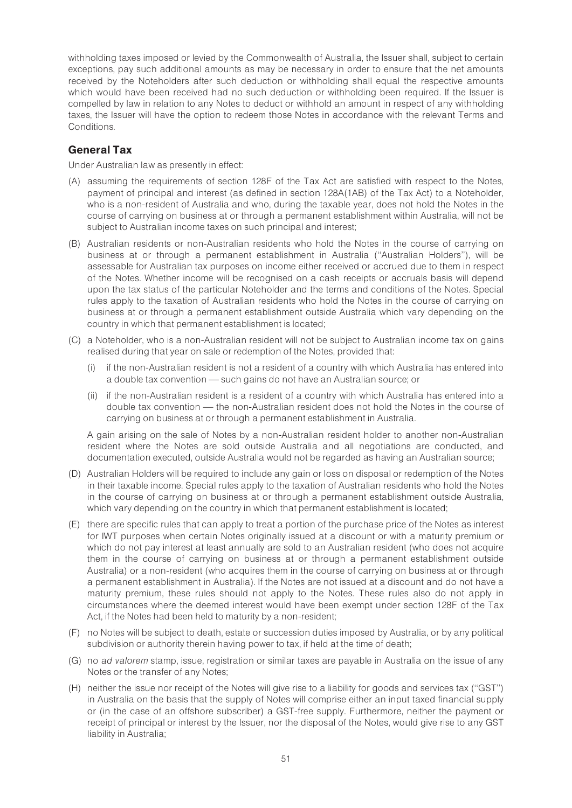withholding taxes imposed or levied by the Commonwealth of Australia, the Issuer shall, subject to certain exceptions, pay such additional amounts as may be necessary in order to ensure that the net amounts received by the Noteholders after such deduction or withholding shall equal the respective amounts which would have been received had no such deduction or withholding been required. If the Issuer is compelled by law in relation to any Notes to deduct or withhold an amount in respect of any withholding taxes, the Issuer will have the option to redeem those Notes in accordance with the relevant Terms and Conditions.

# General Tax

Under Australian law as presently in effect:

- (A) assuming the requirements of section 128F of the Tax Act are satisfied with respect to the Notes, payment of principal and interest (as defined in section 128A(1AB) of the Tax Act) to a Noteholder, who is a non-resident of Australia and who, during the taxable year, does not hold the Notes in the course of carrying on business at or through a permanent establishment within Australia, will not be subject to Australian income taxes on such principal and interest;
- (B) Australian residents or non-Australian residents who hold the Notes in the course of carrying on business at or through a permanent establishment in Australia (''Australian Holders''), will be assessable for Australian tax purposes on income either received or accrued due to them in respect of the Notes. Whether income will be recognised on a cash receipts or accruals basis will depend upon the tax status of the particular Noteholder and the terms and conditions of the Notes. Special rules apply to the taxation of Australian residents who hold the Notes in the course of carrying on business at or through a permanent establishment outside Australia which vary depending on the country in which that permanent establishment is located;
- (C) a Noteholder, who is a non-Australian resident will not be subject to Australian income tax on gains realised during that year on sale or redemption of the Notes, provided that:
	- (i) if the non-Australian resident is not a resident of a country with which Australia has entered into a double tax convention – such gains do not have an Australian source; or
	- (ii) if the non-Australian resident is a resident of a country with which Australia has entered into a double tax convention — the non-Australian resident does not hold the Notes in the course of carrying on business at or through a permanent establishment in Australia.

A gain arising on the sale of Notes by a non-Australian resident holder to another non-Australian resident where the Notes are sold outside Australia and all negotiations are conducted, and documentation executed, outside Australia would not be regarded as having an Australian source;

- (D) Australian Holders will be required to include any gain or loss on disposal or redemption of the Notes in their taxable income. Special rules apply to the taxation of Australian residents who hold the Notes in the course of carrying on business at or through a permanent establishment outside Australia, which vary depending on the country in which that permanent establishment is located;
- (E) there are specific rules that can apply to treat a portion of the purchase price of the Notes as interest for IWT purposes when certain Notes originally issued at a discount or with a maturity premium or which do not pay interest at least annually are sold to an Australian resident (who does not acquire them in the course of carrying on business at or through a permanent establishment outside Australia) or a non-resident (who acquires them in the course of carrying on business at or through a permanent establishment in Australia). If the Notes are not issued at a discount and do not have a maturity premium, these rules should not apply to the Notes. These rules also do not apply in circumstances where the deemed interest would have been exempt under section 128F of the Tax Act, if the Notes had been held to maturity by a non-resident;
- (F) no Notes will be subject to death, estate or succession duties imposed by Australia, or by any political subdivision or authority therein having power to tax, if held at the time of death;
- (G) no ad valorem stamp, issue, registration or similar taxes are payable in Australia on the issue of any Notes or the transfer of any Notes;
- (H) neither the issue nor receipt of the Notes will give rise to a liability for goods and services tax (''GST'') in Australia on the basis that the supply of Notes will comprise either an input taxed financial supply or (in the case of an offshore subscriber) a GST-free supply. Furthermore, neither the payment or receipt of principal or interest by the Issuer, nor the disposal of the Notes, would give rise to any GST liability in Australia;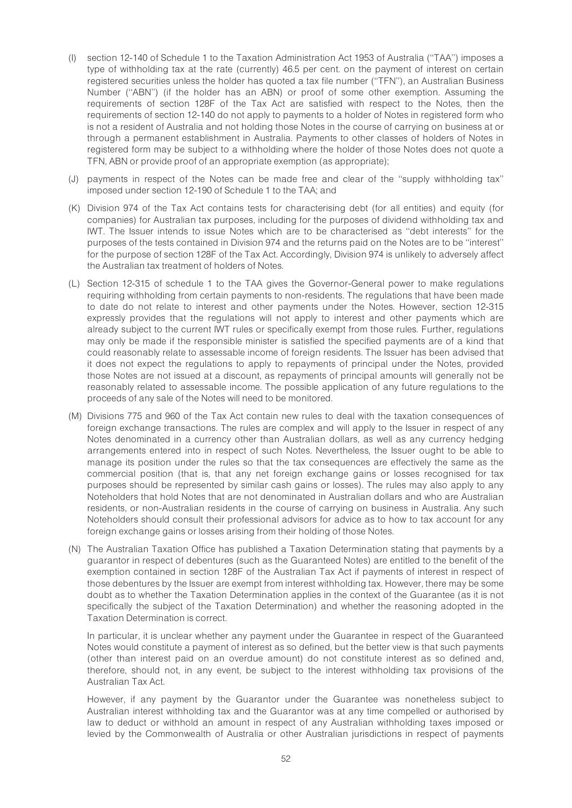- (I) section 12-140 of Schedule 1 to the Taxation Administration Act 1953 of Australia (''TAA'') imposes a type of withholding tax at the rate (currently) 46.5 per cent. on the payment of interest on certain registered securities unless the holder has quoted a tax file number (''TFN''), an Australian Business Number (''ABN'') (if the holder has an ABN) or proof of some other exemption. Assuming the requirements of section 128F of the Tax Act are satisfied with respect to the Notes, then the requirements of section 12-140 do not apply to payments to a holder of Notes in registered form who is not a resident of Australia and not holding those Notes in the course of carrying on business at or through a permanent establishment in Australia. Payments to other classes of holders of Notes in registered form may be subject to a withholding where the holder of those Notes does not quote a TFN, ABN or provide proof of an appropriate exemption (as appropriate);
- (J) payments in respect of the Notes can be made free and clear of the ''supply withholding tax'' imposed under section 12-190 of Schedule 1 to the TAA; and
- (K) Division 974 of the Tax Act contains tests for characterising debt (for all entities) and equity (for companies) for Australian tax purposes, including for the purposes of dividend withholding tax and IWT. The Issuer intends to issue Notes which are to be characterised as ''debt interests'' for the purposes of the tests contained in Division 974 and the returns paid on the Notes are to be ''interest'' for the purpose of section 128F of the Tax Act. Accordingly, Division 974 is unlikely to adversely affect the Australian tax treatment of holders of Notes.
- (L) Section 12-315 of schedule 1 to the TAA gives the Governor-General power to make regulations requiring withholding from certain payments to non-residents. The regulations that have been made to date do not relate to interest and other payments under the Notes. However, section 12-315 expressly provides that the regulations will not apply to interest and other payments which are already subject to the current IWT rules or specifically exempt from those rules. Further, regulations may only be made if the responsible minister is satisfied the specified payments are of a kind that could reasonably relate to assessable income of foreign residents. The Issuer has been advised that it does not expect the regulations to apply to repayments of principal under the Notes, provided those Notes are not issued at a discount, as repayments of principal amounts will generally not be reasonably related to assessable income. The possible application of any future regulations to the proceeds of any sale of the Notes will need to be monitored.
- (M) Divisions 775 and 960 of the Tax Act contain new rules to deal with the taxation consequences of foreign exchange transactions. The rules are complex and will apply to the Issuer in respect of any Notes denominated in a currency other than Australian dollars, as well as any currency hedging arrangements entered into in respect of such Notes. Nevertheless, the Issuer ought to be able to manage its position under the rules so that the tax consequences are effectively the same as the commercial position (that is, that any net foreign exchange gains or losses recognised for tax purposes should be represented by similar cash gains or losses). The rules may also apply to any Noteholders that hold Notes that are not denominated in Australian dollars and who are Australian residents, or non-Australian residents in the course of carrying on business in Australia. Any such Noteholders should consult their professional advisors for advice as to how to tax account for any foreign exchange gains or losses arising from their holding of those Notes.
- (N) The Australian Taxation Office has published a Taxation Determination stating that payments by a guarantor in respect of debentures (such as the Guaranteed Notes) are entitled to the benefit of the exemption contained in section 128F of the Australian Tax Act if payments of interest in respect of those debentures by the Issuer are exempt from interest withholding tax. However, there may be some doubt as to whether the Taxation Determination applies in the context of the Guarantee (as it is not specifically the subject of the Taxation Determination) and whether the reasoning adopted in the Taxation Determination is correct.

In particular, it is unclear whether any payment under the Guarantee in respect of the Guaranteed Notes would constitute a payment of interest as so defined, but the better view is that such payments (other than interest paid on an overdue amount) do not constitute interest as so defined and, therefore, should not, in any event, be subject to the interest withholding tax provisions of the Australian Tax Act.

However, if any payment by the Guarantor under the Guarantee was nonetheless subject to Australian interest withholding tax and the Guarantor was at any time compelled or authorised by law to deduct or withhold an amount in respect of any Australian withholding taxes imposed or levied by the Commonwealth of Australia or other Australian jurisdictions in respect of payments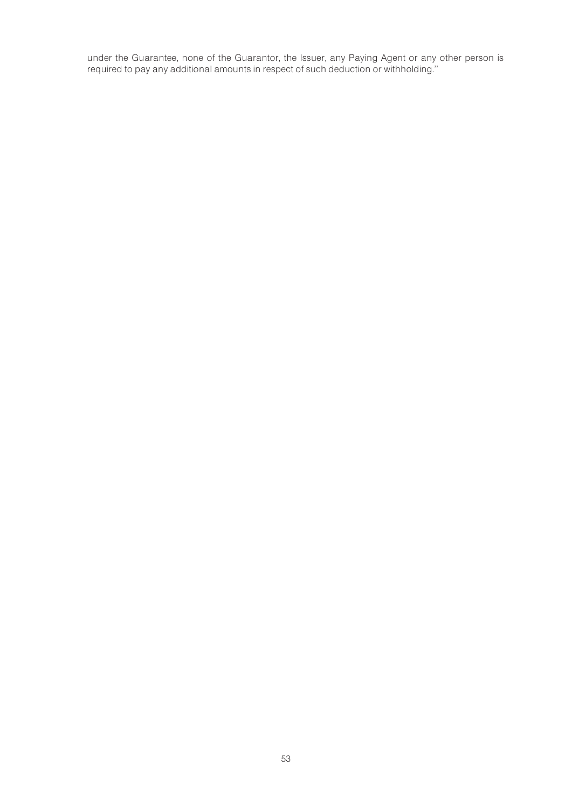under the Guarantee, none of the Guarantor, the Issuer, any Paying Agent or any other person is required to pay any additional amounts in respect of such deduction or withholding.''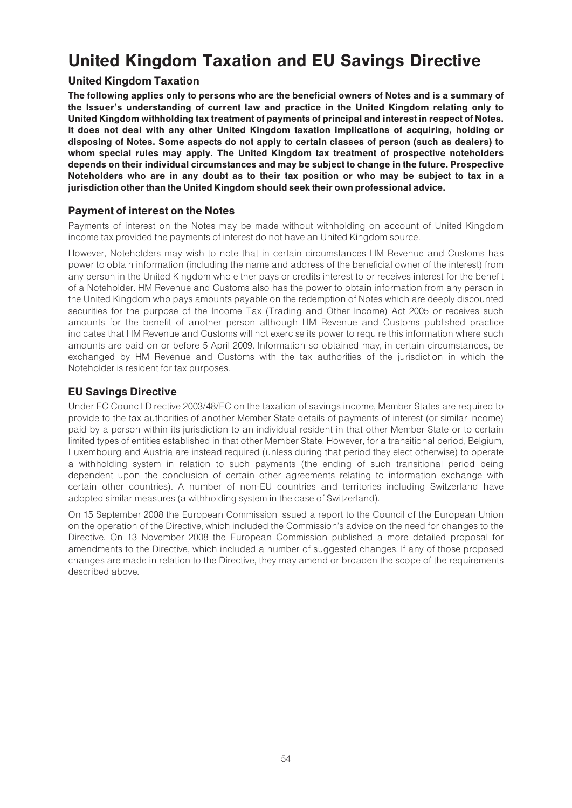# United Kingdom Taxation and EU Savings Directive

# United Kingdom Taxation

The following applies only to persons who are the beneficial owners of Notes and is a summary of the Issuer's understanding of current law and practice in the United Kingdom relating only to United Kingdom withholding tax treatment of payments of principal and interest in respect of Notes. It does not deal with any other United Kingdom taxation implications of acquiring, holding or disposing of Notes. Some aspects do not apply to certain classes of person (such as dealers) to whom special rules may apply. The United Kingdom tax treatment of prospective noteholders depends on their individual circumstances and may be subject to change in the future. Prospective Noteholders who are in any doubt as to their tax position or who may be subject to tax in a jurisdiction other than the United Kingdom should seek their own professional advice.

# Payment of interest on the Notes

Payments of interest on the Notes may be made without withholding on account of United Kingdom income tax provided the payments of interest do not have an United Kingdom source.

However, Noteholders may wish to note that in certain circumstances HM Revenue and Customs has power to obtain information (including the name and address of the beneficial owner of the interest) from any person in the United Kingdom who either pays or credits interest to or receives interest for the benefit of a Noteholder. HM Revenue and Customs also has the power to obtain information from any person in the United Kingdom who pays amounts payable on the redemption of Notes which are deeply discounted securities for the purpose of the Income Tax (Trading and Other Income) Act 2005 or receives such amounts for the benefit of another person although HM Revenue and Customs published practice indicates that HM Revenue and Customs will not exercise its power to require this information where such amounts are paid on or before 5 April 2009. Information so obtained may, in certain circumstances, be exchanged by HM Revenue and Customs with the tax authorities of the jurisdiction in which the Noteholder is resident for tax purposes.

# EU Savings Directive

Under EC Council Directive 2003/48/EC on the taxation of savings income, Member States are required to provide to the tax authorities of another Member State details of payments of interest (or similar income) paid by a person within its jurisdiction to an individual resident in that other Member State or to certain limited types of entities established in that other Member State. However, for a transitional period, Belgium, Luxembourg and Austria are instead required (unless during that period they elect otherwise) to operate a withholding system in relation to such payments (the ending of such transitional period being dependent upon the conclusion of certain other agreements relating to information exchange with certain other countries). A number of non-EU countries and territories including Switzerland have adopted similar measures (a withholding system in the case of Switzerland).

On 15 September 2008 the European Commission issued a report to the Council of the European Union on the operation of the Directive, which included the Commission's advice on the need for changes to the Directive. On 13 November 2008 the European Commission published a more detailed proposal for amendments to the Directive, which included a number of suggested changes. If any of those proposed changes are made in relation to the Directive, they may amend or broaden the scope of the requirements described above.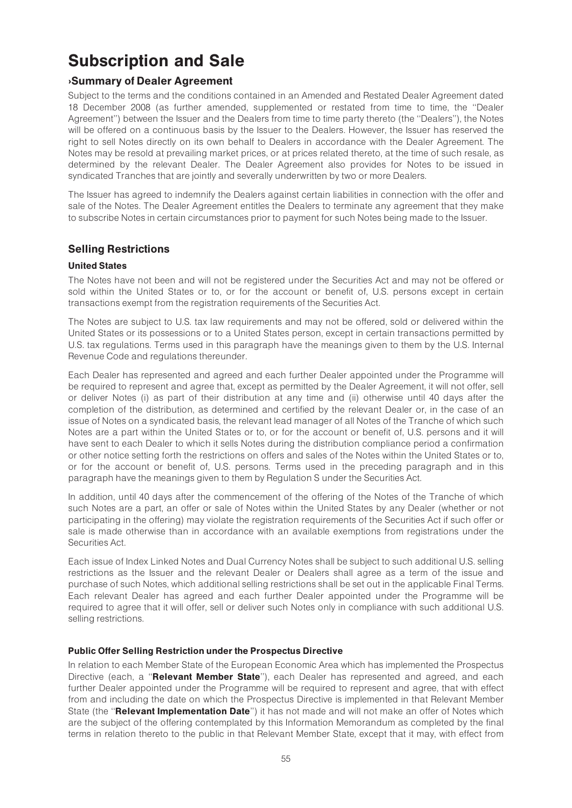# Subscription and Sale

# >Summary of Dealer Agreement

Subject to the terms and the conditions contained in an Amended and Restated Dealer Agreement dated 18 December 2008 (as further amended, supplemented or restated from time to time, the ''Dealer Agreement'') between the Issuer and the Dealers from time to time party thereto (the ''Dealers''), the Notes will be offered on a continuous basis by the Issuer to the Dealers. However, the Issuer has reserved the right to sell Notes directly on its own behalf to Dealers in accordance with the Dealer Agreement. The Notes may be resold at prevailing market prices, or at prices related thereto, at the time of such resale, as determined by the relevant Dealer. The Dealer Agreement also provides for Notes to be issued in syndicated Tranches that are jointly and severally underwritten by two or more Dealers.

The Issuer has agreed to indemnify the Dealers against certain liabilities in connection with the offer and sale of the Notes. The Dealer Agreement entitles the Dealers to terminate any agreement that they make to subscribe Notes in certain circumstances prior to payment for such Notes being made to the Issuer.

# Selling Restrictions

### United States

The Notes have not been and will not be registered under the Securities Act and may not be offered or sold within the United States or to, or for the account or benefit of, U.S. persons except in certain transactions exempt from the registration requirements of the Securities Act.

The Notes are subject to U.S. tax law requirements and may not be offered, sold or delivered within the United States or its possessions or to a United States person, except in certain transactions permitted by U.S. tax regulations. Terms used in this paragraph have the meanings given to them by the U.S. Internal Revenue Code and regulations thereunder.

Each Dealer has represented and agreed and each further Dealer appointed under the Programme will be required to represent and agree that, except as permitted by the Dealer Agreement, it will not offer, sell or deliver Notes (i) as part of their distribution at any time and (ii) otherwise until 40 days after the completion of the distribution, as determined and certified by the relevant Dealer or, in the case of an issue of Notes on a syndicated basis, the relevant lead manager of all Notes of the Tranche of which such Notes are a part within the United States or to, or for the account or benefit of, U.S. persons and it will have sent to each Dealer to which it sells Notes during the distribution compliance period a confirmation or other notice setting forth the restrictions on offers and sales of the Notes within the United States or to, or for the account or benefit of, U.S. persons. Terms used in the preceding paragraph and in this paragraph have the meanings given to them by Regulation S under the Securities Act.

In addition, until 40 days after the commencement of the offering of the Notes of the Tranche of which such Notes are a part, an offer or sale of Notes within the United States by any Dealer (whether or not participating in the offering) may violate the registration requirements of the Securities Act if such offer or sale is made otherwise than in accordance with an available exemptions from registrations under the Securities Act.

Each issue of Index Linked Notes and Dual Currency Notes shall be subject to such additional U.S. selling restrictions as the Issuer and the relevant Dealer or Dealers shall agree as a term of the issue and purchase of such Notes, which additional selling restrictions shall be set out in the applicable Final Terms. Each relevant Dealer has agreed and each further Dealer appointed under the Programme will be required to agree that it will offer, sell or deliver such Notes only in compliance with such additional U.S. selling restrictions.

#### Public Offer Selling Restriction under the Prospectus Directive

In relation to each Member State of the European Economic Area which has implemented the Prospectus Directive (each, a "Relevant Member State"), each Dealer has represented and agreed, and each further Dealer appointed under the Programme will be required to represent and agree, that with effect from and including the date on which the Prospectus Directive is implemented in that Relevant Member State (the "Relevant Implementation Date") it has not made and will not make an offer of Notes which are the subject of the offering contemplated by this Information Memorandum as completed by the final terms in relation thereto to the public in that Relevant Member State, except that it may, with effect from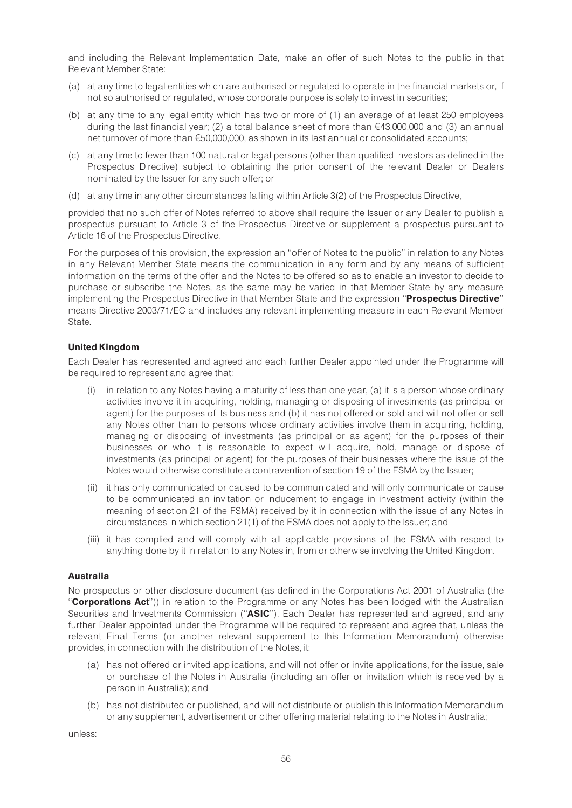and including the Relevant Implementation Date, make an offer of such Notes to the public in that Relevant Member State:

- (a) at any time to legal entities which are authorised or regulated to operate in the financial markets or, if not so authorised or regulated, whose corporate purpose is solely to invest in securities;
- (b) at any time to any legal entity which has two or more of (1) an average of at least 250 employees during the last financial year; (2) a total balance sheet of more than  $\epsilon$ 43,000,000 and (3) an annual net turnover of more than €50,000,000, as shown in its last annual or consolidated accounts;
- (c) at any time to fewer than 100 natural or legal persons (other than qualified investors as defined in the Prospectus Directive) subject to obtaining the prior consent of the relevant Dealer or Dealers nominated by the Issuer for any such offer; or
- (d) at any time in any other circumstances falling within Article 3(2) of the Prospectus Directive,

provided that no such offer of Notes referred to above shall require the Issuer or any Dealer to publish a prospectus pursuant to Article 3 of the Prospectus Directive or supplement a prospectus pursuant to Article 16 of the Prospectus Directive.

For the purposes of this provision, the expression an ''offer of Notes to the public'' in relation to any Notes in any Relevant Member State means the communication in any form and by any means of sufficient information on the terms of the offer and the Notes to be offered so as to enable an investor to decide to purchase or subscribe the Notes, as the same may be varied in that Member State by any measure implementing the Prospectus Directive in that Member State and the expression "Prospectus Directive" means Directive 2003/71/EC and includes any relevant implementing measure in each Relevant Member State.

#### United Kingdom

Each Dealer has represented and agreed and each further Dealer appointed under the Programme will be required to represent and agree that:

- (i) in relation to any Notes having a maturity of less than one year, (a) it is a person whose ordinary activities involve it in acquiring, holding, managing or disposing of investments (as principal or agent) for the purposes of its business and (b) it has not offered or sold and will not offer or sell any Notes other than to persons whose ordinary activities involve them in acquiring, holding, managing or disposing of investments (as principal or as agent) for the purposes of their businesses or who it is reasonable to expect will acquire, hold, manage or dispose of investments (as principal or agent) for the purposes of their businesses where the issue of the Notes would otherwise constitute a contravention of section 19 of the FSMA by the Issuer;
- (ii) it has only communicated or caused to be communicated and will only communicate or cause to be communicated an invitation or inducement to engage in investment activity (within the meaning of section 21 of the FSMA) received by it in connection with the issue of any Notes in circumstances in which section 21(1) of the FSMA does not apply to the Issuer; and
- (iii) it has complied and will comply with all applicable provisions of the FSMA with respect to anything done by it in relation to any Notes in, from or otherwise involving the United Kingdom.

#### Australia

No prospectus or other disclosure document (as defined in the Corporations Act 2001 of Australia (the "Corporations Act")) in relation to the Programme or any Notes has been lodged with the Australian Securities and Investments Commission ("ASIC"). Each Dealer has represented and agreed, and any further Dealer appointed under the Programme will be required to represent and agree that, unless the relevant Final Terms (or another relevant supplement to this Information Memorandum) otherwise provides, in connection with the distribution of the Notes, it:

- (a) has not offered or invited applications, and will not offer or invite applications, for the issue, sale or purchase of the Notes in Australia (including an offer or invitation which is received by a person in Australia); and
- (b) has not distributed or published, and will not distribute or publish this Information Memorandum or any supplement, advertisement or other offering material relating to the Notes in Australia;

unless: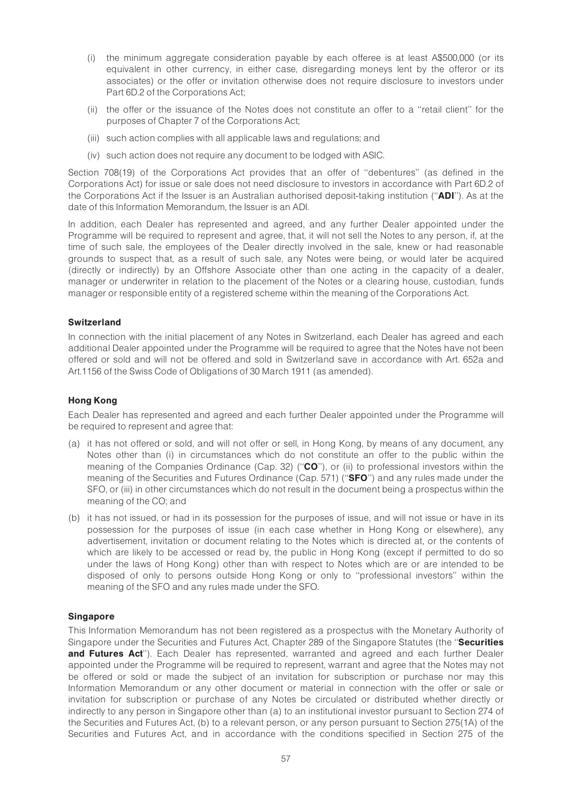- (i) the minimum aggregate consideration payable by each offeree is at least A\$500,000 (or its equivalent in other currency, in either case, disregarding moneys lent by the offeror or its associates) or the offer or invitation otherwise does not require disclosure to investors under Part 6D.2 of the Corporations Act;
- (ii) the offer or the issuance of the Notes does not constitute an offer to a ''retail client'' for the purposes of Chapter 7 of the Corporations Act;
- (iii) such action complies with all applicable laws and regulations; and
- (iv) such action does not require any document to be lodged with ASIC.

Section 708(19) of the Corporations Act provides that an offer of ''debentures'' (as defined in the Corporations Act) for issue or sale does not need disclosure to investors in accordance with Part 6D.2 of the Corporations Act if the Issuer is an Australian authorised deposit-taking institution (''ADI''). As at the date of this Information Memorandum, the Issuer is an ADI.

In addition, each Dealer has represented and agreed, and any further Dealer appointed under the Programme will be required to represent and agree, that, it will not sell the Notes to any person, if, at the time of such sale, the employees of the Dealer directly involved in the sale, knew or had reasonable grounds to suspect that, as a result of such sale, any Notes were being, or would later be acquired (directly or indirectly) by an Offshore Associate other than one acting in the capacity of a dealer, manager or underwriter in relation to the placement of the Notes or a clearing house, custodian, funds manager or responsible entity of a registered scheme within the meaning of the Corporations Act.

#### **Switzerland**

In connection with the initial placement of any Notes in Switzerland, each Dealer has agreed and each additional Dealer appointed under the Programme will be required to agree that the Notes have not been offered or sold and will not be offered and sold in Switzerland save in accordance with Art. 652a and Art.1156 of the Swiss Code of Obligations of 30 March 1911 (as amended).

#### Hong Kong

Each Dealer has represented and agreed and each further Dealer appointed under the Programme will be required to represent and agree that:

- (a) it has not offered or sold, and will not offer or sell, in Hong Kong, by means of any document, any Notes other than (i) in circumstances which do not constitute an offer to the public within the meaning of the Companies Ordinance (Cap. 32) ("CO"), or (ii) to professional investors within the meaning of the Securities and Futures Ordinance (Cap. 571) ("SFO") and any rules made under the SFO, or (iii) in other circumstances which do not result in the document being a prospectus within the meaning of the CO; and
- (b) it has not issued, or had in its possession for the purposes of issue, and will not issue or have in its possession for the purposes of issue (in each case whether in Hong Kong or elsewhere), any advertisement, invitation or document relating to the Notes which is directed at, or the contents of which are likely to be accessed or read by, the public in Hong Kong (except if permitted to do so under the laws of Hong Kong) other than with respect to Notes which are or are intended to be disposed of only to persons outside Hong Kong or only to ''professional investors'' within the meaning of the SFO and any rules made under the SFO.

#### **Singapore**

This Information Memorandum has not been registered as a prospectus with the Monetary Authority of Singapore under the Securities and Futures Act, Chapter 289 of the Singapore Statutes (the "Securities and Futures Act"). Each Dealer has represented, warranted and agreed and each further Dealer appointed under the Programme will be required to represent, warrant and agree that the Notes may not be offered or sold or made the subject of an invitation for subscription or purchase nor may this Information Memorandum or any other document or material in connection with the offer or sale or invitation for subscription or purchase of any Notes be circulated or distributed whether directly or indirectly to any person in Singapore other than (a) to an institutional investor pursuant to Section 274 of the Securities and Futures Act, (b) to a relevant person, or any person pursuant to Section 275(1A) of the Securities and Futures Act, and in accordance with the conditions specified in Section 275 of the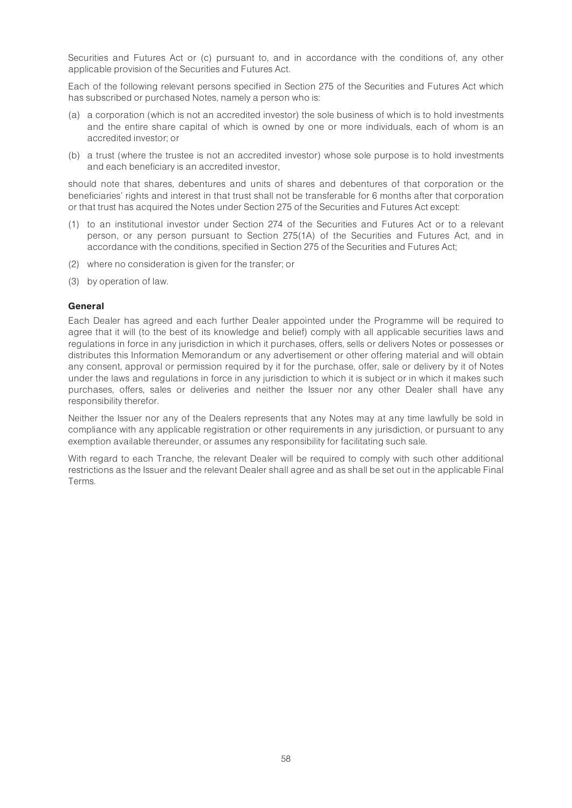Securities and Futures Act or (c) pursuant to, and in accordance with the conditions of, any other applicable provision of the Securities and Futures Act.

Each of the following relevant persons specified in Section 275 of the Securities and Futures Act which has subscribed or purchased Notes, namely a person who is:

- (a) a corporation (which is not an accredited investor) the sole business of which is to hold investments and the entire share capital of which is owned by one or more individuals, each of whom is an accredited investor; or
- (b) a trust (where the trustee is not an accredited investor) whose sole purpose is to hold investments and each beneficiary is an accredited investor,

should note that shares, debentures and units of shares and debentures of that corporation or the beneficiaries' rights and interest in that trust shall not be transferable for 6 months after that corporation or that trust has acquired the Notes under Section 275 of the Securities and Futures Act except:

- (1) to an institutional investor under Section 274 of the Securities and Futures Act or to a relevant person, or any person pursuant to Section 275(1A) of the Securities and Futures Act, and in accordance with the conditions, specified in Section 275 of the Securities and Futures Act;
- (2) where no consideration is given for the transfer; or
- (3) by operation of law.

#### General

Each Dealer has agreed and each further Dealer appointed under the Programme will be required to agree that it will (to the best of its knowledge and belief) comply with all applicable securities laws and regulations in force in any jurisdiction in which it purchases, offers, sells or delivers Notes or possesses or distributes this Information Memorandum or any advertisement or other offering material and will obtain any consent, approval or permission required by it for the purchase, offer, sale or delivery by it of Notes under the laws and regulations in force in any jurisdiction to which it is subject or in which it makes such purchases, offers, sales or deliveries and neither the Issuer nor any other Dealer shall have any responsibility therefor.

Neither the Issuer nor any of the Dealers represents that any Notes may at any time lawfully be sold in compliance with any applicable registration or other requirements in any jurisdiction, or pursuant to any exemption available thereunder, or assumes any responsibility for facilitating such sale.

With regard to each Tranche, the relevant Dealer will be required to comply with such other additional restrictions as the Issuer and the relevant Dealer shall agree and as shall be set out in the applicable Final Terms.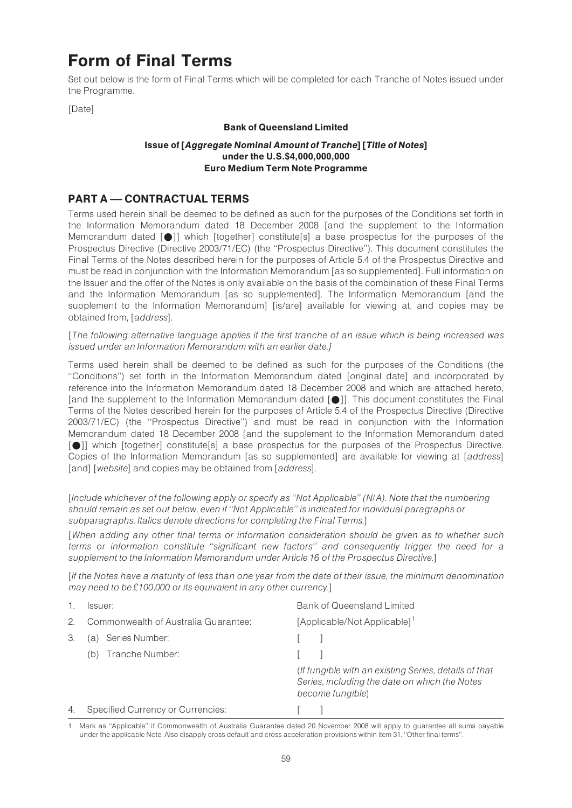# Form of Final Terms

Set out below is the form of Final Terms which will be completed for each Tranche of Notes issued under the Programme.

[Date]

#### Bank of Queensland Limited

#### Issue of [Aggregate Nominal Amount of Tranche] [Title of Notes] under the U.S.\$4,000,000,000 Euro Medium Term Note Programme

# PART A - CONTRACTUAL TERMS

Terms used herein shall be deemed to be defined as such for the purposes of the Conditions set forth in the Information Memorandum dated 18 December 2008 [and the supplement to the Information Memorandum dated  $\lceil \bullet \rceil$ ] which [together] constitute[s] a base prospectus for the purposes of the Prospectus Directive (Directive 2003/71/EC) (the ''Prospectus Directive''). This document constitutes the Final Terms of the Notes described herein for the purposes of Article 5.4 of the Prospectus Directive and must be read in conjunction with the Information Memorandum [as so supplemented]. Full information on the Issuer and the offer of the Notes is only available on the basis of the combination of these Final Terms and the Information Memorandum [as so supplemented]. The Information Memorandum [and the supplement to the Information Memorandum] [is/are] available for viewing at, and copies may be obtained from, [address].

[The following alternative language applies if the first tranche of an issue which is being increased was issued under an Information Memorandum with an earlier date.]

Terms used herein shall be deemed to be defined as such for the purposes of the Conditions (the ''Conditions'') set forth in the Information Memorandum dated [original date] and incorporated by reference into the Information Memorandum dated 18 December 2008 and which are attached hereto, [and the supplement to the Information Memorandum dated  $[①]$ ]. This document constitutes the Final Terms of the Notes described herein for the purposes of Article 5.4 of the Prospectus Directive (Directive 2003/71/EC) (the ''Prospectus Directive'') and must be read in conjunction with the Information Memorandum dated 18 December 2008 [and the supplement to the Information Memorandum dated [ $\bigcirc$ ]] which [together] constitute[s] a base prospectus for the purposes of the Prospectus Directive. Copies of the Information Memorandum [as so supplemented] are available for viewing at [address] [and] [website] and copies may be obtained from [address].

[Include whichever of the following apply or specify as ''Not Applicable'' (N/A). Note that the numbering should remain as set out below, even if ''Not Applicable'' is indicated for individual paragraphs or subparagraphs. Italics denote directions for completing the Final Terms.]

[When adding any other final terms or information consideration should be given as to whether such terms or information constitute ''significant new factors'' and consequently trigger the need for a supplement to the Information Memorandum under Article 16 of the Prospectus Directive.]

[If the Notes have a maturity of less than one year from the date of their issue, the minimum denomination may need to be  $£100,000$  or its equivalent in any other currency.]

|               | Issuer:                              | <b>Bank of Queensland Limited</b>                                                                                          |
|---------------|--------------------------------------|----------------------------------------------------------------------------------------------------------------------------|
| $\mathcal{P}$ | Commonwealth of Australia Guarantee: | [Applicable/Not Applicable] <sup>1</sup>                                                                                   |
| 3.            | Series Number:<br>(a)                |                                                                                                                            |
|               | (b) Tranche Number:                  |                                                                                                                            |
|               |                                      | (If fungible with an existing Series, details of that<br>Series, including the date on which the Notes<br>become fungible) |
| 4.            | Specified Currency or Currencies:    |                                                                                                                            |

<sup>1</sup> Mark as ''Applicable'' if Commonwealth of Australia Guarantee dated 20 November 2008 will apply to guarantee all sums payable under the applicable Note. Also disapply cross default and cross acceleration provisions within item 31. ''Other final terms''.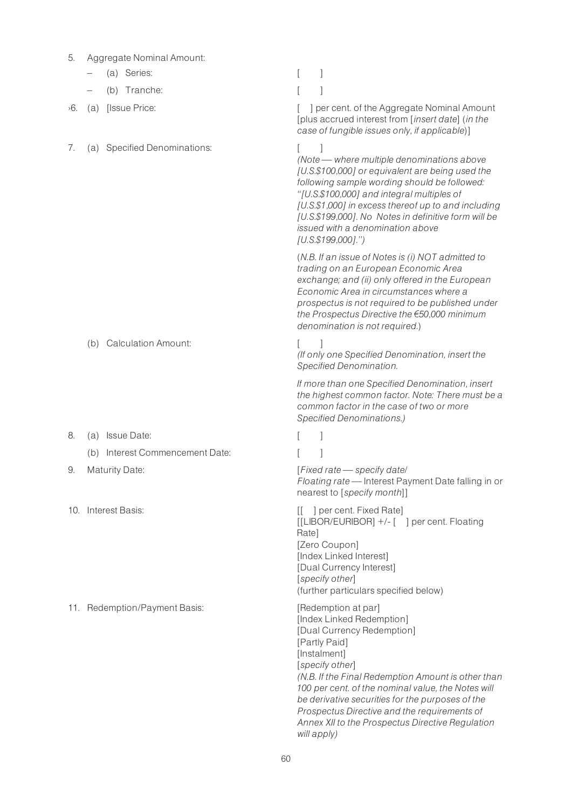- 5. Aggregate Nominal Amount:
	- (a) Series: [ ]
	- (b) Tranche: [ ]
- 
- 7. (a) Specified Denominations: [ ]

>6. (a) [Issue Price: [ ] per cent. of the Aggregate Nominal Amount [plus accrued interest from [insert date] (in the case of fungible issues only, if applicable)]

> $(Note — where multiple denominations above$ [U.S.\$100,000] or equivalent are being used the following sample wording should be followed: ''[U.S.\$100,000] and integral multiples of [U.S.\$1,000] in excess thereof up to and including [U.S.\$199,000]. No Notes in definitive form will be issued with a denomination above [U.S.\$199,000].'')

(N.B. If an issue of Notes is (i) NOT admitted to trading on an European Economic Area exchange; and (ii) only offered in the European Economic Area in circumstances where a prospectus is not required to be published under the Prospectus Directive the  $€50,000$  minimum denomination is not required.)

- (b) Calculation Amount:
- 8. (a) Issue Date: [ ] (b) Interest Commencement Date: [ ]
- 
- 

11. Redemption/Payment Basis: [Redemption at par]

(If only one Specified Denomination, insert the Specified Denomination. If more than one Specified Denomination, insert

the highest common factor. Note: There must be a common factor in the case of two or more Specified Denominations.)

9. Maturity Date:  $[Fixed\ rate \rightarrow specify\ date]$ Floating rate – Interest Payment Date falling in or nearest to [specify month]]

10. Interest Basis: The Contract of Land Contract of Land Contract of Land Contract of Land Contract of Land Contract of Land Contract of Land Contract of Land Contract of Land Contract of Land Contract of Land Contract of [[LIBOR/EURIBOR] +/- [ ] per cent. Floating Rate] [Zero Coupon] [Index Linked Interest] [Dual Currency Interest] [specify other] (further particulars specified below)

> [Index Linked Redemption] [Dual Currency Redemption] [Partly Paid] [Instalment] [specify other] (N.B. If the Final Redemption Amount is other than 100 per cent. of the nominal value, the Notes will be derivative securities for the purposes of the Prospectus Directive and the requirements of Annex XII to the Prospectus Directive Regulation will apply)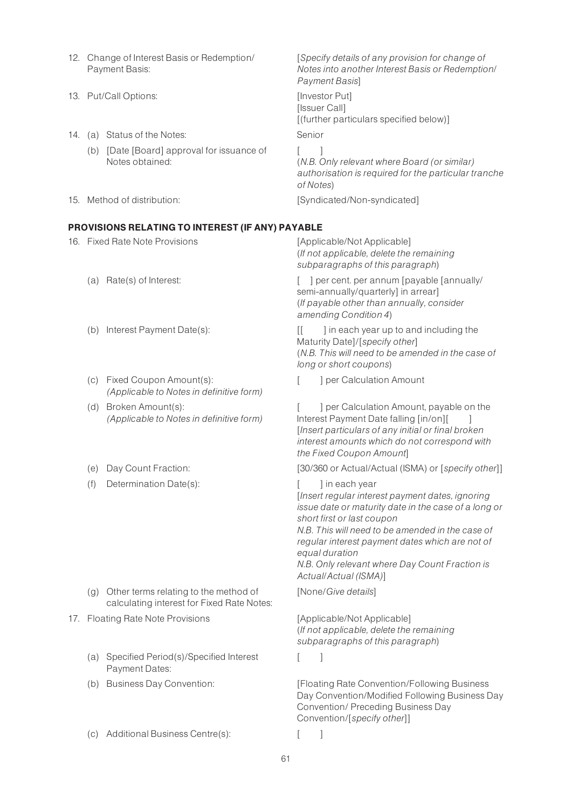- 12. Change of Interest Basis or Redemption/ Payment Basis: Notes into another Interest Basis or Redemption/ Payment Basis] 13. Put/Call Options: [Investor Put] [Issuer Call] [(further particulars specified below)] 14. (a) Status of the Notes: Senior (b) [Date [Board] approval for issuance of Notes obtained:  $[$  ] (N.B. Only relevant where Board (or similar) authorisation is required for the particular tranche of Notes) 15. Method of distribution: [Syndicated/Non-syndicated] PROVISIONS RELATING TO INTEREST (IF ANY) PAYABLE 16. Fixed Rate Note Provisions [Applicable/Not Applicable] (If not applicable, delete the remaining subparagraphs of this paragraph) (a) Rate(s) of Interest:  $\begin{bmatrix} 1 \end{bmatrix}$  per cent. per annum [payable [annually/ semi-annually/quarterly] in arrear] (If payable other than annually, consider amending Condition 4) (b) Interest Payment Date(s): [[ ] in each year up to and including the Maturity Date]/[specify other] (N.B. This will need to be amended in the case of
	- (c) Fixed Coupon Amount(s): (Applicable to Notes in definitive form)
	- (d) Broken Amount(s): (Applicable to Notes in definitive form)
	-
	- (f) Determination Date(s):  $\begin{bmatrix} \cdot & \cdot & \cdot \\ \cdot & \cdot & \cdot \\ \cdot & \cdot & \cdot \end{bmatrix}$  in each year

- (g) Other terms relating to the method of calculating interest for Fixed Rate Notes:
- 17. Floating Rate Note Provisions [Applicable/Not Applicable]
	- (a) Specified Period(s)/Specified Interest Payment Dates:
	-
	- (c) Additional Business Centre(s): [ ]

[Specify details of any provision for change of

long or short coupons)

[ ] per Calculation Amount

[ ] per Calculation Amount, payable on the Interest Payment Date falling [in/on][ ] [Insert particulars of any initial or final broken interest amounts which do not correspond with the Fixed Coupon Amount]

(e) Day Count Fraction: [30/360 or Actual/Actual (ISMA) or [specify other]]

[Insert regular interest payment dates, ignoring issue date or maturity date in the case of a long or short first or last coupon

N.B. This will need to be amended in the case of regular interest payment dates which are not of equal duration

N.B. Only relevant where Day Count Fraction is Actual/Actual (ISMA)]

[None/Give details]

(If not applicable, delete the remaining subparagraphs of this paragraph)

 $\lceil$  1

(b) Business Day Convention: [Floating Rate Convention/Following Business Day Convention/Modified Following Business Day Convention/ Preceding Business Day Convention/[specify other]]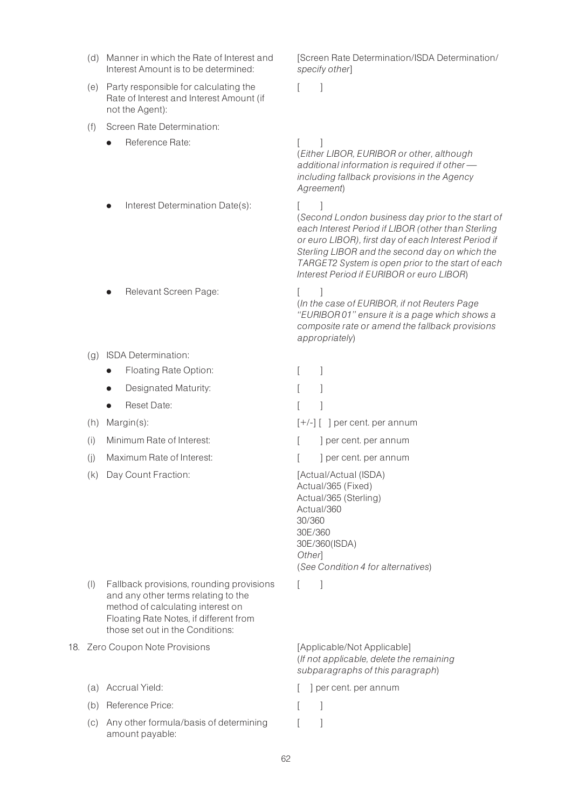- (d) Manner in which the Rate of Interest and Interest Amount is to be determined:
- (e) Party responsible for calculating the Rate of Interest and Interest Amount (if not the Agent):
- (f) Screen Rate Determination:
	- Reference Rate: [ ]

[Screen Rate Determination/ISDA Determination/ specify other]

 $\lceil$   $\rceil$ 

- Interest Determination Date(s): [ ]
- Relevant Screen Page: [ ]
- (g) ISDA Determination:
	- Floating Rate Option: [ ]
	- Designated Maturity:  $\begin{bmatrix} 1 \end{bmatrix}$
	- **e** Reset Date:  $\begin{bmatrix} 1 \end{bmatrix}$
- 
- (i) Minimum Rate of Interest:  $\begin{bmatrix} 1 & 1 \end{bmatrix}$  per cent. per annum
- (i) Maximum Rate of Interest:  $\qquad \qquad$  [ ] per cent. per annum
- (k) Day Count Fraction: [Actual/Actual (ISDA)

- (l) Fallback provisions, rounding provisions and any other terms relating to the method of calculating interest on Floating Rate Notes, if different from those set out in the Conditions:
- 18. Zero Coupon Note Provisions [Applicable/Not Applicable]
	-
	- (b) Reference Price: [ ]
	- (c) Any other formula/basis of determining amount payable:

(Either LIBOR, EURIBOR or other, although additional information is required if other  $$ including fallback provisions in the Agency Agreement)

(Second London business day prior to the start of each Interest Period if LIBOR (other than Sterling or euro LIBOR), first day of each Interest Period if Sterling LIBOR and the second day on which the TARGET2 System is open prior to the start of each Interest Period if EURIBOR or euro LIBOR)

(In the case of EURIBOR, if not Reuters Page ''EURIBOR 01'' ensure it is a page which shows a composite rate or amend the fallback provisions appropriately)

- 
- 
- (h) Margin(s):  $[+/]-]$  [ ] per cent. per annum
	-
	-

Actual/365 (Fixed) Actual/365 (Sterling) Actual/360 30/360 30E/360 30E/360(ISDA) **Otherl** (See Condition 4 for alternatives)

 $\lceil$   $\rceil$ 

(If not applicable, delete the remaining subparagraphs of this paragraph)

- (a) Accrual Yield:  $\begin{bmatrix} \end{bmatrix}$  per cent. per annum
	-
	- $\lceil$   $\rceil$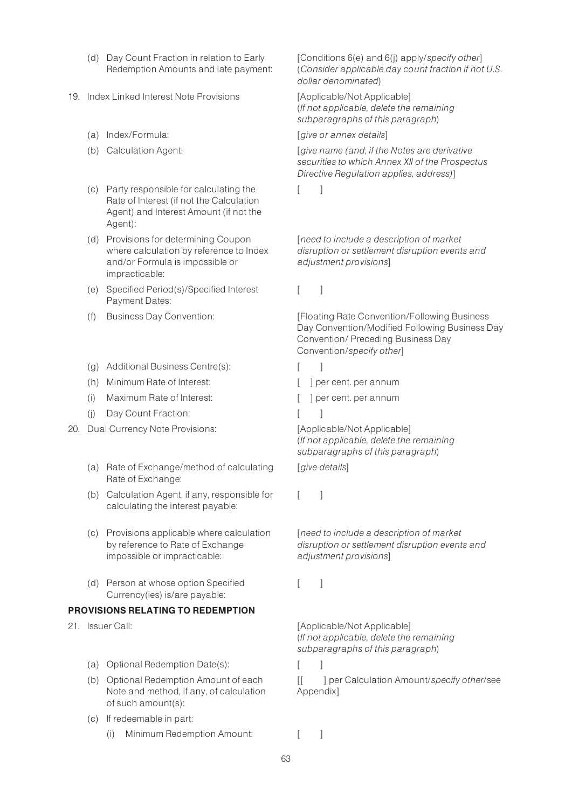- (d) Day Count Fraction in relation to Early Redemption Amounts and late payment:
- 19. Index Linked Interest Note Provisions [Applicable/Not Applicable]
	-
	-
	- (c) Party responsible for calculating the Rate of Interest (if not the Calculation Agent) and Interest Amount (if not the Agent):
	- (d) Provisions for determining Coupon where calculation by reference to Index and/or Formula is impossible or impracticable:
	- (e) Specified Period(s)/Specified Interest Payment Dates:
	-
	- (g) Additional Business Centre(s): [ ]
	- (h) Minimum Rate of Interest:  $\begin{bmatrix} | & | \end{bmatrix}$  per cent. per annum
	- (i) Maximum Rate of Interest:  $\begin{bmatrix} \cdot & \cdot & \cdot \\ \cdot & \cdot & \cdot \\ \cdot & \cdot & \cdot \end{bmatrix}$  per cent. per annum
	- (i) Day Count Fraction: [ ]
- 20. Dual Currency Note Provisions: [Applicable/Not Applicable]
	- (a) Rate of Exchange/method of calculating Rate of Exchange:
	- (b) Calculation Agent, if any, responsible for calculating the interest payable:
	- (c) Provisions applicable where calculation by reference to Rate of Exchange impossible or impracticable:
	- (d) Person at whose option Specified Currency(ies) is/are payable:

#### PROVISIONS RELATING TO REDEMPTION

- - (a) Optional Redemption Date(s):
	- (b) Optional Redemption Amount of each Note and method, if any, of calculation of such amount(s):
	- (c) If redeemable in part:
		- (i) Minimum Redemption Amount: [ ]

[Conditions 6(e) and 6(j) apply/specify other] (Consider applicable day count fraction if not U.S. dollar denominated)

(If not applicable, delete the remaining subparagraphs of this paragraph)

#### (a) Index/Formula:  $\left[ \right.$  [give or annex details]

(b) Calculation Agent:  $[give name (and, if the Notes are derivative$ securities to which Annex XII of the Prospectus Directive Regulation applies, address)]

 $\lceil$   $\rceil$ 

[need to include a description of market disruption or settlement disruption events and adjustment provisions]

 $\lceil$   $\rceil$ 

(f) Business Day Convention: [Floating Rate Convention/Following Business Day Convention/Modified Following Business Day Convention/ Preceding Business Day Convention/specify other]

- -

(If not applicable, delete the remaining subparagraphs of this paragraph)

[give details]

 $\lceil$   $\rceil$ 

[need to include a description of market disruption or settlement disruption events and adjustment provisions]

 $[$   $]$ 

21. Issuer Call: Call: Call: Call: Call: Call: Call: Call: Call: Call: Call: Call: Call: Call: Call: Call: Call: Call: Call: Call: Call: Call: Call: Call: Call: Call: Call: Call: Call: Call: Call: Call: Call: Call: Call: C (If not applicable, delete the remaining subparagraphs of this paragraph)

[[ ] per Calculation Amount/specify other/see Appendix]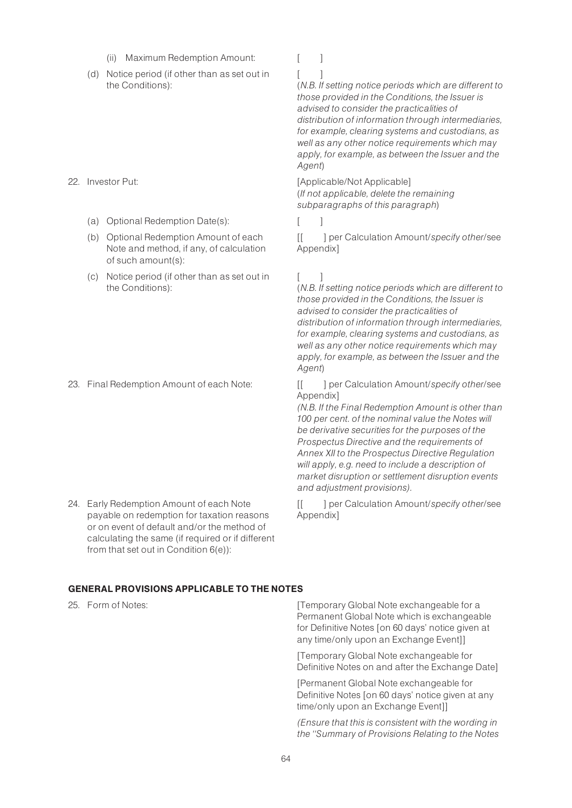- (ii) Maximum Redemption Amount: [ ]
- (d) Notice period (if other than as set out in the Conditions):

- - (a) Optional Redemption Date(s): [ ]
	- (b) Optional Redemption Amount of each Note and method, if any, of calculation of such amount(s):
	- (c) Notice period (if other than as set out in the Conditions):

24. Early Redemption Amount of each Note payable on redemption for taxation reasons or on event of default and/or the method of calculating the same (if required or if different from that set out in Condition 6(e)):

 $[$   $]$ 

(N.B. If setting notice periods which are different to those provided in the Conditions, the Issuer is advised to consider the practicalities of distribution of information through intermediaries, for example, clearing systems and custodians, as well as any other notice requirements which may apply, for example, as between the Issuer and the Agent)

22. Investor Put:  $[Applicable/Not Applicable]$ (If not applicable, delete the remaining subparagraphs of this paragraph)

[[ ] per Calculation Amount/specify other/see Appendix]

# $\lceil$

(N.B. If setting notice periods which are different to those provided in the Conditions, the Issuer is advised to consider the practicalities of distribution of information through intermediaries, for example, clearing systems and custodians, as well as any other notice requirements which may apply, for example, as between the Issuer and the Agent)

23. Final Redemption Amount of each Note: [[ ] per Calculation Amount/specify other/see Appendix]

> (N.B. If the Final Redemption Amount is other than 100 per cent. of the nominal value the Notes will be derivative securities for the purposes of the Prospectus Directive and the requirements of Annex XII to the Prospectus Directive Regulation will apply, e.g. need to include a description of market disruption or settlement disruption events and adjustment provisions).

[[ ] per Calculation Amount/specify other/see Appendix]

# GENERAL PROVISIONS APPLICABLE TO THE NOTES

25. Form of Notes:  $[Temperature]$  [Temporary Global Note exchangeable for a Permanent Global Note which is exchangeable for Definitive Notes [on 60 days' notice given at any time/only upon an Exchange Event]]

> [Temporary Global Note exchangeable for Definitive Notes on and after the Exchange Date]

[Permanent Global Note exchangeable for Definitive Notes [on 60 days' notice given at any time/only upon an Exchange Event]]

(Ensure that this is consistent with the wording in the ''Summary of Provisions Relating to the Notes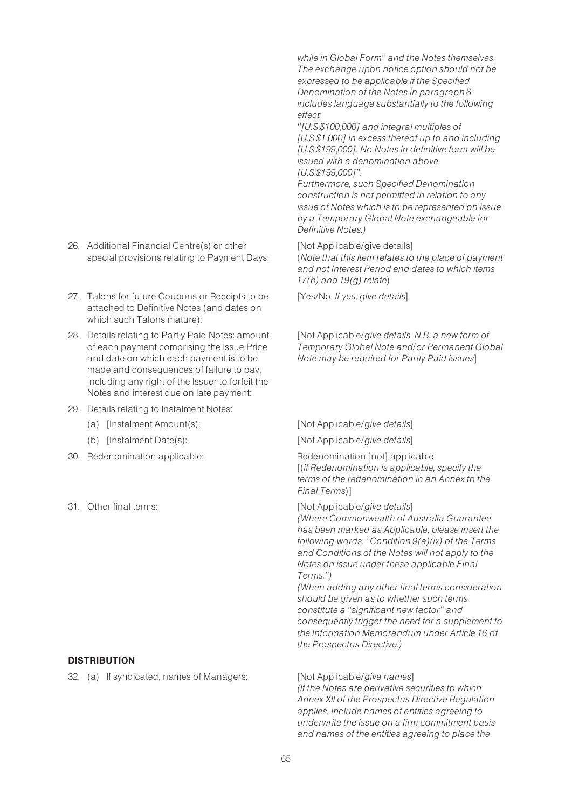- 26. Additional Financial Centre(s) or other special provisions relating to Payment Days:
- 27. Talons for future Coupons or Receipts to be attached to Definitive Notes (and dates on which such Talons mature):
- 28. Details relating to Partly Paid Notes: amount of each payment comprising the Issue Price and date on which each payment is to be made and consequences of failure to pay, including any right of the Issuer to forfeit the Notes and interest due on late payment:
- 29. Details relating to Instalment Notes:
	-
	-
- 30. Redenomination applicable: Redenomination [not] applicable
- 

# **DISTRIBUTION**

32. (a) If syndicated, names of Managers: [Not Applicable/give names]

while in Global Form'' and the Notes themselves. The exchange upon notice option should not be expressed to be applicable if the Specified Denomination of the Notes in paragraph 6 includes language substantially to the following effect:

''[U.S.\$100,000] and integral multiples of [U.S.\$1,000] in excess thereof up to and including [U.S.\$199,000]. No Notes in definitive form will be issued with a denomination above [U.S.\$199,000]''.

Furthermore, such Specified Denomination construction is not permitted in relation to any issue of Notes which is to be represented on issue by a Temporary Global Note exchangeable for Definitive Notes.)

[Not Applicable/give details]

(Note that this item relates to the place of payment and not Interest Period end dates to which items  $17(b)$  and  $19(a)$  relate)

[Yes/No. If yes, give details]

[Not Applicable/give details. N.B. a new form of Temporary Global Note and/or Permanent Global Note may be required for Partly Paid issues]

#### (a) [Instalment Amount(s): [Not Applicable/give details]

(b) [Instalment Date(s): [Not Applicable/give details]

[(if Redenomination is applicable, specify the terms of the redenomination in an Annex to the Final Terms)]

31. Other final terms:  $[Not Appliedble/give details]$ 

(Where Commonwealth of Australia Guarantee has been marked as Applicable, please insert the following words: ''Condition 9(a)(ix) of the Terms and Conditions of the Notes will not apply to the Notes on issue under these applicable Final Terms.'')

(When adding any other final terms consideration should be given as to whether such terms constitute a ''significant new factor'' and consequently trigger the need for a supplement to the Information Memorandum under Article 16 of the Prospectus Directive.)

(If the Notes are derivative securities to which Annex XII of the Prospectus Directive Regulation applies, include names of entities agreeing to underwrite the issue on a firm commitment basis and names of the entities agreeing to place the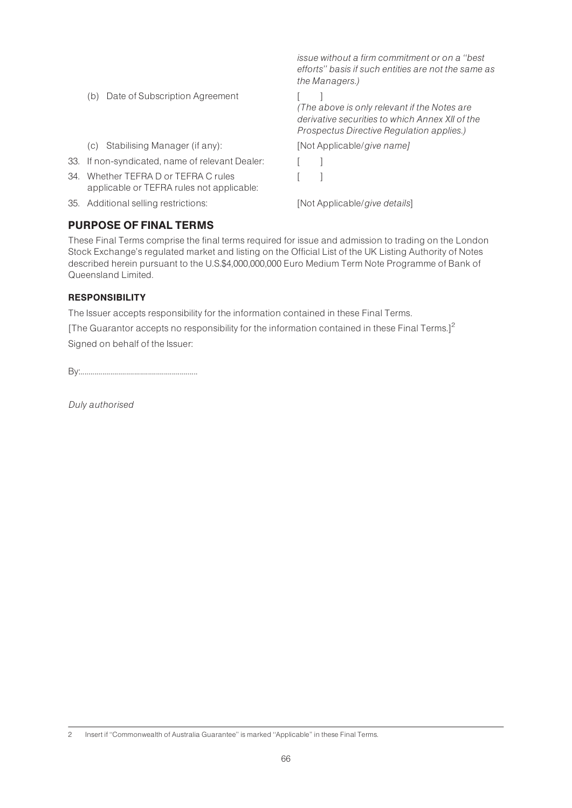|                                                                                   | issue without a firm commitment or on a "best"<br>efforts" basis if such entities are not the same as<br>the Managers.)                      |
|-----------------------------------------------------------------------------------|----------------------------------------------------------------------------------------------------------------------------------------------|
| Date of Subscription Agreement<br>(b)                                             | (The above is only relevant if the Notes are<br>derivative securities to which Annex XII of the<br>Prospectus Directive Regulation applies.) |
| Stabilising Manager (if any):<br>(C)                                              | [Not Applicable/give name]                                                                                                                   |
| 33. If non-syndicated, name of relevant Dealer:                                   |                                                                                                                                              |
| 34. Whether TEFRA D or TEFRA C rules<br>applicable or TEFRA rules not applicable: |                                                                                                                                              |
| 35. Additional selling restrictions:                                              | [Not Applicable/give details]                                                                                                                |
|                                                                                   |                                                                                                                                              |

# PURPOSE OF FINAL TERMS

These Final Terms comprise the final terms required for issue and admission to trading on the London Stock Exchange's regulated market and listing on the Official List of the UK Listing Authority of Notes described herein pursuant to the U.S.\$4,000,000,000 Euro Medium Term Note Programme of Bank of Queensland Limited.

#### **RESPONSIBILITY**

The Issuer accepts responsibility for the information contained in these Final Terms.

[The Guarantor accepts no responsibility for the information contained in these Final Terms.]<sup>2</sup> Signed on behalf of the Issuer:

By:...........................................................

Duly authorised

<sup>2</sup> Insert if "Commonwealth of Australia Guarantee" is marked "Applicable" in these Final Terms.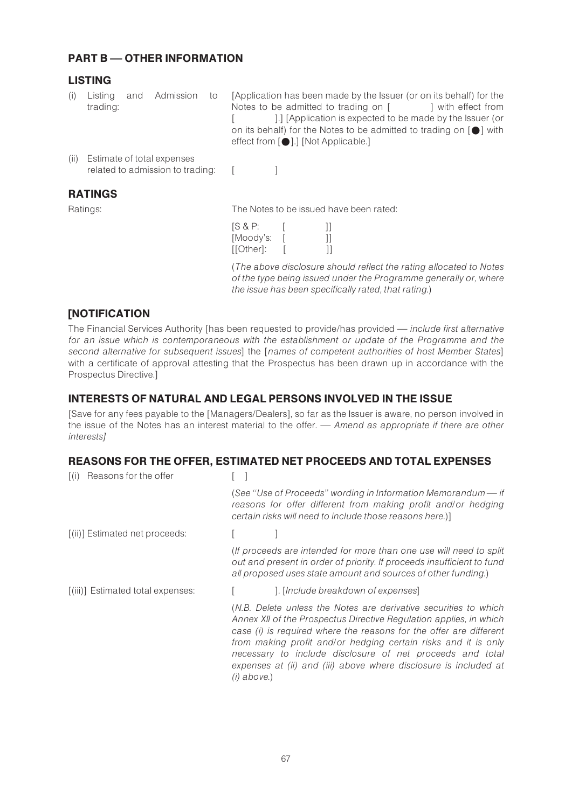# **PART B - OTHER INFORMATION**

# LISTING

- (i) Listing and Admission to trading: [Application has been made by the Issuer (or on its behalf) for the Notes to be admitted to trading on  $\lceil$  | with effect from [ ].] [Application is expected to be made by the Issuer (or on its behalf) for the Notes to be admitted to trading on  $[•]$  with effect from  $[•]$ .] [Not Applicable.]
- (ii) Estimate of total expenses related to admission to trading: [

RATINGS

Ratings: The Notes to be issued have been rated:

| SS & P:   |  |
|-----------|--|
| [Moody's: |  |
| [[Other]: |  |

(The above disclosure should reflect the rating allocated to Notes of the type being issued under the Programme generally or, where the issue has been specifically rated, that rating.)

# **[NOTIFICATION**

The Financial Services Authority [has been requested to provide/has provided — include first alternative for an issue which is contemporaneous with the establishment or update of the Programme and the second alternative for subsequent issues] the [names of competent authorities of host Member States] with a certificate of approval attesting that the Prospectus has been drawn up in accordance with the Prospectus Directive.]

# INTERESTS OF NATURAL AND LEGAL PERSONS INVOLVED IN THE ISSUE

[Save for any fees payable to the [Managers/Dealers], so far as the Issuer is aware, no person involved in the issue of the Notes has an interest material to the offer. — Amend as appropriate if there are other interests]

# REASONS FOR THE OFFER, ESTIMATED NET PROCEEDS AND TOTAL EXPENSES

| (i) Reasons for the offer         |                                                                                                                                                                                                                                                                                                                                                                                                                                |
|-----------------------------------|--------------------------------------------------------------------------------------------------------------------------------------------------------------------------------------------------------------------------------------------------------------------------------------------------------------------------------------------------------------------------------------------------------------------------------|
|                                   | (See "Use of Proceeds" wording in Information Memorandum - if<br>reasons for offer different from making profit and/or hedging<br>certain risks will need to include those reasons here.)]                                                                                                                                                                                                                                     |
| [(ii)] Estimated net proceeds:    |                                                                                                                                                                                                                                                                                                                                                                                                                                |
|                                   | (If proceeds are intended for more than one use will need to split<br>out and present in order of priority. If proceeds insufficient to fund<br>all proposed uses state amount and sources of other funding.)                                                                                                                                                                                                                  |
| [(iii)] Estimated total expenses: | ]. [Include breakdown of expenses]                                                                                                                                                                                                                                                                                                                                                                                             |
|                                   | (N.B. Delete unless the Notes are derivative securities to which<br>Annex XII of the Prospectus Directive Regulation applies, in which<br>case (i) is required where the reasons for the offer are different<br>from making profit and/or hedging certain risks and it is only<br>necessary to include disclosure of net proceeds and total<br>expenses at (ii) and (iii) above where disclosure is included at<br>(i) above.) |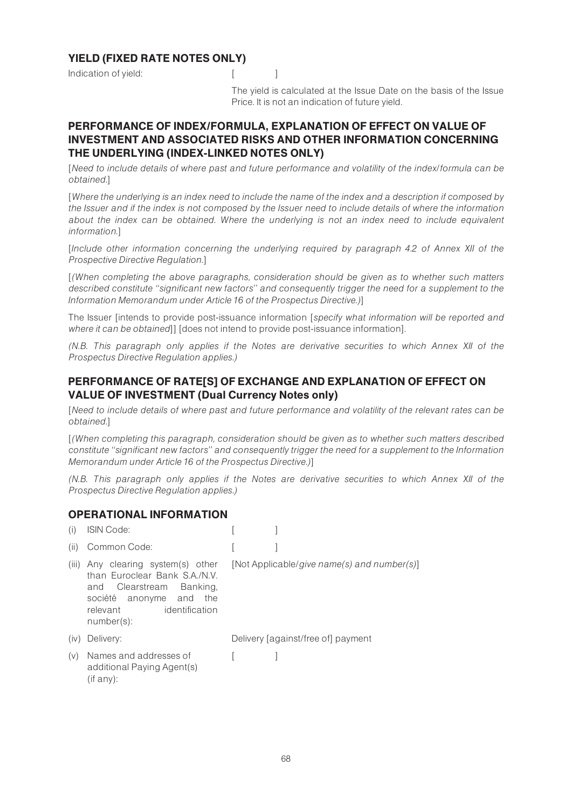# YIELD (FIXED RATE NOTES ONLY)

Indication of yield: [ [ ]

The yield is calculated at the Issue Date on the basis of the Issue Price. It is not an indication of future yield.

# PERFORMANCE OF INDEX/FORMULA, EXPLANATION OF EFFECT ON VALUE OF INVESTMENT AND ASSOCIATED RISKS AND OTHER INFORMATION CONCERNING THE UNDERLYING (INDEX-LINKED NOTES ONLY)

[Need to include details of where past and future performance and volatility of the index/formula can be obtained.]

[Where the underlying is an index need to include the name of the index and a description if composed by the Issuer and if the index is not composed by the Issuer need to include details of where the information about the index can be obtained. Where the underlying is not an index need to include equivalent information.]

[Include other information concerning the underlying required by paragraph 4.2 of Annex XII of the Prospective Directive Regulation.]

[(When completing the above paragraphs, consideration should be given as to whether such matters described constitute ''significant new factors'' and consequently trigger the need for a supplement to the Information Memorandum under Article 16 of the Prospectus Directive.)]

The Issuer [intends to provide post-issuance information [specify what information will be reported and where it can be obtained]] [does not intend to provide post-issuance information].

(N.B. This paragraph only applies if the Notes are derivative securities to which Annex XII of the Prospectus Directive Regulation applies.)

# PERFORMANCE OF RATE[S] OF EXCHANGE AND EXPLANATION OF EFFECT ON VALUE OF INVESTMENT (Dual Currency Notes only)

[Need to include details of where past and future performance and volatility of the relevant rates can be obtained.]

[(When completing this paragraph, consideration should be given as to whether such matters described constitute ''significant new factors'' and consequently trigger the need for a supplement to the Information Memorandum under Article 16 of the Prospectus Directive.)]

(N.B. This paragraph only applies if the Notes are derivative securities to which Annex XII of the Prospectus Directive Regulation applies.)

#### OPERATIONAL INFORMATION

| (i)   | <b>ISIN Code:</b>                                                                                                                                                            |                                             |
|-------|------------------------------------------------------------------------------------------------------------------------------------------------------------------------------|---------------------------------------------|
| (ii)  | Common Code:                                                                                                                                                                 |                                             |
| (iii) | Any clearing system(s) other<br>than Furoclear Bank S.A./N.V.<br>Clearstream<br>Banking,<br>and<br>société anonyme and<br>the<br>identification<br>relevant<br>$number(s)$ : | [Not Applicable/give name(s) and number(s)] |
| (iv)  | Delivery:                                                                                                                                                                    | Delivery [against/free of] payment          |
| (V)   | Names and addresses of<br>additional Paying Agent(s)<br>(if any):                                                                                                            |                                             |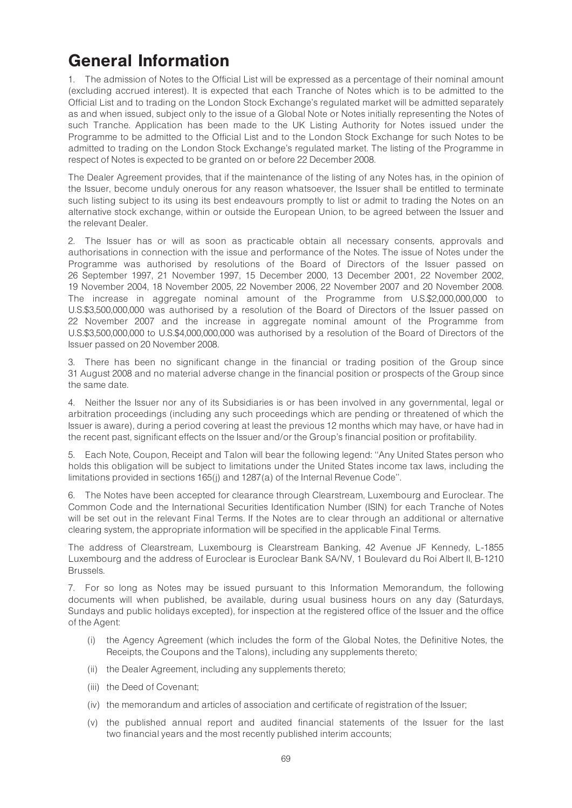# General Information

1. The admission of Notes to the Official List will be expressed as a percentage of their nominal amount (excluding accrued interest). It is expected that each Tranche of Notes which is to be admitted to the Official List and to trading on the London Stock Exchange's regulated market will be admitted separately as and when issued, subject only to the issue of a Global Note or Notes initially representing the Notes of such Tranche. Application has been made to the UK Listing Authority for Notes issued under the Programme to be admitted to the Official List and to the London Stock Exchange for such Notes to be admitted to trading on the London Stock Exchange's regulated market. The listing of the Programme in respect of Notes is expected to be granted on or before 22 December 2008.

The Dealer Agreement provides, that if the maintenance of the listing of any Notes has, in the opinion of the Issuer, become unduly onerous for any reason whatsoever, the Issuer shall be entitled to terminate such listing subject to its using its best endeavours promptly to list or admit to trading the Notes on an alternative stock exchange, within or outside the European Union, to be agreed between the Issuer and the relevant Dealer.

2. The Issuer has or will as soon as practicable obtain all necessary consents, approvals and authorisations in connection with the issue and performance of the Notes. The issue of Notes under the Programme was authorised by resolutions of the Board of Directors of the Issuer passed on 26 September 1997, 21 November 1997, 15 December 2000, 13 December 2001, 22 November 2002, 19 November 2004, 18 November 2005, 22 November 2006, 22 November 2007 and 20 November 2008. The increase in aggregate nominal amount of the Programme from U.S.\$2,000,000,000 to U.S.\$3,500,000,000 was authorised by a resolution of the Board of Directors of the Issuer passed on 22 November 2007 and the increase in aggregate nominal amount of the Programme from U.S.\$3,500,000,000 to U.S.\$4,000,000,000 was authorised by a resolution of the Board of Directors of the Issuer passed on 20 November 2008.

3. There has been no significant change in the financial or trading position of the Group since 31 August 2008 and no material adverse change in the financial position or prospects of the Group since the same date.

4. Neither the Issuer nor any of its Subsidiaries is or has been involved in any governmental, legal or arbitration proceedings (including any such proceedings which are pending or threatened of which the Issuer is aware), during a period covering at least the previous 12 months which may have, or have had in the recent past, significant effects on the Issuer and/or the Group's financial position or profitability.

5. Each Note, Coupon, Receipt and Talon will bear the following legend: ''Any United States person who holds this obligation will be subject to limitations under the United States income tax laws, including the limitations provided in sections 165(j) and 1287(a) of the Internal Revenue Code''.

6. The Notes have been accepted for clearance through Clearstream, Luxembourg and Euroclear. The Common Code and the International Securities Identification Number (ISIN) for each Tranche of Notes will be set out in the relevant Final Terms. If the Notes are to clear through an additional or alternative clearing system, the appropriate information will be specified in the applicable Final Terms.

The address of Clearstream, Luxembourg is Clearstream Banking, 42 Avenue JF Kennedy, L-1855 Luxembourg and the address of Euroclear is Euroclear Bank SA/NV, 1 Boulevard du Roi Albert II, B-1210 Brussels.

7. For so long as Notes may be issued pursuant to this Information Memorandum, the following documents will when published, be available, during usual business hours on any day (Saturdays, Sundays and public holidays excepted), for inspection at the registered office of the Issuer and the office of the Agent:

- (i) the Agency Agreement (which includes the form of the Global Notes, the Definitive Notes, the Receipts, the Coupons and the Talons), including any supplements thereto;
- (ii) the Dealer Agreement, including any supplements thereto;
- (iii) the Deed of Covenant;
- (iv) the memorandum and articles of association and certificate of registration of the Issuer;
- (v) the published annual report and audited financial statements of the Issuer for the last two financial years and the most recently published interim accounts;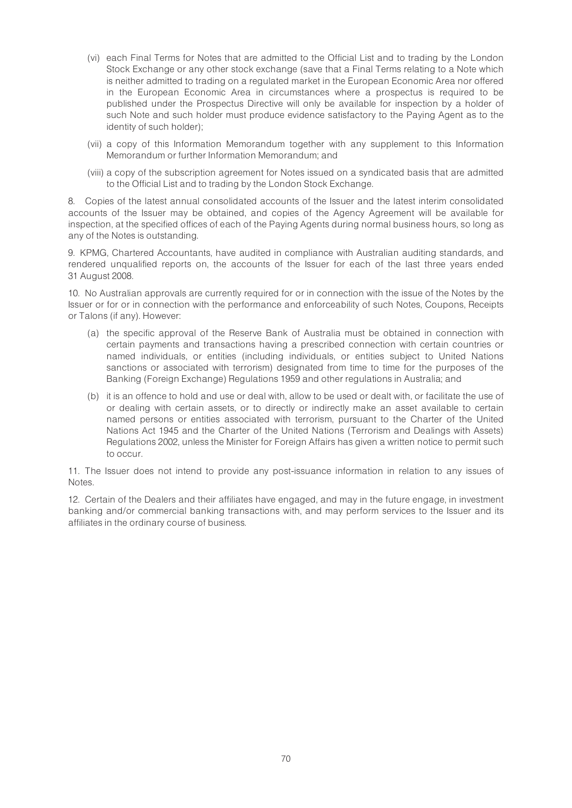- (vi) each Final Terms for Notes that are admitted to the Official List and to trading by the London Stock Exchange or any other stock exchange (save that a Final Terms relating to a Note which is neither admitted to trading on a regulated market in the European Economic Area nor offered in the European Economic Area in circumstances where a prospectus is required to be published under the Prospectus Directive will only be available for inspection by a holder of such Note and such holder must produce evidence satisfactory to the Paying Agent as to the identity of such holder);
- (vii) a copy of this Information Memorandum together with any supplement to this Information Memorandum or further Information Memorandum; and
- (viii) a copy of the subscription agreement for Notes issued on a syndicated basis that are admitted to the Official List and to trading by the London Stock Exchange.

8. Copies of the latest annual consolidated accounts of the Issuer and the latest interim consolidated accounts of the Issuer may be obtained, and copies of the Agency Agreement will be available for inspection, at the specified offices of each of the Paying Agents during normal business hours, so long as any of the Notes is outstanding.

9. KPMG, Chartered Accountants, have audited in compliance with Australian auditing standards, and rendered unqualified reports on, the accounts of the Issuer for each of the last three years ended 31 August 2008.

10. No Australian approvals are currently required for or in connection with the issue of the Notes by the Issuer or for or in connection with the performance and enforceability of such Notes, Coupons, Receipts or Talons (if any). However:

- (a) the specific approval of the Reserve Bank of Australia must be obtained in connection with certain payments and transactions having a prescribed connection with certain countries or named individuals, or entities (including individuals, or entities subject to United Nations sanctions or associated with terrorism) designated from time to time for the purposes of the Banking (Foreign Exchange) Regulations 1959 and other regulations in Australia; and
- (b) it is an offence to hold and use or deal with, allow to be used or dealt with, or facilitate the use of or dealing with certain assets, or to directly or indirectly make an asset available to certain named persons or entities associated with terrorism, pursuant to the Charter of the United Nations Act 1945 and the Charter of the United Nations (Terrorism and Dealings with Assets) Regulations 2002, unless the Minister for Foreign Affairs has given a written notice to permit such to occur.

11. The Issuer does not intend to provide any post-issuance information in relation to any issues of Notes.

12. Certain of the Dealers and their affiliates have engaged, and may in the future engage, in investment banking and/or commercial banking transactions with, and may perform services to the Issuer and its affiliates in the ordinary course of business.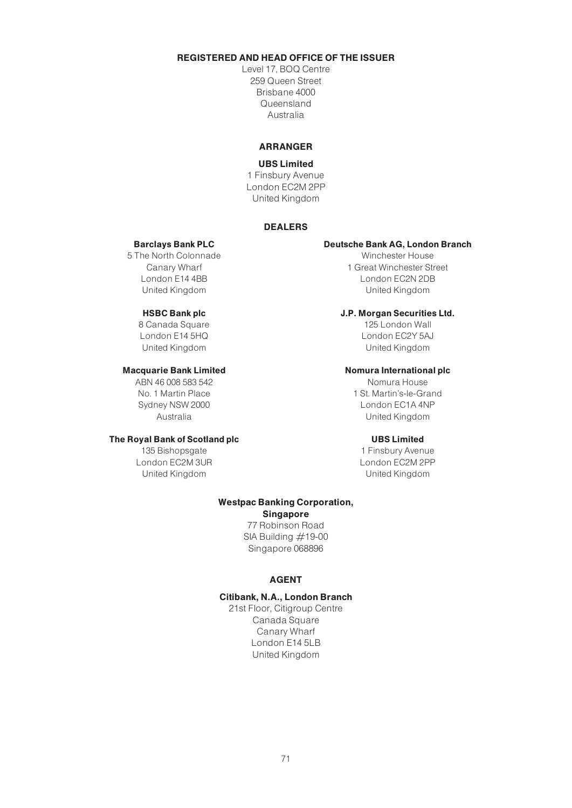# REGISTERED AND HEAD OFFICE OF THE ISSUER

Level 17, BOQ Centre 259 Queen Street Brisbane 4000 Queensland Australia

#### ARRANGER

#### UBS Limited

1 Finsbury Avenue London EC2M 2PP United Kingdom

#### DEALERS

#### Barclays Bank PLC

5 The North Colonnade Canary Wharf London E14 4BB United Kingdom

#### HSBC Bank plc

8 Canada Square London E14 5HQ United Kingdom

#### Macquarie Bank Limited

ABN 46 008 583 542 No. 1 Martin Place Sydney NSW 2000 Australia

#### The Royal Bank of Scotland plc

135 Bishopsgate London EC2M 3UR United Kingdom

#### Deutsche Bank AG, London Branch

Winchester House 1 Great Winchester Street London EC2N 2DB United Kingdom

#### J.P. Morgan Securities Ltd.

125 London Wall London EC2Y 5AJ United Kingdom

#### Nomura International plc

Nomura House 1 St. Martin's-le-Grand London EC1A 4NP United Kingdom

#### UBS Limited

1 Finsbury Avenue London EC2M 2PP United Kingdom

#### Westpac Banking Corporation, Singapore

77 Robinson Road SIA Building  $#19-00$ Singapore 068896

#### AGENT

#### Citibank, N.A., London Branch

21st Floor, Citigroup Centre Canada Square Canary Wharf London E14 5LB United Kingdom